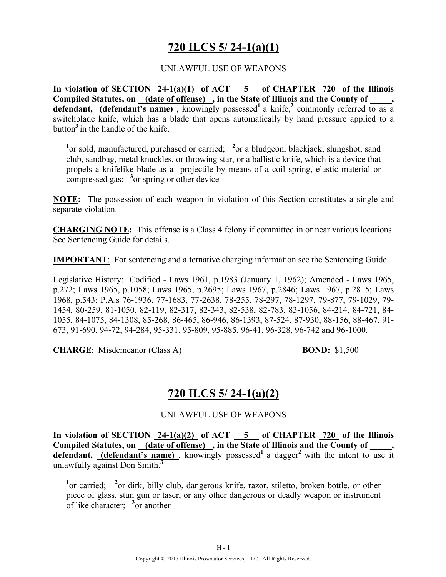# **720 ILCS 5/ 24-1(a)(1)**

### UNLAWFUL USE OF WEAPONS

**In violation of SECTION 24-1(a)(1) of ACT 5 of CHAPTER 720 of the Illinois**  Compiled Statutes, on (date of offense), in the State of Illinois and the County of, **defendant, (defendant's name)**, knowingly possessed<sup>1</sup> a knife,<sup>2</sup> commonly referred to as a switchblade knife, which has a blade that opens automatically by hand pressure applied to a button**<sup>3</sup>**in the handle of the knife.

<sup>1</sup> or sold, manufactured, purchased or carried; <sup>2</sup> or a bludgeon, blackjack, slungshot, sand club, sandbag, metal knuckles, or throwing star, or a ballistic knife, which is a device that propels a knifelike blade as a projectile by means of a coil spring, elastic material or compressed gas; <sup>3</sup> or spring or other device

**NOTE:** The possession of each weapon in violation of this Section constitutes a single and separate violation.

**CHARGING NOTE:** This offense is a Class 4 felony if committed in or near various locations. See Sentencing Guide for details.

**IMPORTANT**: For sentencing and alternative charging information see the Sentencing Guide.

Legislative History: Codified - Laws 1961, p.1983 (January 1, 1962); Amended - Laws 1965, p.272; Laws 1965, p.1058; Laws 1965, p.2695; Laws 1967, p.2846; Laws 1967, p.2815; Laws 1968, p.543; P.A.s 76-1936, 77-1683, 77-2638, 78-255, 78-297, 78-1297, 79-877, 79-1029, 79- 1454, 80-259, 81-1050, 82-119, 82-317, 82-343, 82-538, 82-783, 83-1056, 84-214, 84-721, 84- 1055, 84-1075, 84-1308, 85-268, 86-465, 86-946, 86-1393, 87-524, 87-930, 88-156, 88-467, 91- 673, 91-690, 94-72, 94-284, 95-331, 95-809, 95-885, 96-41, 96-328, 96-742 and 96-1000.

**CHARGE**: Misdemeanor (Class A) **BOND:** \$1,500

### **720 ILCS 5/ 24-1(a)(2)**

UNLAWFUL USE OF WEAPONS

In violation of SECTION  $24-1(a)(2)$  of ACT  $-5$  of CHAPTER  $720$  of the Illinois **Compiled Statutes, on (date of offense) , in the State of Illinois and the County of \_\_\_\_\_,**  defendant, **(defendant's name)**, knowingly possessed<sup>1</sup> a dagger<sup>2</sup> with the intent to use it unlawfully against Don Smith.**<sup>3</sup>**

<sup>1</sup>or carried; <sup>2</sup> or dirk, billy club, dangerous knife, razor, stiletto, broken bottle, or other piece of glass, stun gun or taser, or any other dangerous or deadly weapon or instrument of like character; **<sup>3</sup>** or another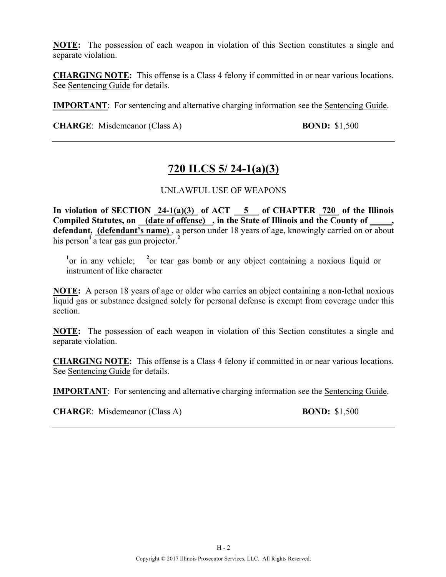**NOTE:** The possession of each weapon in violation of this Section constitutes a single and separate violation.

**CHARGING NOTE:** This offense is a Class 4 felony if committed in or near various locations. See Sentencing Guide for details.

**IMPORTANT**: For sentencing and alternative charging information see the Sentencing Guide.

**CHARGE**: Misdemeanor (Class A) **BOND:** \$1,500

# **720 ILCS 5/ 24-1(a)(3)**

### UNLAWFUL USE OF WEAPONS

**In violation of SECTION 24-1(a)(3) of ACT 5 of CHAPTER 720 of the Illinois Compiled Statutes, on (date of offense) , in the State of Illinois and the County of \_\_\_\_\_, defendant, (defendant's name)** , a person under 18 years of age, knowingly carried on or about his person<sup>1</sup> a tear gas gun projector.<sup>2</sup>

<sup>1</sup> or in any vehicle; <sup>2</sup> or tear gas bomb or any object containing a noxious liquid or instrument of like character

**NOTE:** A person 18 years of age or older who carries an object containing a non-lethal noxious liquid gas or substance designed solely for personal defense is exempt from coverage under this section.

**NOTE:** The possession of each weapon in violation of this Section constitutes a single and separate violation.

**CHARGING NOTE:** This offense is a Class 4 felony if committed in or near various locations. See Sentencing Guide for details.

**IMPORTANT**: For sentencing and alternative charging information see the Sentencing Guide.

**CHARGE**: Misdemeanor (Class A) **BOND:** \$1,500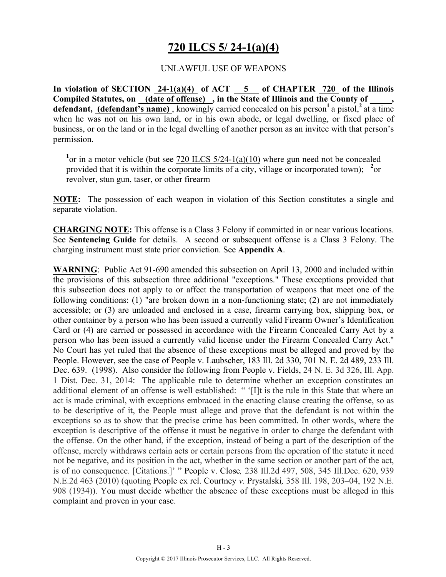# **720 ILCS 5/ 24-1(a)(4)**

### UNLAWFUL USE OF WEAPONS

**In violation of SECTION 24-1(a)(4) of ACT 5 of CHAPTER 720 of the Illinois**  Compiled Statutes, on (date of offense), in the State of Illinois and the County of **defendant, (defendant's name)**, knowingly carried concealed on his person<sup>1</sup> a pistol,<sup>2</sup> at a time when he was not on his own land, or in his own abode, or legal dwelling, or fixed place of business, or on the land or in the legal dwelling of another person as an invitee with that person's permission.

<sup>1</sup> or in a motor vehicle (but see  $\frac{720 \text{ ILCS } 5/24 - 1 \text{ (a)} (10)}{100 \text{ where }}$  gun need not be concealed provided that it is within the corporate limits of a city, village or incorporated town); <sup>2</sup> or revolver, stun gun, taser, or other firearm

**NOTE:** The possession of each weapon in violation of this Section constitutes a single and separate violation.

**CHARGING NOTE:** This offense is a Class 3 Felony if committed in or near various locations. See **Sentencing Guide** for details. A second or subsequent offense is a Class 3 Felony. The charging instrument must state prior conviction. See **Appendix A**.

**WARNING**: Public Act 91-690 amended this subsection on April 13, 2000 and included within the provisions of this subsection three additional "exceptions." These exceptions provided that this subsection does not apply to or affect the transportation of weapons that meet one of the following conditions: (1) "are broken down in a non-functioning state; (2) are not immediately accessible; or (3) are unloaded and enclosed in a case, firearm carrying box, shipping box, or other container by a person who has been issued a currently valid Firearm Owner's Identification Card or (4) are carried or possessed in accordance with the Firearm Concealed Carry Act by a person who has been issued a currently valid license under the Firearm Concealed Carry Act." No Court has yet ruled that the absence of these exceptions must be alleged and proved by the People. However, see the case of People v. Laubscher, 183 Ill. 2d 330, 701 N. E. 2d 489, 233 Ill. Dec. 639. (1998). Also consider the following from People v. Fields, 24 N. E. 3d 326, Ill. App. 1 Dist. Dec. 31, 2014: The applicable rule to determine whether an exception constitutes an additional element of an offense is well established: " '[I]t is the rule in this State that where an act is made criminal, with exceptions embraced in the enacting clause creating the offense, so as to be descriptive of it, the People must allege and prove that the defendant is not within the exceptions so as to show that the precise crime has been committed. In other words, where the exception is descriptive of the offense it must be negative in order to charge the defendant with the offense. On the other hand, if the exception, instead of being a part of the description of the offense, merely withdraws certain acts or certain persons from the operation of the statute it need not be negative, and its position in the act, whether in the same section or another part of the act, is of no consequence. [Citations.]' " People v. Close*,* 238 Ill.2d 497, 508, 345 Ill.Dec. 620, 939 N.E.2d 463 (2010) (quoting People ex rel. Courtney *v*. Prystalski*,* 358 Ill. 198, 203–04, 192 N.E. 908 (1934)). You must decide whether the absence of these exceptions must be alleged in this complaint and proven in your case.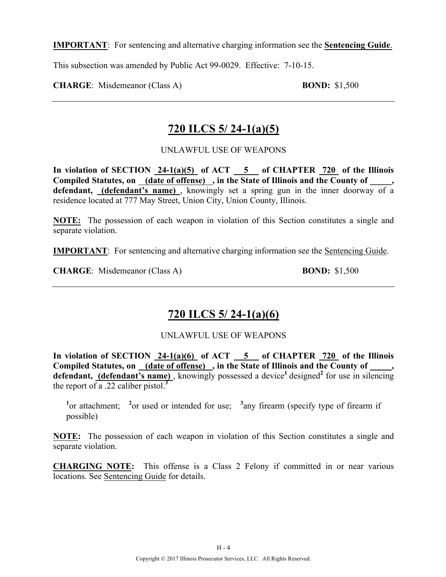**IMPORTANT**: For sentencing and alternative charging information see the **Sentencing Guide**.

This subsection was amended by Public Act 99-0029. Effective: 7-10-15.

**CHARGE**: Misdemeanor (Class A) **BOND:** \$1,500

# **720 ILCS 5/ 24-1(a)(5)**

UNLAWFUL USE OF WEAPONS

**In violation of SECTION 24-1(a)(5) of ACT 5 of CHAPTER 720 of the Illinois**  Compiled Statutes, on (date of offense), in the State of Illinois and the County of **defendant, (defendant's name)** , knowingly set a spring gun in the inner doorway of a residence located at 777 May Street, Union City, Union County, Illinois.

**NOTE:** The possession of each weapon in violation of this Section constitutes a single and separate violation.

**IMPORTANT**: For sentencing and alternative charging information see the Sentencing Guide.

**CHARGE**: Misdemeanor (Class A) **BOND:** \$1,500

# **720 ILCS 5/ 24-1(a)(6)**

UNLAWFUL USE OF WEAPONS

In violation of SECTION  $24-1(a)(6)$  of ACT  $-5$  of CHAPTER  $720$  of the Illinois Compiled Statutes, on <u>(date of offense)</u>, in the State of Illinois and the County of defendant, (defendant's name), knowingly possessed a device<sup>1</sup> designed<sup>2</sup> for use in silencing the report of a .22 caliber pistol.**<sup>3</sup>**

<sup>1</sup><sup>or</sup> attachment; <sup>2</sup><sup>or</sup> used or intended for use; <sup>3</sup> any firearm (specify type of firearm if possible)

**NOTE:** The possession of each weapon in violation of this Section constitutes a single and separate violation.

**CHARGING NOTE:** This offense is a Class 2 Felony if committed in or near various locations. See Sentencing Guide for details.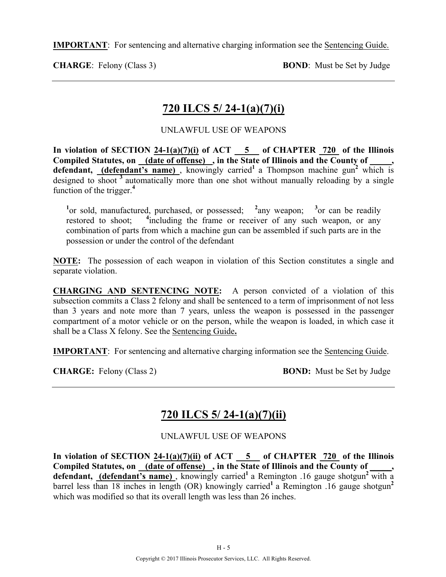**IMPORTANT**: For sentencing and alternative charging information see the Sentencing Guide.

**CHARGE:** Felony (Class 3) **BOND**: Must be Set by Judge

# **720 ILCS 5/ 24-1(a)(7)(i)**

### UNLAWFUL USE OF WEAPONS

In violation of SECTION  $24-1(a)(7)(i)$  of ACT  $-5$  of CHAPTER  $720$  of the Illinois **Compiled Statutes, on (date of offense) , in the State of Illinois and the County of \_\_\_\_\_,**  defendant, (defendant's name), knowingly carried<sup>1</sup> a Thompson machine gun<sup>2</sup> which is designed to shoot <sup>3</sup> automatically more than one shot without manually reloading by a single function of the trigger.**<sup>4</sup>**

<sup>1</sup> or sold, manufactured, purchased, or possessed; <sup>2</sup> any weapon; <sup>3</sup> or can be readily restored to shoot; <sup>4</sup>including the frame or receiver of any such weapon, or any combination of parts from which a machine gun can be assembled if such parts are in the possession or under the control of the defendant

**NOTE:** The possession of each weapon in violation of this Section constitutes a single and separate violation.

**CHARGING AND SENTENCING NOTE:** A person convicted of a violation of this subsection commits a Class 2 felony and shall be sentenced to a term of imprisonment of not less than 3 years and note more than 7 years, unless the weapon is possessed in the passenger compartment of a motor vehicle or on the person, while the weapon is loaded, in which case it shall be a Class X felony. See the Sentencing Guide**.**

**IMPORTANT**: For sentencing and alternative charging information see the Sentencing Guide.

**CHARGE:** Felony (Class 2) **BOND:** Must be Set by Judge

# **720 ILCS 5/ 24-1(a)(7)(ii)**

UNLAWFUL USE OF WEAPONS

In violation of SECTION  $24-1(a)(7)(ii)$  of ACT  $-5$  of CHAPTER  $720$  of the Illinois **Compiled Statutes, on (date of offense) , in the State of Illinois and the County of \_\_\_\_\_,**  defendant, (defendant's name), knowingly carried<sup>1</sup> a Remington .16 gauge shotgun<sup>2</sup> with a barrel less than 18 inches in length (OR) knowingly carried<sup>1</sup> a Remington .16 gauge shotgun<sup>2</sup> which was modified so that its overall length was less than 26 inches.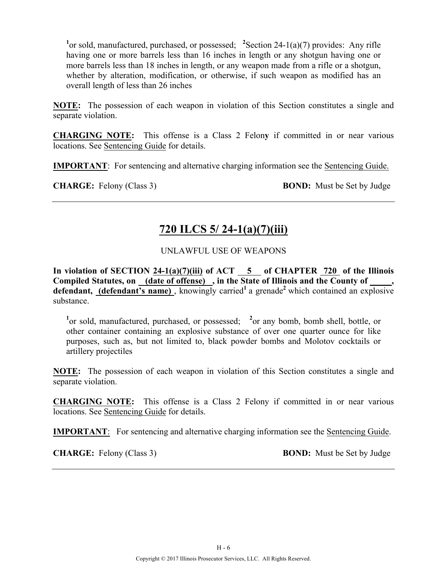<sup>1</sup> or sold, manufactured, purchased, or possessed; <sup>2</sup>Section 24-1(a)(7) provides: Any rifle having one or more barrels less than 16 inches in length or any shotgun having one or more barrels less than 18 inches in length, or any weapon made from a rifle or a shotgun, whether by alteration, modification, or otherwise, if such weapon as modified has an overall length of less than 26 inches

**NOTE:** The possession of each weapon in violation of this Section constitutes a single and separate violation.

**CHARGING NOTE:** This offense is a Class 2 Felon**y** if committed in or near various locations. See Sentencing Guide for details.

**IMPORTANT**: For sentencing and alternative charging information see the Sentencing Guide.

**CHARGE:** Felony (Class 3) **BOND:** Must be Set by Judge

# **720 ILCS 5/ 24-1(a)(7)(iii)**

### UNLAWFUL USE OF WEAPONS

**In violation of SECTION 24-1(a)(7)(iii) of ACT 5 of CHAPTER 720 of the Illinois**  Compiled Statutes, on <u>(date of offense)</u>, in the State of Illinois and the County of defendant, (defendant's name), knowingly carried<sup>1</sup> a grenade<sup>2</sup> which contained an explosive substance.

<sup>1</sup> or sold, manufactured, purchased, or possessed; <sup>2</sup> or any bomb, bomb shell, bottle, or other container containing an explosive substance of over one quarter ounce for like purposes, such as, but not limited to, black powder bombs and Molotov cocktails or artillery projectiles

**NOTE:** The possession of each weapon in violation of this Section constitutes a single and separate violation.

**CHARGING NOTE:** This offense is a Class 2 Felony if committed in or near various locations. See Sentencing Guide for details.

**IMPORTANT**: For sentencing and alternative charging information see the Sentencing Guide.

**CHARGE:** Felony (Class 3) **BOND:** Must be Set by Judge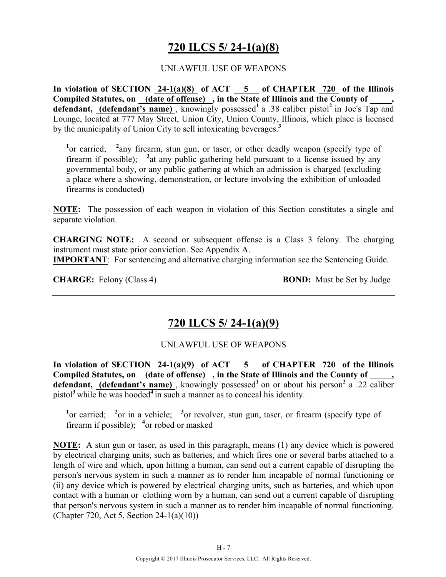# **720 ILCS 5/ 24-1(a)(8)**

### UNLAWFUL USE OF WEAPONS

**In violation of SECTION 24-1(a)(8) of ACT 5 of CHAPTER 720 of the Illinois Compiled Statutes, on (date of offense) , in the State of Illinois and the County of \_\_\_\_\_,**  defendant, (defendant's name), knowingly possessed<sup>1</sup> a .38 caliber pistol<sup>2</sup> in Joe's Tap and Lounge, located at 777 May Street, Union City, Union County, Illinois, which place is licensed by the municipality of Union City to sell intoxicating beverages.**<sup>3</sup>**

<sup>1</sup> or carried; <sup>2</sup> any firearm, stun gun, or taser, or other deadly weapon (specify type of firearm if possible); <sup>3</sup> at any public gathering held pursuant to a license issued by any governmental body, or any public gathering at which an admission is charged (excluding a place where a showing, demonstration, or lecture involving the exhibition of unloaded firearms is conducted)

**NOTE:** The possession of each weapon in violation of this Section constitutes a single and separate violation.

**CHARGING NOTE:** A second or subsequent offense is a Class 3 felony. The charging instrument must state prior conviction. See Appendix A. **IMPORTANT**: For sentencing and alternative charging information see the Sentencing Guide.

**CHARGE:** Felony (Class 4) **BOND:** Must be Set by Judge

### **720 ILCS 5/ 24-1(a)(9)**

### UNLAWFUL USE OF WEAPONS

In violation of SECTION 24-1(a)(9) of ACT 5 of CHAPTER 720 of the Illinois Compiled Statutes, on <u>(date of offense)</u>, in the State of Illinois and the County of defendant, **(defendant's name)**, knowingly possessed<sup>1</sup> on or about his person<sup>2</sup> a .22 caliber pistol**<sup>3</sup>**while he was hooded**<sup>4</sup>**in such a manner as to conceal his identity.

<sup>1</sup> or carried; <sup>2</sup> or in a vehicle; <sup>3</sup> or revolver, stun gun, taser, or firearm (specify type of firearm if possible); <sup>4</sup> or robed or masked

**NOTE:** A stun gun or taser, as used in this paragraph, means (1) any device which is powered by electrical charging units, such as batteries, and which fires one or several barbs attached to a length of wire and which, upon hitting a human, can send out a current capable of disrupting the person's nervous system in such a manner as to render him incapable of normal functioning or (ii) any device which is powered by electrical charging units, such as batteries, and which upon contact with a human or clothing worn by a human, can send out a current capable of disrupting that person's nervous system in such a manner as to render him incapable of normal functioning. (Chapter 720, Act 5, Section 24-1(a)(10))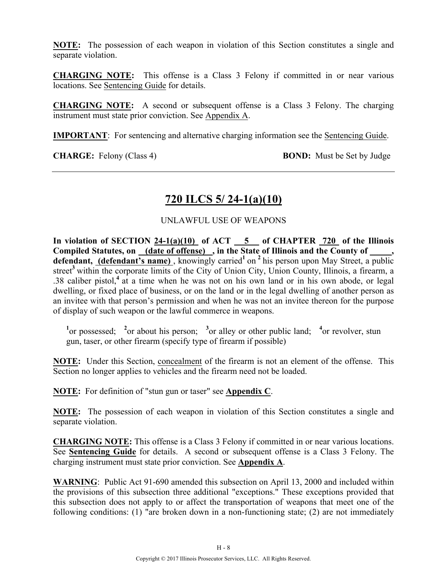**NOTE:** The possession of each weapon in violation of this Section constitutes a single and separate violation.

**CHARGING NOTE:** This offense is a Class 3 Felony if committed in or near various locations. See Sentencing Guide for details.

**CHARGING NOTE:** A second or subsequent offense is a Class 3 Felony. The charging instrument must state prior conviction. See Appendix A.

**IMPORTANT**: For sentencing and alternative charging information see the Sentencing Guide.

**CHARGE:** Felony (Class 4) **BOND:** Must be Set by Judge

### **720 ILCS 5/ 24-1(a)(10)**

### UNLAWFUL USE OF WEAPONS

In violation of SECTION  $24-1(a)(10)$  of ACT  $-5$  of CHAPTER  $720$  of the Illinois Compiled Statutes, on (date of offense), in the State of Illinois and the County of defendant, **(defendant's name)**, knowingly carried<sup>1</sup> on<sup>2</sup> his person upon May Street, a public street<sup>3</sup> within the corporate limits of the City of Union City, Union County, Illinois, a firearm, a .38 caliber pistol,**<sup>4</sup>**at a time when he was not on his own land or in his own abode, or legal dwelling, or fixed place of business, or on the land or in the legal dwelling of another person as an invitee with that person's permission and when he was not an invitee thereon for the purpose of display of such weapon or the lawful commerce in weapons.

<sup>1</sup><sup>or</sup> possessed; <sup>2</sup><sup>or</sup> about his person; <sup>3</sup><sup>or</sup> alley or other public land; <sup>4</sup><sup>or</sup> revolver, stun gun, taser, or other firearm (specify type of firearm if possible)

**NOTE:** Under this Section, concealment of the firearm is not an element of the offense. This Section no longer applies to vehicles and the firearm need not be loaded.

**NOTE:** For definition of "stun gun or taser" see **Appendix C**.

**NOTE:** The possession of each weapon in violation of this Section constitutes a single and separate violation.

**CHARGING NOTE:** This offense is a Class 3 Felony if committed in or near various locations. See **Sentencing Guide** for details. A second or subsequent offense is a Class 3 Felony. The charging instrument must state prior conviction. See **Appendix A**.

**WARNING**: Public Act 91-690 amended this subsection on April 13, 2000 and included within the provisions of this subsection three additional "exceptions." These exceptions provided that this subsection does not apply to or affect the transportation of weapons that meet one of the following conditions: (1) "are broken down in a non-functioning state; (2) are not immediately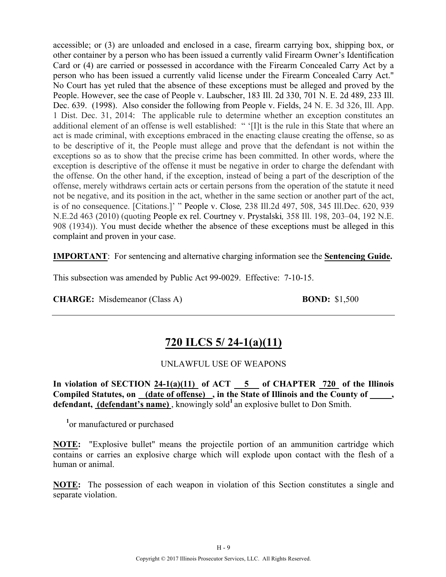accessible; or (3) are unloaded and enclosed in a case, firearm carrying box, shipping box, or other container by a person who has been issued a currently valid Firearm Owner's Identification Card or (4) are carried or possessed in accordance with the Firearm Concealed Carry Act by a person who has been issued a currently valid license under the Firearm Concealed Carry Act." No Court has yet ruled that the absence of these exceptions must be alleged and proved by the People. However, see the case of People v. Laubscher, 183 Ill. 2d 330, 701 N. E. 2d 489, 233 Ill. Dec. 639. (1998). Also consider the following from People v. Fields, 24 N. E. 3d 326, Ill. App. 1 Dist. Dec. 31, 2014: The applicable rule to determine whether an exception constitutes an additional element of an offense is well established: " '[I]t is the rule in this State that where an act is made criminal, with exceptions embraced in the enacting clause creating the offense, so as to be descriptive of it, the People must allege and prove that the defendant is not within the exceptions so as to show that the precise crime has been committed. In other words, where the exception is descriptive of the offense it must be negative in order to charge the defendant with the offense. On the other hand, if the exception, instead of being a part of the description of the offense, merely withdraws certain acts or certain persons from the operation of the statute it need not be negative, and its position in the act, whether in the same section or another part of the act, is of no consequence. [Citations.]' " People v. Close*,* 238 Ill.2d 497, 508, 345 Ill.Dec. 620, 939 N.E.2d 463 (2010) (quoting People ex rel. Courtney v. Prystalski*,* 358 Ill. 198, 203–04, 192 N.E. 908 (1934)). You must decide whether the absence of these exceptions must be alleged in this complaint and proven in your case.

**IMPORTANT**: For sentencing and alternative charging information see the **Sentencing Guide.**

This subsection was amended by Public Act 99-0029. Effective: 7-10-15.

**CHARGE:** Misdemeanor (Class A) **BOND:** \$1,500

### **720 ILCS 5/ 24-1(a)(11)**

### UNLAWFUL USE OF WEAPONS

In violation of SECTION  $24-1(a)(11)$  of ACT  $5$  of CHAPTER  $720$  of the Illinois Compiled Statutes, on (date of offense), in the State of Illinois and the County of, defendant, (defendant's name), knowingly sold<sup>1</sup> an explosive bullet to Don Smith.

**1** or manufactured or purchased

**NOTE:** "Explosive bullet" means the projectile portion of an ammunition cartridge which contains or carries an explosive charge which will explode upon contact with the flesh of a human or animal.

**NOTE:** The possession of each weapon in violation of this Section constitutes a single and separate violation.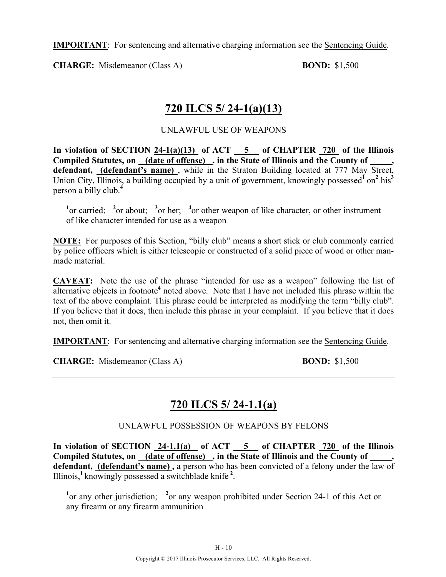**IMPORTANT**: For sentencing and alternative charging information see the Sentencing Guide.

**CHARGE:** Misdemeanor (Class A) **BOND:** \$1,500

### **720 ILCS 5/ 24-1(a)(13)**

### UNLAWFUL USE OF WEAPONS

In violation of SECTION  $24-1(a)(13)$  of ACT  $-5$  of CHAPTER  $720$  of the Illinois **Compiled Statutes, on (date of offense) , in the State of Illinois and the County of \_\_\_\_\_,**  defendant, **(defendant's name)**, while in the Straton Building located at 777 May Street, Union City, Illinois, a building occupied by a unit of government, knowingly possessed<sup>f</sup> on<sup>2</sup> his<sup>3</sup> person a billy club.**<sup>4</sup>**

<sup>1</sup><sup>or carried; <sup>2</sup><sup>or</sup> about; <sup>3</sup><sup>or</sup> her; <sup>4</sup><sup>or</sup> other weapon of like character, or other instrument</sup> of like character intended for use as a weapon

**NOTE:** For purposes of this Section, "billy club" means a short stick or club commonly carried by police officers which is either telescopic or constructed of a solid piece of wood or other manmade material.

**CAVEAT:** Note the use of the phrase "intended for use as a weapon" following the list of alternative objects in footnote**<sup>4</sup>** noted above. Note that I have not included this phrase within the text of the above complaint. This phrase could be interpreted as modifying the term "billy club". If you believe that it does, then include this phrase in your complaint. If you believe that it does not, then omit it.

**IMPORTANT**: For sentencing and alternative charging information see the Sentencing Guide.

**CHARGE:** Misdemeanor (Class A) **BOND:** \$1,500

# **720 ILCS 5/ 24-1.1(a)**

UNLAWFUL POSSESSION OF WEAPONS BY FELONS

**In violation of SECTION 24-1.1(a) of ACT 5 of CHAPTER 720 of the Illinois Compiled Statutes, on (date of offense) , in the State of Illinois and the County of \_\_\_\_\_, defendant, (defendant's name) ,** a person who has been convicted of a felony under the law of Illinois,**<sup>1</sup>**knowingly possessed a switchblade knife **<sup>2</sup>** .

<sup>1</sup> or any other jurisdiction; <sup>2</sup> or any weapon prohibited under Section 24-1 of this Act or any firearm or any firearm ammunition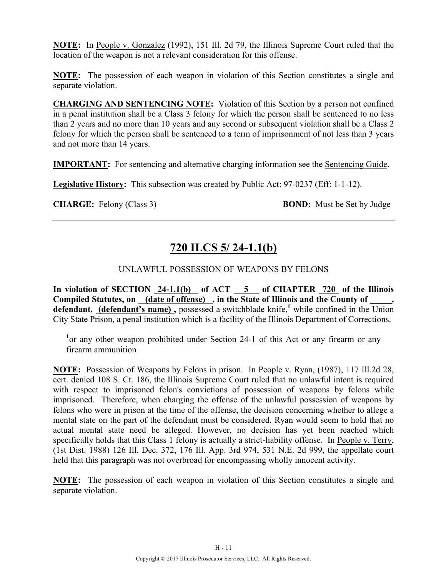**NOTE:** In People v. Gonzalez (1992), 151 Ill. 2d 79, the Illinois Supreme Court ruled that the location of the weapon is not a relevant consideration for this offense.

**NOTE:** The possession of each weapon in violation of this Section constitutes a single and separate violation.

**CHARGING AND SENTENCING NOTE:** Violation of this Section by a person not confined in a penal institution shall be a Class 3 felony for which the person shall be sentenced to no less than 2 years and no more than 10 years and any second or subsequent violation shall be a Class 2 felony for which the person shall be sentenced to a term of imprisonment of not less than 3 years and not more than 14 years.

**IMPORTANT:** For sentencing and alternative charging information see the Sentencing Guide.

**Legislative History:** This subsection was created by Public Act: 97-0237 (Eff: 1-1-12).

**CHARGE:** Felony (Class 3) **BOND:** Must be Set by Judge

# **720 ILCS 5/ 24-1.1(b)**

### UNLAWFUL POSSESSION OF WEAPONS BY FELONS

**In violation of SECTION 24-1.1(b) of ACT 5 of CHAPTER 720 of the Illinois Compiled Statutes, on (date of offense) , in the State of Illinois and the County of \_\_\_\_\_,**  defendant, (defendant's name), possessed a switchblade knife,<sup>1</sup> while confined in the Union City State Prison, a penal institution which is a facility of the Illinois Department of Corrections.

<sup>1</sup> or any other weapon prohibited under Section 24-1 of this Act or any firearm or any firearm ammunition

**NOTE:** Possession of Weapons by Felons in prison. In People v. Ryan, (1987), 117 Ill.2d 28, cert. denied 108 S. Ct. 186, the Illinois Supreme Court ruled that no unlawful intent is required with respect to imprisoned felon's convictions of possession of weapons by felons while imprisoned. Therefore, when charging the offense of the unlawful possession of weapons by felons who were in prison at the time of the offense, the decision concerning whether to allege a mental state on the part of the defendant must be considered. Ryan would seem to hold that no actual mental state need be alleged. However, no decision has yet been reached which specifically holds that this Class 1 felony is actually a strict-liability offense. In People v. Terry, (1st Dist. 1988) 126 Ill. Dec. 372, 176 Ill. App. 3rd 974, 531 N.E. 2d 999, the appellate court held that this paragraph was not overbroad for encompassing wholly innocent activity.

**NOTE:** The possession of each weapon in violation of this Section constitutes a single and separate violation.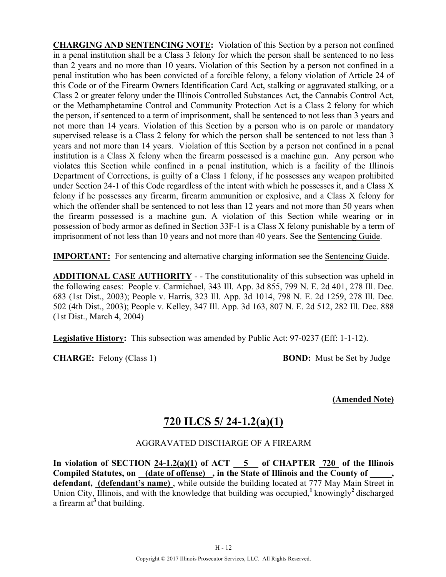**CHARGING AND SENTENCING NOTE:** Violation of this Section by a person not confined in a penal institution shall be a Class 3 felony for which the person shall be sentenced to no less than 2 years and no more than 10 years. Violation of this Section by a person not confined in a penal institution who has been convicted of a forcible felony, a felony violation of Article 24 of this Code or of the Firearm Owners Identification Card Act, stalking or aggravated stalking, or a Class 2 or greater felony under the Illinois Controlled Substances Act, the Cannabis Control Act, or the Methamphetamine Control and Community Protection Act is a Class 2 felony for which the person, if sentenced to a term of imprisonment, shall be sentenced to not less than 3 years and not more than 14 years. Violation of this Section by a person who is on parole or mandatory supervised release is a Class 2 felony for which the person shall be sentenced to not less than 3 years and not more than 14 years. Violation of this Section by a person not confined in a penal institution is a Class X felony when the firearm possessed is a machine gun. Any person who violates this Section while confined in a penal institution, which is a facility of the Illinois Department of Corrections, is guilty of a Class 1 felony, if he possesses any weapon prohibited under Section 24-1 of this Code regardless of the intent with which he possesses it, and a Class X felony if he possesses any firearm, firearm ammunition or explosive, and a Class X felony for which the offender shall be sentenced to not less than 12 years and not more than 50 years when the firearm possessed is a machine gun. A violation of this Section while wearing or in possession of body armor as defined in Section 33F-1 is a Class X felony punishable by a term of imprisonment of not less than 10 years and not more than 40 years. See the Sentencing Guide.

**IMPORTANT:** For sentencing and alternative charging information see the Sentencing Guide.

**ADDITIONAL CASE AUTHORITY** - - The constitutionality of this subsection was upheld in the following cases: People v. Carmichael, 343 Ill. App. 3d 855, 799 N. E. 2d 401, 278 Ill. Dec. 683 (1st Dist., 2003); People v. Harris, 323 Ill. App. 3d 1014, 798 N. E. 2d 1259, 278 Ill. Dec. 502 (4th Dist., 2003); People v. Kelley, 347 Ill. App. 3d 163, 807 N. E. 2d 512, 282 Ill. Dec. 888 (1st Dist., March 4, 2004)

**Legislative History:** This subsection was amended by Public Act: 97-0237 (Eff: 1-1-12).

**CHARGE:** Felony (Class 1) **BOND:** Must be Set by Judge

**(Amended Note)**

# **720 ILCS 5/ 24-1.2(a)(1)**

### AGGRAVATED DISCHARGE OF A FIREARM

**In violation of SECTION 24-1.2(a)(1) of ACT 5 of CHAPTER 720 of the Illinois**  Compiled Statutes, on (date of offense), in the State of Illinois and the County of defendant, *(defendant's name)*, while outside the building located at 777 May Main Street in Union City, Illinois, and with the knowledge that building was occupied,**<sup>1</sup>**knowingly**<sup>2</sup>**discharged a firearm at**<sup>3</sup>**that building.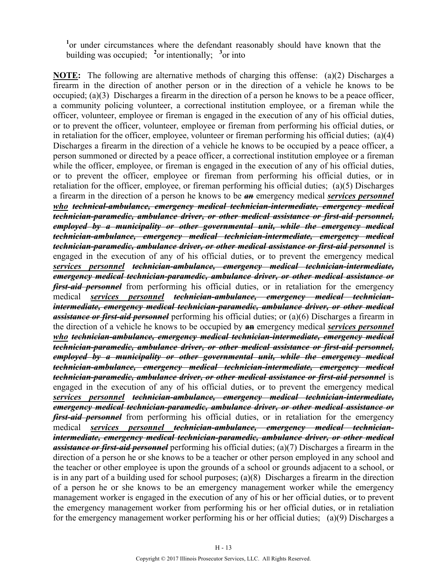<sup>1</sup>or under circumstances where the defendant reasonably should have known that the building was occupied; <sup>2</sup> or intentionally; <sup>3</sup> or into

**NOTE:** The following are alternative methods of charging this offense: (a)(2) Discharges a firearm in the direction of another person or in the direction of a vehicle he knows to be occupied; (a)(3) Discharges a firearm in the direction of a person he knows to be a peace officer, a community policing volunteer, a correctional institution employee, or a fireman while the officer, volunteer, employee or fireman is engaged in the execution of any of his official duties, or to prevent the officer, volunteer, employee or fireman from performing his official duties, or in retaliation for the officer, employee, volunteer or fireman performing his official duties; (a)(4) Discharges a firearm in the direction of a vehicle he knows to be occupied by a peace officer, a person summoned or directed by a peace officer, a correctional institution employee or a fireman while the officer, employee, or fireman is engaged in the execution of any of his official duties, or to prevent the officer, employee or fireman from performing his official duties, or in retaliation for the officer, employee, or fireman performing his official duties; (a)(5) Discharges a firearm in the direction of a person he knows to be *an* emergency medical *services personnel who technical-ambulance, emergency medical technician-intermediate, emergency medical technician-paramedic, ambulance driver, or other medical assistance or first-aid personnel, employed by a municipality or other governmental unit, while the emergency medical technician-ambulance, emergency medical technician-intermediate, emergency medical technician-paramedic, ambulance driver, or other medical assistance or first-aid personnel* is engaged in the execution of any of his official duties, or to prevent the emergency medical *services personnel technician-ambulance, emergency medical technician-intermediate, emergency medical technician-paramedic, ambulance driver, or other medical assistance or first-aid personnel* from performing his official duties, or in retaliation for the emergency medical *services personnel technician-ambulance, emergency medical technicianintermediate, emergency medical technician-paramedic, ambulance driver, or other medical assistance or first-aid personnel* performing his official duties; or (a)(6) Discharges a firearm in the direction of a vehicle he knows to be occupied by **an** emergency medical *services personnel who technician-ambulance, emergency medical technician-intermediate, emergency medical technician-paramedic, ambulance driver, or other medical assistance or first-aid personnel, employed by a municipality or other governmental unit, while the emergency medical technician-ambulance, emergency medical technician-intermediate, emergency medical technician-paramedic, ambulance driver, or other medical assistance or first-aid personnel* is engaged in the execution of any of his official duties, or to prevent the emergency medical *services personnel technician-ambulance, emergency medical technician-intermediate, emergency medical technician-paramedic, ambulance driver, or other medical assistance or first-aid personnel* from performing his official duties, or in retaliation for the emergency medical *services personnel technician-ambulance, emergency medical technicianintermediate, emergency medical technician-paramedic, ambulance driver, or other medical assistance or first-aid personnel* performing his official duties; (a)(7) Discharges a firearm in the direction of a person he or she knows to be a teacher or other person employed in any school and the teacher or other employee is upon the grounds of a school or grounds adjacent to a school, or is in any part of a building used for school purposes; (a)(8) Discharges a firearm in the direction of a person he or she knows to be an emergency management worker while the emergency management worker is engaged in the execution of any of his or her official duties, or to prevent the emergency management worker from performing his or her official duties, or in retaliation for the emergency management worker performing his or her official duties; (a)(9) Discharges a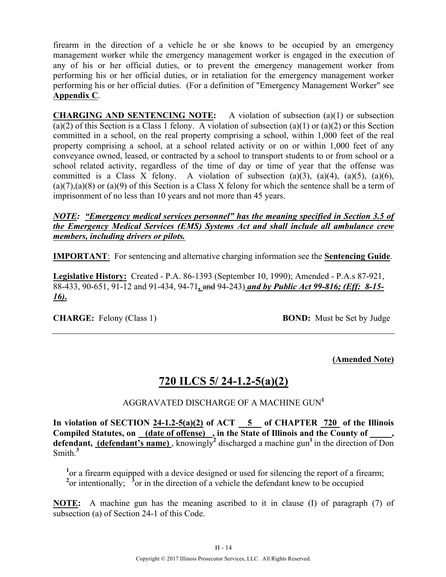firearm in the direction of a vehicle he or she knows to be occupied by an emergency management worker while the emergency management worker is engaged in the execution of any of his or her official duties, or to prevent the emergency management worker from performing his or her official duties, or in retaliation for the emergency management worker performing his or her official duties. (For a definition of "Emergency Management Worker" see **Appendix C**.

**CHARGING AND SENTENCING NOTE:** A violation of subsection (a)(1) or subsection (a)(2) of this Section is a Class 1 felony. A violation of subsection (a)(1) or (a)(2) or this Section committed in a school, on the real property comprising a school, within 1,000 feet of the real property comprising a school, at a school related activity or on or within 1,000 feet of any conveyance owned, leased, or contracted by a school to transport students to or from school or a school related activity, regardless of the time of day or time of year that the offense was committed is a Class X felony. A violation of subsection  $(a)(3)$ ,  $(a)(4)$ ,  $(a)(5)$ ,  $(a)(6)$ ,  $(a)(7)$ , $(a)(8)$  or  $(a)(9)$  of this Section is a Class X felony for which the sentence shall be a term of imprisonment of no less than 10 years and not more than 45 years.

#### *NOTE: "Emergency medical services personnel" has the meaning specified in Section 3.5 of the Emergency Medical Services (EMS) Systems Act and shall include all ambulance crew members, including drivers or pilots.*

**IMPORTANT**: For sentencing and alternative charging information see the **Sentencing Guide**.

**Legislative History:** Created - P.A. 86-1393 (September 10, 1990); Amended - P.A.s 87-921, 88-433, 90-651, 91-12 and 91-434, 94-71**,** and 94-243) *and by Public Act 99-816; (Eff: 8-15- 16)***.**

**CHARGE:** Felony (Class 1) **BOND:** Must be Set by Judge

**(Amended Note)**

# **720 ILCS 5/ 24-1.2-5(a)(2)**

### AGGRAVATED DISCHARGE OF A MACHINE GUN**<sup>1</sup>**

In violation of SECTION  $24-1.2-5(a)(2)$  of ACT  $-5$  of CHAPTER  $720$  of the Illinois Compiled Statutes, on <u>(date of offense)</u>, in the State of Illinois and the County of **defendant, (defendant's name)**, knowingly<sup>2</sup> discharged a machine gun<sup>1</sup> in the direction of Don Smith.**<sup>3</sup>**

<sup>1</sup> or a firearm equipped with a device designed or used for silencing the report of a firearm;  $2$ <sup>or</sup> intentionally;  $3$ <sup>o</sup>or in the direction of a vehicle the defendant knew to be occupied

**NOTE:** A machine gun has the meaning ascribed to it in clause (I) of paragraph (7) of subsection (a) of Section 24-1 of this Code.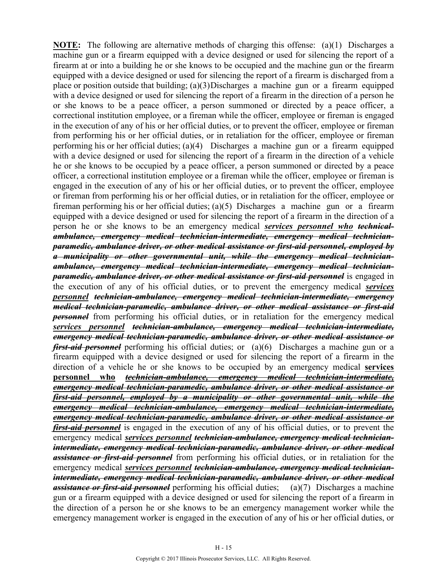**NOTE:** The following are alternative methods of charging this offense: (a)(1) Discharges a machine gun or a firearm equipped with a device designed or used for silencing the report of a firearm at or into a building he or she knows to be occupied and the machine gun or the firearm equipped with a device designed or used for silencing the report of a firearm is discharged from a place or position outside that building; (a)(3)Discharges a machine gun or a firearm equipped with a device designed or used for silencing the report of a firearm in the direction of a person he or she knows to be a peace officer, a person summoned or directed by a peace officer, a correctional institution employee, or a fireman while the officer, employee or fireman is engaged in the execution of any of his or her official duties, or to prevent the officer, employee or fireman from performing his or her official duties, or in retaliation for the officer, employee or fireman performing his or her official duties; (a)(4) Discharges a machine gun or a firearm equipped with a device designed or used for silencing the report of a firearm in the direction of a vehicle he or she knows to be occupied by a peace officer, a person summoned or directed by a peace officer, a correctional institution employee or a fireman while the officer, employee or fireman is engaged in the execution of any of his or her official duties, or to prevent the officer, employee or fireman from performing his or her official duties, or in retaliation for the officer, employee or fireman performing his or her official duties; (a)(5) Discharges a machine gun or a firearm equipped with a device designed or used for silencing the report of a firearm in the direction of a person he or she knows to be an emergency medical *services personnel who technicalambulance, emergency medical technician-intermediate, emergency medical technicianparamedic, ambulance driver, or other medical assistance or first-aid personnel, employed by a municipality or other governmental unit, while the emergency medical technicianambulance, emergency medical technician-intermediate, emergency medical technicianparamedic, ambulance driver, or other medical assistance or first-aid personnel* is engaged in the execution of any of his official duties, or to prevent the emergency medical *services personnel technician-ambulance, emergency medical technician-intermediate, emergency medical technician-paramedic, ambulance driver, or other medical assistance or first-aid personnel* from performing his official duties, or in retaliation for the emergency medical *services personnel technician-ambulance, emergency medical technician-intermediate, emergency medical technician-paramedic, ambulance driver, or other medical assistance or first-aid personnel* performing his official duties; or (a)(6) Discharges a machine gun or a firearm equipped with a device designed or used for silencing the report of a firearm in the direction of a vehicle he or she knows to be occupied by an emergency medical **services personnel who** *technician-ambulance, emergency medical technician-intermediate, emergency medical technician-paramedic, ambulance driver, or other medical assistance or first-aid personnel, employed by a municipality or other governmental unit, while the emergency medical technician-ambulance, emergency medical technician-intermediate, emergency medical technician-paramedic, ambulance driver, or other medical assistance or first-aid personnel* is engaged in the execution of any of his official duties, or to prevent the emergency medical *services personnel technician-ambulance, emergency medical technicianintermediate, emergency medical technician-paramedic, ambulance driver, or other medical assistance or first-aid personnel* from performing his official duties, or in retaliation for the emergency medical *services personnel technician-ambulance, emergency medical technicianintermediate, emergency medical technician-paramedic, ambulance driver, or other medical assistance or first-aid personnel* performing his official duties; (a)(7) Discharges a machine gun or a firearm equipped with a device designed or used for silencing the report of a firearm in the direction of a person he or she knows to be an emergency management worker while the emergency management worker is engaged in the execution of any of his or her official duties, or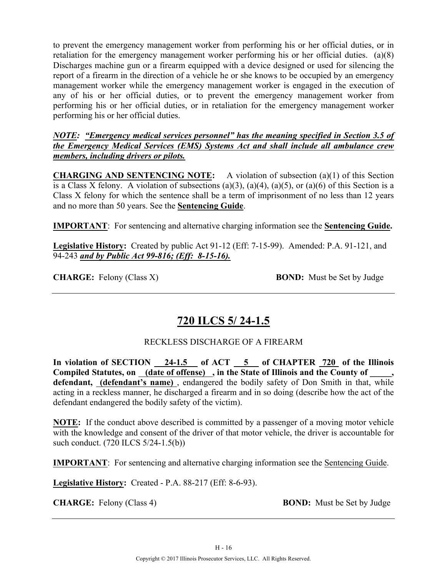to prevent the emergency management worker from performing his or her official duties, or in retaliation for the emergency management worker performing his or her official duties. (a)(8) Discharges machine gun or a firearm equipped with a device designed or used for silencing the report of a firearm in the direction of a vehicle he or she knows to be occupied by an emergency management worker while the emergency management worker is engaged in the execution of any of his or her official duties, or to prevent the emergency management worker from performing his or her official duties, or in retaliation for the emergency management worker performing his or her official duties.

*NOTE: "Emergency medical services personnel" has the meaning specified in Section 3.5 of the Emergency Medical Services (EMS) Systems Act and shall include all ambulance crew members, including drivers or pilots.*

**CHARGING AND SENTENCING NOTE:** A violation of subsection (a)(1) of this Section is a Class X felony. A violation of subsections (a)(3), (a)(4), (a)(5), or (a)(6) of this Section is a Class X felony for which the sentence shall be a term of imprisonment of no less than 12 years and no more than 50 years. See the **Sentencing Guide**.

**IMPORTANT**: For sentencing and alternative charging information see the **Sentencing Guide.**

**Legislative History:** Created by public Act 91-12 (Eff: 7-15-99). Amended: P.A. 91-121, and 94-243 *and by Public Act 99-816; (Eff: 8-15-16).*

**CHARGE:** Felony (Class X) **BOND:** Must be Set by Judge

### **720 ILCS 5/ 24-1.5**

### RECKLESS DISCHARGE OF A FIREARM

**In violation of SECTION 24-1.5 of ACT 5 of CHAPTER 720 of the Illinois**  Compiled Statutes, on (date of offense), in the State of Illinois and the County of, **defendant, (defendant's name)** , endangered the bodily safety of Don Smith in that, while acting in a reckless manner, he discharged a firearm and in so doing (describe how the act of the defendant endangered the bodily safety of the victim).

**NOTE:** If the conduct above described is committed by a passenger of a moving motor vehicle with the knowledge and consent of the driver of that motor vehicle, the driver is accountable for such conduct. (720 ILCS 5/24-1.5(b))

**IMPORTANT**: For sentencing and alternative charging information see the Sentencing Guide.

**Legislative History:** Created - P.A. 88-217 (Eff: 8-6-93).

**CHARGE:** Felony (Class 4) **BOND:** Must be Set by Judge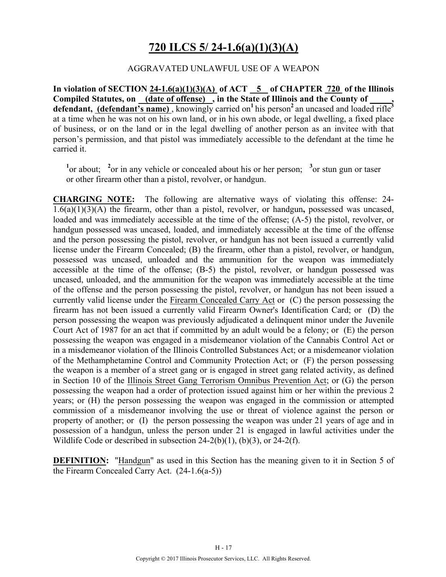# **720 ILCS 5/ 24-1.6(a)(1)(3)(A)**

### AGGRAVATED UNLAWFUL USE OF A WEAPON

In violation of SECTION  $24-1.6(a)(1)(3)(A)$  of ACT  $\overline{\phantom{0}5}$  of CHAPTER 720 of the Illinois **Compiled Statutes, on (date of offense) , in the State of Illinois and the County of \_\_\_\_\_, defendant, (defendant's name)**, knowingly carried on<sup>1</sup> his person<sup>2</sup> an uncased and loaded rifle<sup>3</sup> at a time when he was not on his own land, or in his own abode, or legal dwelling, a fixed place of business, or on the land or in the legal dwelling of another person as an invitee with that person's permission, and that pistol was immediately accessible to the defendant at the time he carried it.

<sup>1</sup><sup>or</sup> about; <sup>2</sup><sup>or</sup> in any vehicle or concealed about his or her person; <sup>3</sup><sup>or</sup> stun gun or taser or other firearm other than a pistol, revolver, or handgun.

**CHARGING NOTE:** The following are alternative ways of violating this offense: 24- 1.6(a)(1)(3)(A) the firearm, other than a pistol, revolver, or handgun**,** possessed was uncased, loaded and was immediately accessible at the time of the offense; (A-5) the pistol, revolver, or handgun possessed was uncased, loaded, and immediately accessible at the time of the offense and the person possessing the pistol, revolver, or handgun has not been issued a currently valid license under the Firearm Concealed; (B) the firearm, other than a pistol, revolver, or handgun, possessed was uncased, unloaded and the ammunition for the weapon was immediately accessible at the time of the offense; (B-5) the pistol, revolver, or handgun possessed was uncased, unloaded, and the ammunition for the weapon was immediately accessible at the time of the offense and the person possessing the pistol, revolver, or handgun has not been issued a currently valid license under the Firearm Concealed Carry Act or (C) the person possessing the firearm has not been issued a currently valid Firearm Owner's Identification Card; or (D) the person possessing the weapon was previously adjudicated a delinquent minor under the Juvenile Court Act of 1987 for an act that if committed by an adult would be a felony; or (E) the person possessing the weapon was engaged in a misdemeanor violation of the Cannabis Control Act or in a misdemeanor violation of the Illinois Controlled Substances Act; or a misdemeanor violation of the Methamphetamine Control and Community Protection Act; or (F) the person possessing the weapon is a member of a street gang or is engaged in street gang related activity, as defined in Section 10 of the Illinois Street Gang Terrorism Omnibus Prevention Act; or (G) the person possessing the weapon had a order of protection issued against him or her within the previous 2 years; or (H) the person possessing the weapon was engaged in the commission or attempted commission of a misdemeanor involving the use or threat of violence against the person or property of another; or (I) the person possessing the weapon was under 21 years of age and in possession of a handgun, unless the person under 21 is engaged in lawful activities under the Wildlife Code or described in subsection 24-2(b)(1), (b)(3), or 24-2(f).

**DEFINITION:** "Handgun" as used in this Section has the meaning given to it in Section 5 of the Firearm Concealed Carry Act. (24-1.6(a-5))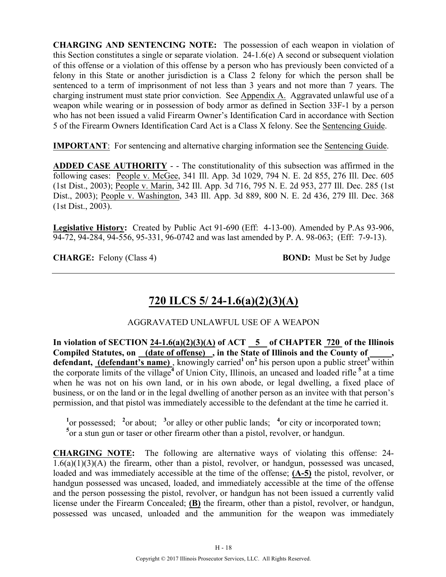**CHARGING AND SENTENCING NOTE:** The possession of each weapon in violation of this Section constitutes a single or separate violation. 24-1.6(e) A second or subsequent violation of this offense or a violation of this offense by a person who has previously been convicted of a felony in this State or another jurisdiction is a Class 2 felony for which the person shall be sentenced to a term of imprisonment of not less than 3 years and not more than 7 years. The charging instrument must state prior conviction. See Appendix A. Aggravated unlawful use of a weapon while wearing or in possession of body armor as defined in Section 33F-1 by a person who has not been issued a valid Firearm Owner's Identification Card in accordance with Section 5 of the Firearm Owners Identification Card Act is a Class X felony. See the Sentencing Guide.

**IMPORTANT**: For sentencing and alternative charging information see the Sentencing Guide.

**ADDED CASE AUTHORITY** - - The constitutionality of this subsection was affirmed in the following cases: People v. McGee, 341 Ill. App. 3d 1029, 794 N. E. 2d 855, 276 Ill. Dec. 605 (1st Dist., 2003); People v. Marin, 342 Ill. App. 3d 716, 795 N. E. 2d 953, 277 Ill. Dec. 285 (1st Dist., 2003); People v. Washington, 343 Ill. App. 3d 889, 800 N. E. 2d 436, 279 Ill. Dec. 368 (1st Dist., 2003).

**Legislative History:** Created by Public Act 91-690 (Eff: 4-13-00). Amended by P.As 93-906, 94-72, 94-284, 94-556, 95-331, 96-0742 and was last amended by P. A. 98-063; (Eff: 7-9-13).

**CHARGE:** Felony (Class 4) **BOND:** Must be Set by Judge

# **720 ILCS 5/ 24-1.6(a)(2)(3)(A)**

### AGGRAVATED UNLAWFUL USE OF A WEAPON

In violation of SECTION  $24-1.6(a)(2)(3)(A)$  of ACT  $\overline{5}$  of CHAPTER  $\overline{720}$  of the Illinois **Compiled Statutes, on (date of offense) , in the State of Illinois and the County of \_\_\_\_\_,**  defendant, (defendant's name), knowingly carried<sup>1</sup> on<sup>2</sup> his person upon a public street<sup>3</sup> within the corporate limits of the village**<sup>4</sup>**of Union City, Illinois, an uncased and loaded rifle **<sup>5</sup>**at a time when he was not on his own land, or in his own abode, or legal dwelling, a fixed place of business, or on the land or in the legal dwelling of another person as an invitee with that person's permission, and that pistol was immediately accessible to the defendant at the time he carried it.

<sup>1</sup><sup>or</sup> possessed; <sup>2</sup><sup>or</sup> about; <sup>3</sup><sup>or</sup> alley or other public lands; <sup>4</sup><sup>or</sup> city or incorporated town; <sup>5</sup> or a stun gun or taser or other firearm other than a pistol, revolver, or handgun.

**CHARGING NOTE:** The following are alternative ways of violating this offense: 24-  $1.6(a)(1)(3)(A)$  the firearm, other than a pistol, revolver, or handgun, possessed was uncased, loaded and was immediately accessible at the time of the offense; **(A-5)** the pistol, revolver, or handgun possessed was uncased, loaded, and immediately accessible at the time of the offense and the person possessing the pistol, revolver, or handgun has not been issued a currently valid license under the Firearm Concealed; **(B)** the firearm, other than a pistol, revolver, or handgun, possessed was uncased, unloaded and the ammunition for the weapon was immediately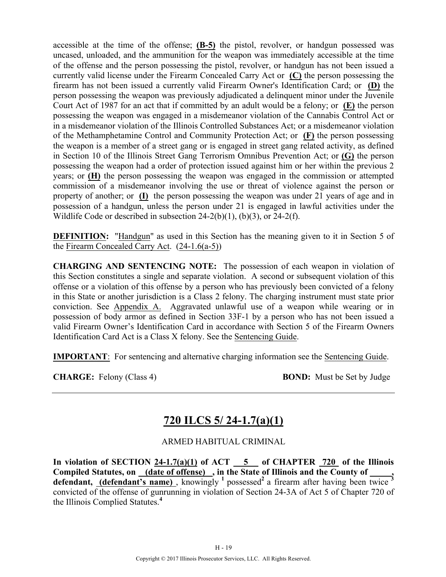accessible at the time of the offense; **(B-5)** the pistol, revolver, or handgun possessed was uncased, unloaded, and the ammunition for the weapon was immediately accessible at the time of the offense and the person possessing the pistol, revolver, or handgun has not been issued a currently valid license under the Firearm Concealed Carry Act or **(C)** the person possessing the firearm has not been issued a currently valid Firearm Owner's Identification Card; or **(D)** the person possessing the weapon was previously adjudicated a delinquent minor under the Juvenile Court Act of 1987 for an act that if committed by an adult would be a felony; or **(E)** the person possessing the weapon was engaged in a misdemeanor violation of the Cannabis Control Act or in a misdemeanor violation of the Illinois Controlled Substances Act; or a misdemeanor violation of the Methamphetamine Control and Community Protection Act; or **(F)** the person possessing the weapon is a member of a street gang or is engaged in street gang related activity, as defined in Section 10 of the Illinois Street Gang Terrorism Omnibus Prevention Act; or **(G)** the person possessing the weapon had a order of protection issued against him or her within the previous 2 years; or **(H)** the person possessing the weapon was engaged in the commission or attempted commission of a misdemeanor involving the use or threat of violence against the person or property of another; or **(I)** the person possessing the weapon was under 21 years of age and in possession of a handgun, unless the person under 21 is engaged in lawful activities under the Wildlife Code or described in subsection  $24-2(b)(1)$ ,  $(b)(3)$ , or  $24-2(f)$ .

**DEFINITION:** "Handgun" as used in this Section has the meaning given to it in Section 5 of the Firearm Concealed Carry Act. (24-1.6(a-5))

**CHARGING AND SENTENCING NOTE:** The possession of each weapon in violation of this Section constitutes a single and separate violation. A second or subsequent violation of this offense or a violation of this offense by a person who has previously been convicted of a felony in this State or another jurisdiction is a Class 2 felony. The charging instrument must state prior conviction. See Appendix A. Aggravated unlawful use of a weapon while wearing or in possession of body armor as defined in Section 33F-1 by a person who has not been issued a valid Firearm Owner's Identification Card in accordance with Section 5 of the Firearm Owners Identification Card Act is a Class X felony. See the Sentencing Guide.

**IMPORTANT**: For sentencing and alternative charging information see the Sentencing Guide.

**CHARGE:** Felony (Class 4) **BOND:** Must be Set by Judge

# **720 ILCS 5/ 24-1.7(a)(1)**

### ARMED HABITUAL CRIMINAL

In violation of SECTION  $24-1.7(a)(1)$  of ACT  $-5$  of CHAPTER  $720$  of the Illinois Compiled Statutes, on <u>(date of offense)</u>, in the State of Illinois and the County of defendant, **(defendant's name)**, knowingly <sup>1</sup> possessed<sup>2</sup> a firearm after having been twice <sup>3</sup> convicted of the offense of gunrunning in violation of Section 24-3A of Act 5 of Chapter 720 of the Illinois Complied Statutes.**<sup>4</sup>**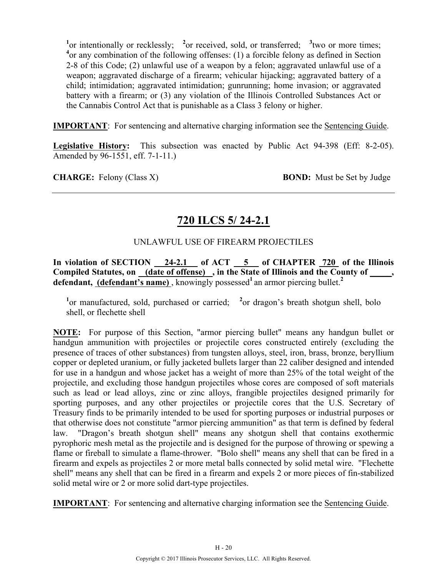<sup>1</sup> or intentionally or recklessly; <sup>2</sup> or received, sold, or transferred; <sup>3</sup> two or more times; <sup>4</sup> or any combination of the following offenses: (1) a forcible felony as defined in Section 2-8 of this Code; (2) unlawful use of a weapon by a felon; aggravated unlawful use of a weapon; aggravated discharge of a firearm; vehicular hijacking; aggravated battery of a child; intimidation; aggravated intimidation; gunrunning; home invasion; or aggravated battery with a firearm; or (3) any violation of the Illinois Controlled Substances Act or the Cannabis Control Act that is punishable as a Class 3 felony or higher.

**IMPORTANT**: For sentencing and alternative charging information see the Sentencing Guide.

**Legislative History:** This subsection was enacted by Public Act 94-398 (Eff: 8-2-05). Amended by 96-1551, eff. 7-1-11.)

**CHARGE:** Felony (Class X) **BOND:** Must be Set by Judge

# **720 ILCS 5/ 24-2.1**

### UNLAWFUL USE OF FIREARM PROJECTILES

**In violation of SECTION 24-2.1 of ACT 5 of CHAPTER 720 of the Illinois Compiled Statutes, on (date of offense) , in the State of Illinois and the County of \_\_\_\_\_, defendant, (defendant's name)**, knowingly possessed<sup>1</sup> an armor piercing bullet.<sup>2</sup>

<sup>1</sup> or manufactured, sold, purchased or carried; <sup>2</sup> or dragon's breath shotgun shell, bolo shell, or flechette shell

**NOTE:** For purpose of this Section, "armor piercing bullet" means any handgun bullet or handgun ammunition with projectiles or projectile cores constructed entirely (excluding the presence of traces of other substances) from tungsten alloys, steel, iron, brass, bronze, beryllium copper or depleted uranium, or fully jacketed bullets larger than 22 caliber designed and intended for use in a handgun and whose jacket has a weight of more than 25% of the total weight of the projectile, and excluding those handgun projectiles whose cores are composed of soft materials such as lead or lead alloys, zinc or zinc alloys, frangible projectiles designed primarily for sporting purposes, and any other projectiles or projectile cores that the U.S. Secretary of Treasury finds to be primarily intended to be used for sporting purposes or industrial purposes or that otherwise does not constitute "armor piercing ammunition" as that term is defined by federal law. "Dragon's breath shotgun shell" means any shotgun shell that contains exothermic pyrophoric mesh metal as the projectile and is designed for the purpose of throwing or spewing a flame or fireball to simulate a flame-thrower. "Bolo shell" means any shell that can be fired in a firearm and expels as projectiles 2 or more metal balls connected by solid metal wire. "Flechette shell" means any shell that can be fired in a firearm and expels 2 or more pieces of fin-stabilized solid metal wire or 2 or more solid dart-type projectiles.

**IMPORTANT**: For sentencing and alternative charging information see the Sentencing Guide.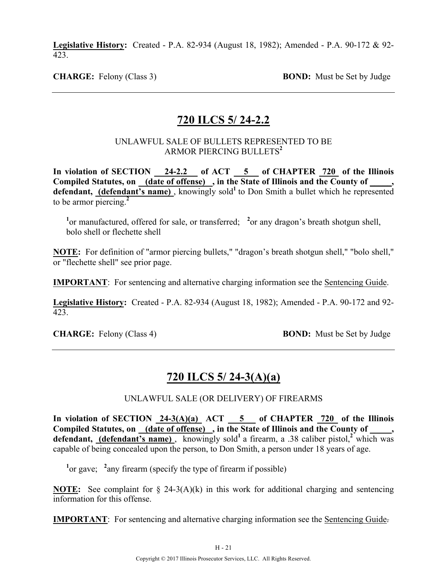**Legislative History:** Created - P.A. 82-934 (August 18, 1982); Amended - P.A. 90-172 & 92- 423.

**CHARGE:** Felony (Class 3) **BOND:** Must be Set by Judge

### **720 ILCS 5/ 24-2.2**

#### UNLAWFUL SALE OF BULLETS REPRESENTED TO BE ARMOR PIERCING BULLETS**<sup>2</sup>**

In violation of SECTION 24-2.2 of ACT 5 of CHAPTER 720 of the Illinois **Compiled Statutes, on (date of offense) , in the State of Illinois and the County of \_\_\_\_\_,**  defendant, (defendant's name), knowingly sold<sup>1</sup> to Don Smith a bullet which he represented to be armor piercing.**<sup>2</sup>**

<sup>1</sup> or manufactured, offered for sale, or transferred; <sup>2</sup> or any dragon's breath shotgun shell, bolo shell or flechette shell

**NOTE:** For definition of "armor piercing bullets," "dragon's breath shotgun shell," "bolo shell," or "flechette shell" see prior page.

**IMPORTANT**: For sentencing and alternative charging information see the Sentencing Guide.

**Legislative History:** Created - P.A. 82-934 (August 18, 1982); Amended - P.A. 90-172 and 92- 423.

**CHARGE:** Felony (Class 4) **BOND:** Must be Set by Judge

### **720 ILCS 5/ 24-3(A)(a)**

UNLAWFUL SALE (OR DELIVERY) OF FIREARMS

In violation of SECTION  $24-3(A)(a)$  ACT  $\overline{5}$  of CHAPTER  $720$  of the Illinois Compiled Statutes, on <u>(date of offense)</u>, in the State of Illinois and the County of defendant, (defendant's name), knowingly sold<sup>1</sup> a firearm, a .38 caliber pistol,<sup>2</sup> which was capable of being concealed upon the person, to Don Smith, a person under 18 years of age.

<sup>1</sup> or gave; <sup>2</sup> any firearm (specify the type of firearm if possible)

**NOTE:** See complaint for § 24-3(A)(k) in this work for additional charging and sentencing information for this offense.

**IMPORTANT**: For sentencing and alternative charging information see the Sentencing Guide.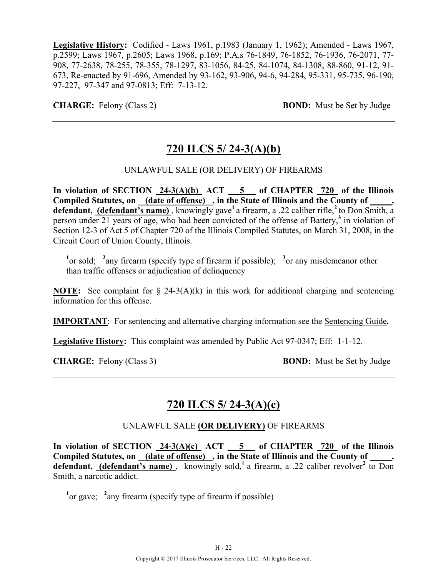**Legislative History:** Codified - Laws 1961, p.1983 (January 1, 1962); Amended - Laws 1967, p.2599; Laws 1967, p.2605; Laws 1968, p.169; P.A.s 76-1849, 76-1852, 76-1936, 76-2071, 77- 908, 77-2638, 78-255, 78-355, 78-1297, 83-1056, 84-25, 84-1074, 84-1308, 88-860, 91-12, 91- 673, Re-enacted by 91-696, Amended by 93-162, 93-906, 94-6, 94-284, 95-331, 95-735, 96-190, 97-227, 97-347 and 97-0813; Eff: 7-13-12.

**CHARGE:** Felony (Class 2) **BOND:** Must be Set by Judge

# **720 ILCS 5/ 24-3(A)(b)**

### UNLAWFUL SALE (OR DELIVERY) OF FIREARMS

In violation of SECTION  $24-3(A)(b)$  ACT  $5$  of CHAPTER  $720$  of the Illinois **Compiled Statutes, on (date of offense) , in the State of Illinois and the County of \_\_\_\_\_,**  defendant, (defendant's name), knowingly gave<sup>1</sup> a firearm, a .22 caliber rifle,<sup>2</sup> to Don Smith, a person under 21 years of age, who had been convicted of the offense of Battery,**<sup>3</sup>** in violation of Section 12-3 of Act 5 of Chapter 720 of the Illinois Compiled Statutes, on March 31, 2008, in the Circuit Court of Union County, Illinois.

<sup>1</sup><sup>or</sup> sold; <sup>2</sup><sup>a</sup> any firearm (specify type of firearm if possible); <sup>3</sup><sup>or</sup> any misdemeanor other than traffic offenses or adjudication of delinquency

**NOTE:** See complaint for § 24-3(A)(k) in this work for additional charging and sentencing information for this offense.

**IMPORTANT**: For sentencing and alternative charging information see the Sentencing Guide**.**

**Legislative History:** This complaint was amended by Public Act 97-0347; Eff: 1-1-12.

**CHARGE:** Felony (Class 3) **BOND:** Must be Set by Judge

### **720 ILCS 5/ 24-3(A)(c)**

#### UNLAWFUL SALE **(OR DELIVERY)** OF FIREARMS

**In violation of SECTION 24-3(A)(c) ACT 5 of CHAPTER 720 of the Illinois Compiled Statutes, on (date of offense) , in the State of Illinois and the County of \_\_\_\_\_, defendant, (defendant's name)** , knowingly sold,**<sup>1</sup>**a firearm, a .22 caliber revolver**<sup>2</sup>** to Don Smith, a narcotic addict.

 $\frac{1}{2}$  or gave;  $\frac{2}{3}$  any firearm (specify type of firearm if possible)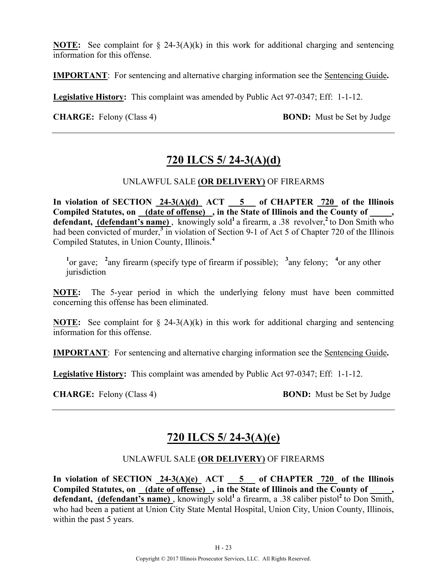**NOTE:** See complaint for § 24-3(A)(k) in this work for additional charging and sentencing information for this offense.

**IMPORTANT**: For sentencing and alternative charging information see the Sentencing Guide**.**

**Legislative History:** This complaint was amended by Public Act 97-0347; Eff: 1-1-12.

**CHARGE:** Felony (Class 4) **BOND:** Must be Set by Judge

# **720 ILCS 5/ 24-3(A)(d)**

### UNLAWFUL SALE **(OR DELIVERY)** OF FIREARMS

In violation of SECTION  $24-3(A)(d)$  ACT  $5$  of CHAPTER  $720$  of the Illinois Compiled Statutes, on (date of offense), in the State of Illinois and the County of defendant, (defendant's name), knowingly sold<sup>1</sup> a firearm, a .38 revolver,<sup>2</sup> to Don Smith who had been convicted of murder,<sup>3</sup> in violation of Section 9-1 of Act 5 of Chapter 720 of the Illinois Compiled Statutes, in Union County, Illinois.**<sup>4</sup>**

<sup>1</sup><sup>or gave; <sup>2</sup> any firearm (specify type of firearm if possible); <sup>3</sup> any felony; <sup>4</sup> or any other</sup> jurisdiction

**NOTE:** The 5-year period in which the underlying felony must have been committed concerning this offense has been eliminated.

**NOTE:** See complaint for § 24-3(A)(k) in this work for additional charging and sentencing information for this offense.

**IMPORTANT**: For sentencing and alternative charging information see the Sentencing Guide**.**

**Legislative History:** This complaint was amended by Public Act 97-0347; Eff: 1-1-12.

**CHARGE:** Felony (Class 4) **BOND:** Must be Set by Judge

# **720 ILCS 5/ 24-3(A)(e)**

### UNLAWFUL SALE **(OR DELIVERY)** OF FIREARMS

**In violation of SECTION 24-3(A)(e) ACT 5 of CHAPTER 720 of the Illinois**  Compiled Statutes, on (date of offense), in the State of Illinois and the County of defendant, (defendant's name), knowingly sold<sup>1</sup> a firearm, a .38 caliber pistol<sup>2</sup> to Don Smith, who had been a patient at Union City State Mental Hospital, Union City, Union County, Illinois, within the past 5 years.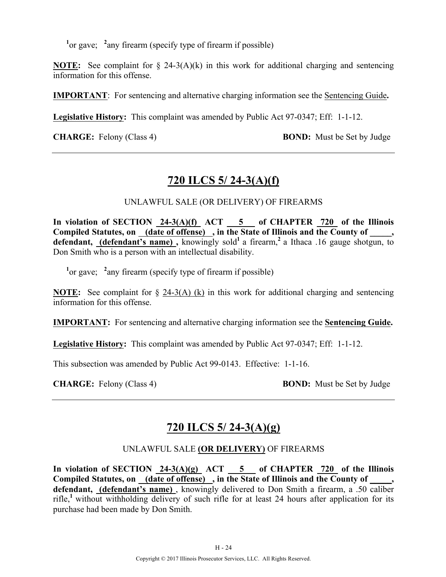$\frac{1}{2}$  or gave;  $\frac{2}{3}$  any firearm (specify type of firearm if possible)

**NOTE:** See complaint for § 24-3(A)(k) in this work for additional charging and sentencing information for this offense.

**IMPORTANT**: For sentencing and alternative charging information see the Sentencing Guide**.**

**Legislative History:** This complaint was amended by Public Act 97-0347; Eff: 1-1-12.

**CHARGE:** Felony (Class 4) **BOND:** Must be Set by Judge

# **720 ILCS 5/ 24-3(A)(f)**

UNLAWFUL SALE (OR DELIVERY) OF FIREARMS

In violation of SECTION  $24-3(A)(f)$  ACT  $5$  of CHAPTER  $720$  of the Illinois Compiled Statutes, on (date of offense), in the State of Illinois and the County of, defendant, (defendant's name), knowingly sold<sup>1</sup> a firearm,<sup>2</sup> a Ithaca .16 gauge shotgun, to Don Smith who is a person with an intellectual disability.

 $\frac{1}{2}$  or gave;  $\frac{2}{3}$  any firearm (specify type of firearm if possible)

**NOTE:** See complaint for § 24-3(A) (k) in this work for additional charging and sentencing information for this offense.

**IMPORTANT:** For sentencing and alternative charging information see the **Sentencing Guide.**

**Legislative History:** This complaint was amended by Public Act 97-0347; Eff: 1-1-12.

This subsection was amended by Public Act 99-0143. Effective: 1-1-16.

**CHARGE:** Felony (Class 4) **BOND:** Must be Set by Judge

# **720 ILCS 5/ 24-3(A)(g)**

### UNLAWFUL SALE **(OR DELIVERY)** OF FIREARMS

In violation of SECTION  $24-3(A)(g)$  ACT  $5$  of CHAPTER  $720$  of the Illinois **Compiled Statutes, on (date of offense) , in the State of Illinois and the County of \_\_\_\_\_, defendant, (defendant's name)** , knowingly delivered to Don Smith a firearm, a .50 caliber rifle,**<sup>1</sup>**without withholding delivery of such rifle for at least 24 hours after application for its purchase had been made by Don Smith.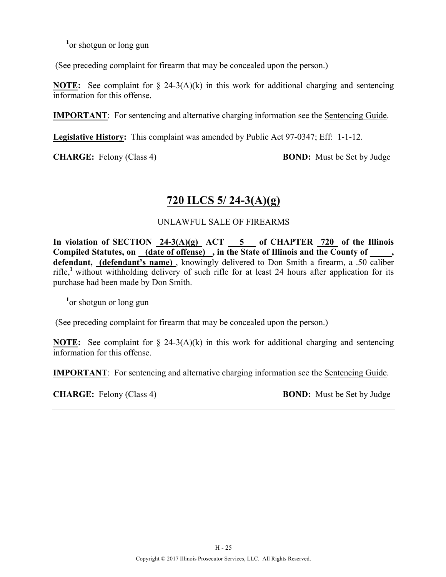**1** or shotgun or long gun

(See preceding complaint for firearm that may be concealed upon the person.)

**NOTE:** See complaint for  $\S$  24-3(A)(k) in this work for additional charging and sentencing information for this offense.

**IMPORTANT**: For sentencing and alternative charging information see the Sentencing Guide.

**Legislative History:** This complaint was amended by Public Act 97-0347; Eff: 1-1-12.

**CHARGE:** Felony (Class 4) **BOND:** Must be Set by Judge

# **720 ILCS 5/ 24-3(A)(g)**

### UNLAWFUL SALE OF FIREARMS

In violation of SECTION  $24-3(A)(g)$  ACT  $-5$  of CHAPTER 720 of the Illinois Compiled Statutes, on (date of offense), in the State of Illinois and the County of defendant, *(defendant's name)*, knowingly delivered to Don Smith a firearm, a .50 caliber rifle,**<sup>1</sup>**without withholding delivery of such rifle for at least 24 hours after application for its purchase had been made by Don Smith.

**1** or shotgun or long gun

(See preceding complaint for firearm that may be concealed upon the person.)

**NOTE:** See complaint for § 24-3(A)(k) in this work for additional charging and sentencing information for this offense.

**IMPORTANT**: For sentencing and alternative charging information see the Sentencing Guide.

**CHARGE:** Felony (Class 4) **BOND:** Must be Set by Judge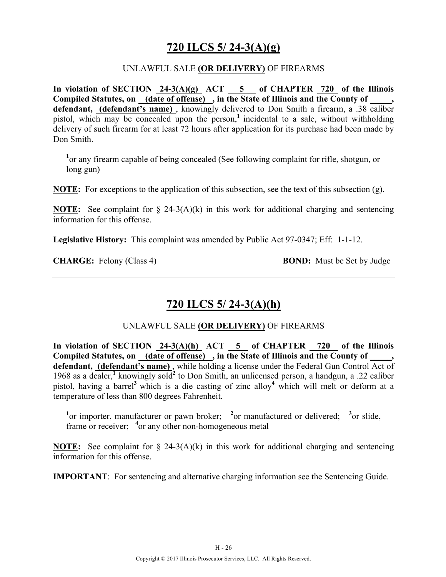# **720 ILCS 5/ 24-3(A)(g)**

### UNLAWFUL SALE **(OR DELIVERY)** OF FIREARMS

In violation of SECTION  $24-3(A)(g)$  ACT  $\overline{\hspace{1cm}}$  5 of CHAPTER 720 of the Illinois **Compiled Statutes, on (date of offense) , in the State of Illinois and the County of \_\_\_\_\_, defendant, (defendant's name)** , knowingly delivered to Don Smith a firearm, a .38 caliber pistol, which may be concealed upon the person,<sup>1</sup> incidental to a sale, without withholding delivery of such firearm for at least 72 hours after application for its purchase had been made by Don Smith.

<sup>1</sup> or any firearm capable of being concealed (See following complaint for rifle, shotgun, or long gun)

**NOTE:** For exceptions to the application of this subsection, see the text of this subsection (g).

**NOTE:** See complaint for § 24-3(A)(k) in this work for additional charging and sentencing information for this offense.

**Legislative History:** This complaint was amended by Public Act 97-0347; Eff: 1-1-12.

**CHARGE:** Felony (Class 4) **BOND:** Must be Set by Judge

# **720 ILCS 5/ 24-3(A)(h)**

### UNLAWFUL SALE **(OR DELIVERY)** OF FIREARMS

In violation of SECTION  $24-3(A)(h)$  ACT  $5$  of CHAPTER 720 of the Illinois Compiled Statutes, on (date of offense), in the State of Illinois and the County of **defendant, (defendant's name)** , while holding a license under the Federal Gun Control Act of 1968 as a dealer,**<sup>1</sup>** knowingly sold**<sup>2</sup>** to Don Smith, an unlicensed person, a handgun, a .22 caliber pistol, having a barrel**<sup>3</sup>**which is a die casting of zinc alloy**<sup>4</sup>** which will melt or deform at a temperature of less than 800 degrees Fahrenheit.

<sup>1</sup> or importer, manufacturer or pawn broker; <sup>2</sup> or manufactured or delivered; <sup>3</sup> or slide, frame or receiver; <sup>4</sup> or any other non-homogeneous metal

**NOTE:** See complaint for § 24-3(A)(k) in this work for additional charging and sentencing information for this offense.

**IMPORTANT**: For sentencing and alternative charging information see the Sentencing Guide.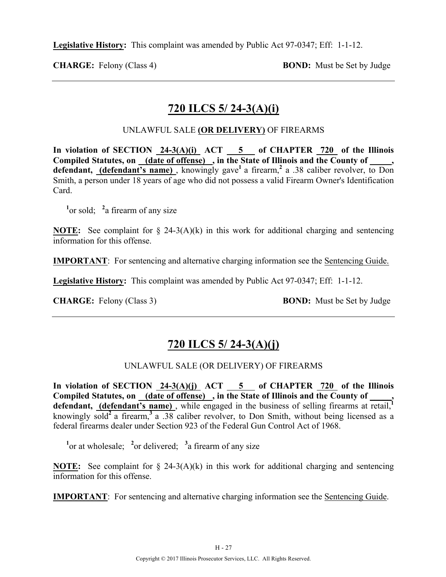**Legislative History:** This complaint was amended by Public Act 97-0347; Eff: 1-1-12.

**CHARGE:** Felony (Class 4) **BOND:** Must be Set by Judge

# **720 ILCS 5/ 24-3(A)(i)**

### UNLAWFUL SALE **(OR DELIVERY)** OF FIREARMS

In violation of SECTION  $24-3(A)(i)$  ACT  $5$  of CHAPTER 720 of the Illinois **Compiled Statutes, on (date of offense) , in the State of Illinois and the County of \_\_\_\_\_,**  defendant, (defendant's name), knowingly gave<sup>1</sup> a firearm,<sup>2</sup> a .38 caliber revolver, to Don Smith, a person under 18 years of age who did not possess a valid Firearm Owner's Identification Card.

<sup>1</sup><sup>or</sup> sold; <sup>2</sup><sup>a</sup> firearm of any size

**NOTE:** See complaint for § 24-3(A)(k) in this work for additional charging and sentencing information for this offense.

**IMPORTANT**: For sentencing and alternative charging information see the Sentencing Guide.

**Legislative History:** This complaint was amended by Public Act 97-0347; Eff: 1-1-12.

**CHARGE:** Felony (Class 3) **BOND:** Must be Set by Judge

# **720 ILCS 5/ 24-3(A)(j)**

### UNLAWFUL SALE (OR DELIVERY) OF FIREARMS

In violation of SECTION  $24-3(A)(j)$  ACT  $5$  of CHAPTER  $720$  of the Illinois Compiled Statutes, on \_(date of offense) , in the State of Illinois and the County of \_ defendant, **(defendant's name)**, while engaged in the business of selling firearms at retail,<sup>1</sup> knowingly sold**<sup>2</sup>**a firearm,**<sup>3</sup>**a .38 caliber revolver, to Don Smith, without being licensed as a federal firearms dealer under Section 923 of the Federal Gun Control Act of 1968.

<sup>1</sup><sup>or</sup> at wholesale; <sup>2</sup><sup>or</sup> delivered; <sup>3</sup><sup>a</sup> firearm of any size

**NOTE:** See complaint for  $\S$  24-3(A)(k) in this work for additional charging and sentencing information for this offense.

**IMPORTANT**: For sentencing and alternative charging information see the Sentencing Guide.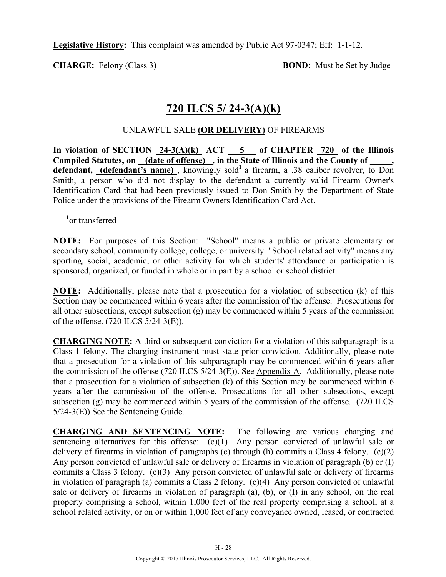**Legislative History:** This complaint was amended by Public Act 97-0347; Eff: 1-1-12.

**CHARGE:** Felony (Class 3) **BOND:** Must be Set by Judge

# **720 ILCS 5/ 24-3(A)(k)**

### UNLAWFUL SALE **(OR DELIVERY)** OF FIREARMS

In violation of SECTION  $24-3(A)(k)$  ACT  $5$  of CHAPTER 720 of the Illinois **Compiled Statutes, on (date of offense) , in the State of Illinois and the County of \_\_\_\_\_, defendant, (defendant's name)**, knowingly sold<sup>1</sup> a firearm, a .38 caliber revolver, to Don Smith, a person who did not display to the defendant a currently valid Firearm Owner's Identification Card that had been previously issued to Don Smith by the Department of State Police under the provisions of the Firearm Owners Identification Card Act.

**1** or transferred

**NOTE:** For purposes of this Section: "School" means a public or private elementary or secondary school, community college, college, or university. "School related activity" means any sporting, social, academic, or other activity for which students' attendance or participation is sponsored, organized, or funded in whole or in part by a school or school district.

**NOTE:** Additionally, please note that a prosecution for a violation of subsection (k) of this Section may be commenced within 6 years after the commission of the offense. Prosecutions for all other subsections, except subsection (g) may be commenced within 5 years of the commission of the offense. (720 ILCS 5/24-3(E)).

**CHARGING NOTE:** A third or subsequent conviction for a violation of this subparagraph is a Class 1 felony. The charging instrument must state prior conviction. Additionally, please note that a prosecution for a violation of this subparagraph may be commenced within 6 years after the commission of the offense (720 ILCS 5/24-3(E)). See Appendix A. Additionally, please note that a prosecution for a violation of subsection (k) of this Section may be commenced within 6 years after the commission of the offense. Prosecutions for all other subsections, except subsection (g) may be commenced within 5 years of the commission of the offense. (720 ILCS 5/24-3(E)) See the Sentencing Guide.

**CHARGING AND SENTENCING NOTE:** The following are various charging and sentencing alternatives for this offense:  $(c)(1)$  Any person convicted of unlawful sale or delivery of firearms in violation of paragraphs (c) through (h) commits a Class 4 felony. (c)(2) Any person convicted of unlawful sale or delivery of firearms in violation of paragraph (b) or (I) commits a Class 3 felony. (c)(3) Any person convicted of unlawful sale or delivery of firearms in violation of paragraph (a) commits a Class 2 felony. (c)(4) Any person convicted of unlawful sale or delivery of firearms in violation of paragraph (a), (b), or (I) in any school, on the real property comprising a school, within 1,000 feet of the real property comprising a school, at a school related activity, or on or within 1,000 feet of any conveyance owned, leased, or contracted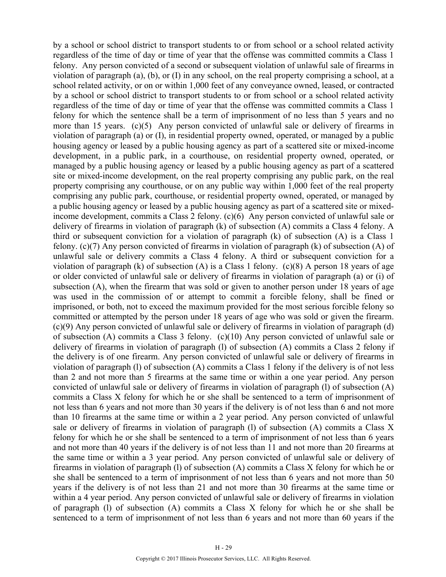by a school or school district to transport students to or from school or a school related activity regardless of the time of day or time of year that the offense was committed commits a Class 1 felony. Any person convicted of a second or subsequent violation of unlawful sale of firearms in violation of paragraph (a), (b), or (I) in any school, on the real property comprising a school, at a school related activity, or on or within 1,000 feet of any conveyance owned, leased, or contracted by a school or school district to transport students to or from school or a school related activity regardless of the time of day or time of year that the offense was committed commits a Class 1 felony for which the sentence shall be a term of imprisonment of no less than 5 years and no more than 15 years. (c)(5) Any person convicted of unlawful sale or delivery of firearms in violation of paragraph (a) or (I), in residential property owned, operated, or managed by a public housing agency or leased by a public housing agency as part of a scattered site or mixed-income development, in a public park, in a courthouse, on residential property owned, operated, or managed by a public housing agency or leased by a public housing agency as part of a scattered site or mixed-income development, on the real property comprising any public park, on the real property comprising any courthouse, or on any public way within 1,000 feet of the real property comprising any public park, courthouse, or residential property owned, operated, or managed by a public housing agency or leased by a public housing agency as part of a scattered site or mixedincome development, commits a Class 2 felony. (c)(6) Any person convicted of unlawful sale or delivery of firearms in violation of paragraph (k) of subsection (A) commits a Class 4 felony. A third or subsequent conviction for a violation of paragraph (k) of subsection (A) is a Class 1 felony. (c)(7) Any person convicted of firearms in violation of paragraph (k) of subsection (A) of unlawful sale or delivery commits a Class 4 felony. A third or subsequent conviction for a violation of paragraph (k) of subsection (A) is a Class 1 felony. (c)(8) A person 18 years of age or older convicted of unlawful sale or delivery of firearms in violation of paragraph (a) or (i) of subsection (A), when the firearm that was sold or given to another person under 18 years of age was used in the commission of or attempt to commit a forcible felony, shall be fined or imprisoned, or both, not to exceed the maximum provided for the most serious forcible felony so committed or attempted by the person under 18 years of age who was sold or given the firearm. (c)(9) Any person convicted of unlawful sale or delivery of firearms in violation of paragraph (d) of subsection (A) commits a Class 3 felony. (c)(10) Any person convicted of unlawful sale or delivery of firearms in violation of paragraph (l) of subsection (A) commits a Class 2 felony if the delivery is of one firearm. Any person convicted of unlawful sale or delivery of firearms in violation of paragraph (l) of subsection (A) commits a Class 1 felony if the delivery is of not less than 2 and not more than 5 firearms at the same time or within a one year period. Any person convicted of unlawful sale or delivery of firearms in violation of paragraph (l) of subsection (A) commits a Class X felony for which he or she shall be sentenced to a term of imprisonment of not less than 6 years and not more than 30 years if the delivery is of not less than 6 and not more than 10 firearms at the same time or within a 2 year period. Any person convicted of unlawful sale or delivery of firearms in violation of paragraph (l) of subsection (A) commits a Class X felony for which he or she shall be sentenced to a term of imprisonment of not less than 6 years and not more than 40 years if the delivery is of not less than 11 and not more than 20 firearms at the same time or within a 3 year period. Any person convicted of unlawful sale or delivery of firearms in violation of paragraph (l) of subsection (A) commits a Class X felony for which he or she shall be sentenced to a term of imprisonment of not less than 6 years and not more than 50 years if the delivery is of not less than 21 and not more than 30 firearms at the same time or within a 4 year period. Any person convicted of unlawful sale or delivery of firearms in violation of paragraph (l) of subsection (A) commits a Class X felony for which he or she shall be sentenced to a term of imprisonment of not less than 6 years and not more than 60 years if the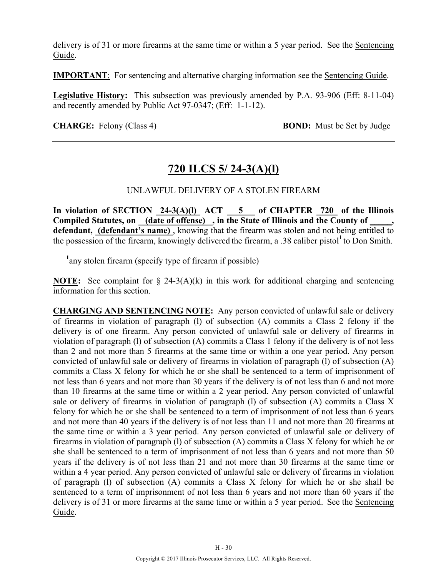delivery is of 31 or more firearms at the same time or within a 5 year period. See the Sentencing Guide.

**IMPORTANT**: For sentencing and alternative charging information see the Sentencing Guide.

**Legislative History:** This subsection was previously amended by P.A. 93-906 (Eff: 8-11-04) and recently amended by Public Act 97-0347; (Eff: 1-1-12).

**CHARGE:** Felony (Class 4) **BOND:** Must be Set by Judge

# **720 ILCS 5/ 24-3(A)(l)**

### UNLAWFUL DELIVERY OF A STOLEN FIREARM

In violation of SECTION  $24-3(A)(I)$  ACT  $5$  of CHAPTER  $720$  of the Illinois **Compiled Statutes, on (date of offense) , in the State of Illinois and the County of \_\_\_\_\_, defendant, (defendant's name)** , knowing that the firearm was stolen and not being entitled to the possession of the firearm, knowingly delivered the firearm, a .38 caliber pistol**<sup>1</sup>**to Don Smith.

<sup>1</sup> any stolen firearm (specify type of firearm if possible)

**NOTE:** See complaint for  $\S$  24-3(A)(k) in this work for additional charging and sentencing information for this section.

**CHARGING AND SENTENCING NOTE:** Any person convicted of unlawful sale or delivery of firearms in violation of paragraph (l) of subsection (A) commits a Class 2 felony if the delivery is of one firearm. Any person convicted of unlawful sale or delivery of firearms in violation of paragraph (l) of subsection (A) commits a Class 1 felony if the delivery is of not less than 2 and not more than 5 firearms at the same time or within a one year period. Any person convicted of unlawful sale or delivery of firearms in violation of paragraph (l) of subsection (A) commits a Class X felony for which he or she shall be sentenced to a term of imprisonment of not less than 6 years and not more than 30 years if the delivery is of not less than 6 and not more than 10 firearms at the same time or within a 2 year period. Any person convicted of unlawful sale or delivery of firearms in violation of paragraph (l) of subsection (A) commits a Class X felony for which he or she shall be sentenced to a term of imprisonment of not less than 6 years and not more than 40 years if the delivery is of not less than 11 and not more than 20 firearms at the same time or within a 3 year period. Any person convicted of unlawful sale or delivery of firearms in violation of paragraph (l) of subsection (A) commits a Class X felony for which he or she shall be sentenced to a term of imprisonment of not less than 6 years and not more than 50 years if the delivery is of not less than 21 and not more than 30 firearms at the same time or within a 4 year period. Any person convicted of unlawful sale or delivery of firearms in violation of paragraph (l) of subsection (A) commits a Class X felony for which he or she shall be sentenced to a term of imprisonment of not less than 6 years and not more than 60 years if the delivery is of 31 or more firearms at the same time or within a 5 year period. See the Sentencing Guide.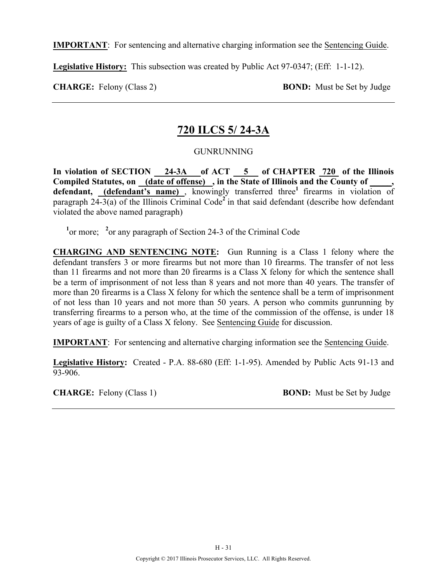**IMPORTANT**: For sentencing and alternative charging information see the Sentencing Guide.

**Legislative History:** This subsection was created by Public Act 97-0347; (Eff: 1-1-12).

**CHARGE:** Felony (Class 2) **BOND:** Must be Set by Judge

### **720 ILCS 5/ 24-3A**

### GUNRUNNING

In violation of SECTION 24-3A of ACT 5 of CHAPTER 720 of the Illinois **Compiled Statutes, on (date of offense) , in the State of Illinois and the County of \_\_\_\_\_,**  defendant, (defendant's name), knowingly transferred three<sup>1</sup> firearms in violation of paragraph  $24-3(a)$  of the Illinois Criminal Code<sup>2</sup> in that said defendant (describe how defendant violated the above named paragraph)

<sup>1</sup> or more; <sup>2</sup> or any paragraph of Section 24-3 of the Criminal Code

**CHARGING AND SENTENCING NOTE:** Gun Running is a Class 1 felony where the defendant transfers 3 or more firearms but not more than 10 firearms. The transfer of not less than 11 firearms and not more than 20 firearms is a Class X felony for which the sentence shall be a term of imprisonment of not less than 8 years and not more than 40 years. The transfer of more than 20 firearms is a Class X felony for which the sentence shall be a term of imprisonment of not less than 10 years and not more than 50 years. A person who commits gunrunning by transferring firearms to a person who, at the time of the commission of the offense, is under 18 years of age is guilty of a Class X felony. See Sentencing Guide for discussion.

**IMPORTANT**: For sentencing and alternative charging information see the Sentencing Guide.

**Legislative History:** Created - P.A. 88-680 (Eff: 1-1-95). Amended by Public Acts 91-13 and 93-906.

**CHARGE:** Felony (Class 1) **BOND:** Must be Set by Judge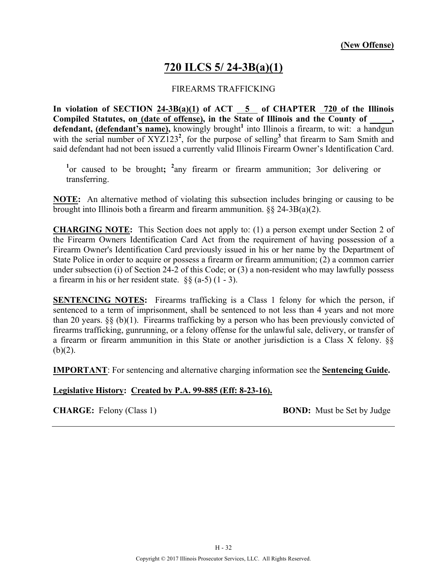# **720 ILCS 5/ 24-3B(a)(1)**

#### FIREARMS TRAFFICKING

**In violation of SECTION 24-3B(a)(1) of ACT 5 of CHAPTER 720 of the Illinois Compiled Statutes, on (date of offense), in the State of Illinois and the County of \_\_\_\_\_, defendant, (defendant's name),** knowingly brought**<sup>1</sup>** into Illinois a firearm, to wit: a handgun with the serial number of XYZ123<sup>2</sup>, for the purpose of selling<sup>3</sup> that firearm to Sam Smith and said defendant had not been issued a currently valid Illinois Firearm Owner's Identification Card.

<sup>1</sup><sup>or</sup> caused to be brought; <sup>2</sup><sup>a</sup>ny firearm or firearm ammunition; 3<sup>or</sup> delivering or transferring.

**NOTE:** An alternative method of violating this subsection includes bringing or causing to be brought into Illinois both a firearm and firearm ammunition.  $\S 24-3B(a)(2)$ .

**CHARGING NOTE:** This Section does not apply to: (1) a person exempt under Section 2 of the Firearm Owners Identification Card Act from the requirement of having possession of a Firearm Owner's Identification Card previously issued in his or her name by the Department of State Police in order to acquire or possess a firearm or firearm ammunition; (2) a common carrier under subsection (i) of Section 24-2 of this Code; or (3) a non-resident who may lawfully possess a firearm in his or her resident state.  $\S\S (a-5)$  (1 - 3).

**SENTENCING NOTES:** Firearms trafficking is a Class 1 felony for which the person, if sentenced to a term of imprisonment, shall be sentenced to not less than 4 years and not more than 20 years.  $\S\S (b)(1)$ . Firearms trafficking by a person who has been previously convicted of firearms trafficking, gunrunning, or a felony offense for the unlawful sale, delivery, or transfer of a firearm or firearm ammunition in this State or another jurisdiction is a Class X felony. §§  $(b)(2)$ .

**IMPORTANT**: For sentencing and alternative charging information see the **Sentencing Guide.**

#### **Legislative History: Created by P.A. 99-885 (Eff: 8-23-16).**

**CHARGE:** Felony (Class 1) **BOND:** Must be Set by Judge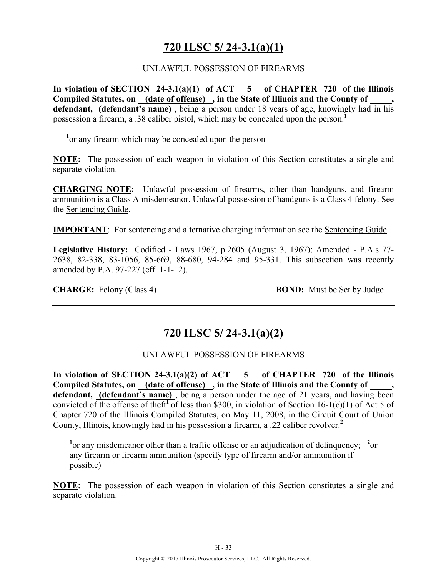# **720 ILSC 5/ 24-3.1(a)(1)**

#### UNLAWFUL POSSESSION OF FIREARMS

**In violation of SECTION 24-3.1(a)(1) of ACT 5 of CHAPTER 720 of the Illinois Compiled Statutes, on (date of offense) , in the State of Illinois and the County of \_\_\_\_\_,**  defendant, (defendant's name), being a person under 18 years of age, knowingly had in his possession a firearm, a .38 caliber pistol, which may be concealed upon the person.**<sup>1</sup>**

<sup>1</sup> or any firearm which may be concealed upon the person

**NOTE:** The possession of each weapon in violation of this Section constitutes a single and separate violation.

**CHARGING NOTE:** Unlawful possession of firearms, other than handguns, and firearm ammunition is a Class A misdemeanor. Unlawful possession of handguns is a Class 4 felony. See the Sentencing Guide.

**IMPORTANT**: For sentencing and alternative charging information see the Sentencing Guide.

**Legislative History:** Codified - Laws 1967, p.2605 (August 3, 1967); Amended - P.A.s 77- 2638, 82-338, 83-1056, 85-669, 88-680, 94-284 and 95-331. This subsection was recently amended by P.A. 97-227 (eff. 1-1-12).

**CHARGE:** Felony (Class 4) **BOND:** Must be Set by Judge

### **720 ILSC 5/ 24-3.1(a)(2)**

#### UNLAWFUL POSSESSION OF FIREARMS

**In violation of SECTION 24-3.1(a)(2) of ACT 5 of CHAPTER 720 of the Illinois**  Compiled Statutes, on (date of offense), in the State of Illinois and the County of defendant, **(defendant's name)**, being a person under the age of 21 years, and having been convicted of the offense of theft<sup>1</sup> of less than \$300, in violation of Section 16-1(c)(1) of Act 5 of Chapter 720 of the Illinois Compiled Statutes, on May 11, 2008, in the Circuit Court of Union County, Illinois, knowingly had in his possession a firearm, a .22 caliber revolver.**<sup>2</sup>**

<sup>1</sup> or any misdemeanor other than a traffic offense or an adjudication of delinquency; <sup>2</sup> or any firearm or firearm ammunition (specify type of firearm and/or ammunition if possible)

**NOTE:** The possession of each weapon in violation of this Section constitutes a single and separate violation.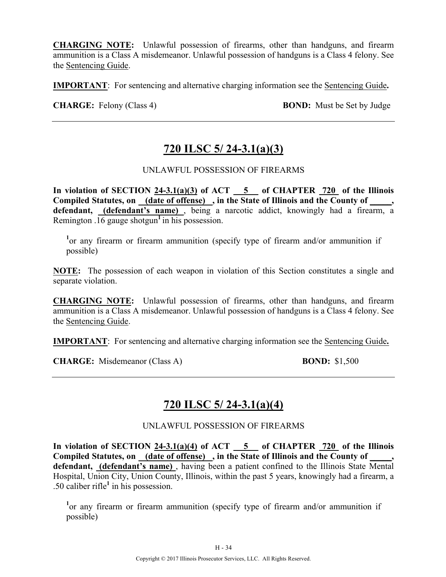**CHARGING NOTE:** Unlawful possession of firearms, other than handguns, and firearm ammunition is a Class A misdemeanor. Unlawful possession of handguns is a Class 4 felony. See the Sentencing Guide.

**IMPORTANT**: For sentencing and alternative charging information see the Sentencing Guide**.**

**CHARGE:** Felony (Class 4) **BOND:** Must be Set by Judge

# **720 ILSC 5/ 24-3.1(a)(3)**

### UNLAWFUL POSSESSION OF FIREARMS

In violation of SECTION  $24-3.1(a)(3)$  of ACT  $-5$  of CHAPTER  $720$  of the Illinois **Compiled Statutes, on (date of offense) , in the State of Illinois and the County of \_\_\_\_\_, defendant, (defendant's name)** , being a narcotic addict, knowingly had a firearm, a Remington  $\overline{.16}$  gauge shotgun<sup>1</sup> in his possession.

<sup>1</sup> or any firearm or firearm ammunition (specify type of firearm and/or ammunition if possible)

**NOTE:** The possession of each weapon in violation of this Section constitutes a single and separate violation.

**CHARGING NOTE:** Unlawful possession of firearms, other than handguns, and firearm ammunition is a Class A misdemeanor. Unlawful possession of handguns is a Class 4 felony. See the Sentencing Guide.

**IMPORTANT**: For sentencing and alternative charging information see the Sentencing Guide**.**

**CHARGE:** Misdemeanor (Class A) **BOND:** \$1,500

### **720 ILSC 5/ 24-3.1(a)(4)**

UNLAWFUL POSSESSION OF FIREARMS

**In violation of SECTION 24-3.1(a)(4) of ACT 5 of CHAPTER 720 of the Illinois**  Compiled Statutes, on (date of offense), in the State of Illinois and the County of **defendant, (defendant's name)** , having been a patient confined to the Illinois State Mental Hospital, Union City, Union County, Illinois, within the past 5 years, knowingly had a firearm, a .50 caliber rifle**<sup>1</sup>** in his possession.

<sup>1</sup> or any firearm or firearm ammunition (specify type of firearm and/or ammunition if possible)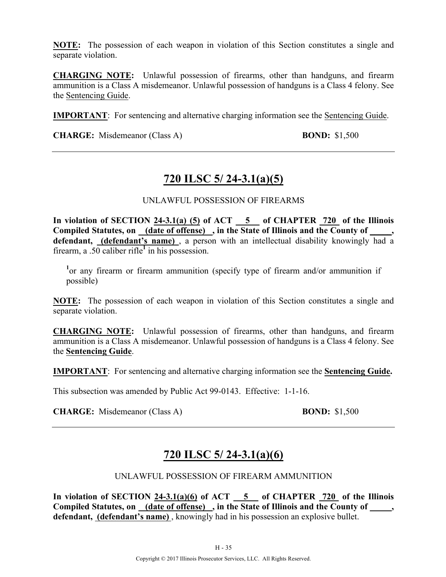**NOTE:** The possession of each weapon in violation of this Section constitutes a single and separate violation.

**CHARGING NOTE:** Unlawful possession of firearms, other than handguns, and firearm ammunition is a Class A misdemeanor. Unlawful possession of handguns is a Class 4 felony. See the Sentencing Guide.

**IMPORTANT**: For sentencing and alternative charging information see the Sentencing Guide.

**CHARGE:** Misdemeanor (Class A) **BOND:** \$1,500

# **720 ILSC 5/ 24-3.1(a)(5)**

### UNLAWFUL POSSESSION OF FIREARMS

**In violation of SECTION 24-3.1(a) (5) of ACT 5 of CHAPTER 720 of the Illinois**  Compiled Statutes, on (date of offense), in the State of Illinois and the County of **defendant, (defendant's name)** , a person with an intellectual disability knowingly had a firearm, a .50 caliber rifle<sup>1</sup> in his possession.

<sup>1</sup> or any firearm or firearm ammunition (specify type of firearm and/or ammunition if possible)

**NOTE:** The possession of each weapon in violation of this Section constitutes a single and separate violation.

**CHARGING NOTE:** Unlawful possession of firearms, other than handguns, and firearm ammunition is a Class A misdemeanor. Unlawful possession of handguns is a Class 4 felony. See the **Sentencing Guide**.

**IMPORTANT**: For sentencing and alternative charging information see the **Sentencing Guide.**

This subsection was amended by Public Act 99-0143. Effective: 1-1-16.

**CHARGE:** Misdemeanor (Class A) **BOND:** \$1,500

# **720 ILSC 5/ 24-3.1(a)(6)**

#### UNLAWFUL POSSESSION OF FIREARM AMMUNITION

In violation of SECTION  $24-3.1(a)(6)$  of ACT  $-5$  of CHAPTER  $720$  of the Illinois **Compiled Statutes, on (date of offense) , in the State of Illinois and the County of \_\_\_\_\_, defendant, (defendant's name)** , knowingly had in his possession an explosive bullet.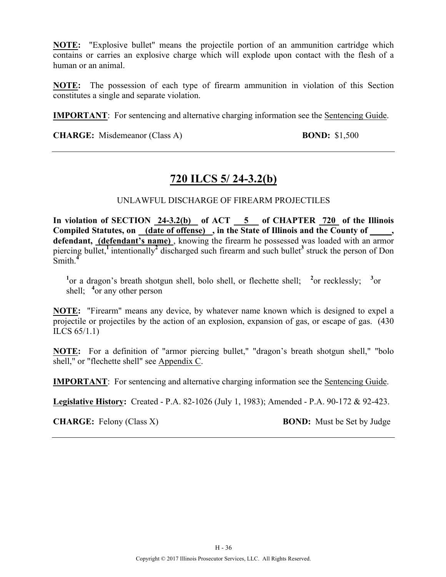**NOTE:** "Explosive bullet" means the projectile portion of an ammunition cartridge which contains or carries an explosive charge which will explode upon contact with the flesh of a human or an animal.

**NOTE:** The possession of each type of firearm ammunition in violation of this Section constitutes a single and separate violation.

**IMPORTANT**: For sentencing and alternative charging information see the Sentencing Guide.

**CHARGE:** Misdemeanor (Class A) **BOND:** \$1,500

# **720 ILCS 5/ 24-3.2(b)**

### UNLAWFUL DISCHARGE OF FIREARM PROJECTILES

**In violation of SECTION 24-3.2(b) of ACT 5 of CHAPTER 720 of the Illinois Compiled Statutes, on (date of offense) , in the State of Illinois and the County of \_\_\_\_\_,**  defendant, (defendant's name), knowing the firearm he possessed was loaded with an armor piercing bullet,<sup>1</sup> intentionally<sup>2</sup> discharged such firearm and such bullet<sup>3</sup> struck the person of Don Smith.**<sup>4</sup>**

<sup>1</sup><sup>or</sup> a dragon's breath shotgun shell, bolo shell, or flechette shell; <sup>2</sup><sup>or</sup> recklessly; <sup>3</sup><sup>or</sup> shell; <sup>4</sup> or any other person

**NOTE:** "Firearm" means any device, by whatever name known which is designed to expel a projectile or projectiles by the action of an explosion, expansion of gas, or escape of gas. (430 ILCS 65/1.1)

**NOTE:** For a definition of "armor piercing bullet," "dragon's breath shotgun shell," "bolo shell," or "flechette shell" see Appendix C.

**IMPORTANT**: For sentencing and alternative charging information see the Sentencing Guide.

**Legislative History:** Created - P.A. 82-1026 (July 1, 1983); Amended - P.A. 90-172 & 92-423.

**CHARGE:** Felony (Class X) **BOND:** Must be Set by Judge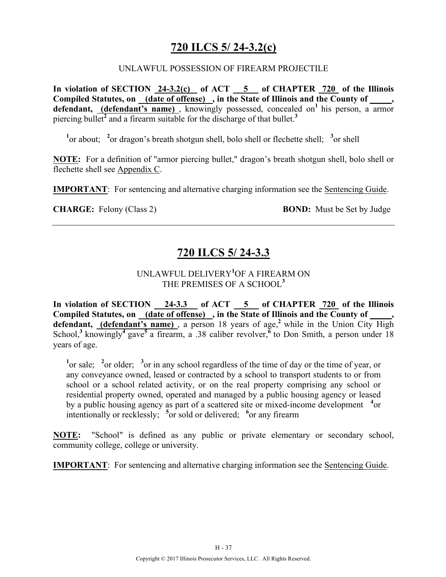# **720 ILCS 5/ 24-3.2(c)**

#### UNLAWFUL POSSESSION OF FIREARM PROJECTILE

**In violation of SECTION 24-3.2(c) of ACT 5 of CHAPTER 720 of the Illinois Compiled Statutes, on (date of offense) , in the State of Illinois and the County of \_\_\_\_\_,**  defendant, (defendant's name), knowingly possessed, concealed on<sup>1</sup> his person, a armor piercing bullet**<sup>2</sup>** and a firearm suitable for the discharge of that bullet.**<sup>3</sup>**

<sup>1</sup> or about; <sup>2</sup> or dragon's breath shotgun shell, bolo shell or flechette shell; <sup>3</sup> or shell

**NOTE:** For a definition of "armor piercing bullet," dragon's breath shotgun shell, bolo shell or flechette shell see Appendix C.

**IMPORTANT**: For sentencing and alternative charging information see the Sentencing Guide.

**CHARGE:** Felony (Class 2) **BOND:** Must be Set by Judge

# **720 ILCS 5/ 24-3.3**

### UNLAWFUL DELIVERY**<sup>1</sup>** OF A FIREARM ON THE PREMISES OF A SCHOOL**<sup>3</sup>**

**In violation of SECTION 24-3.3 of ACT 5 of CHAPTER 720 of the Illinois**  Compiled Statutes, on (date of offense), in the State of Illinois and the County of defendant, (defendant's name), a person 18 years of age,<sup>2</sup> while in the Union City High School,**<sup>3</sup>**knowingly**<sup>4</sup>**gave**<sup>5</sup>**a firearm, a .38 caliber revolver,**<sup>6</sup>**to Don Smith, a person under 18 years of age.

<sup>1</sup><sup>or sale; <sup>2</sup><sup>or</sup> older; <sup>3</sup><sup>or</sup> in any school regardless of the time of day or the time of year, or</sup> any conveyance owned, leased or contracted by a school to transport students to or from school or a school related activity, or on the real property comprising any school or residential property owned, operated and managed by a public housing agency or leased by a public housing agency as part of a scattered site or mixed-income development **<sup>4</sup>** or intentionally or recklessly; <sup>5</sup> or sold or delivered; <sup>6</sup> or any firearm

**NOTE:** "School" is defined as any public or private elementary or secondary school, community college, college or university.

**IMPORTANT**: For sentencing and alternative charging information see the Sentencing Guide.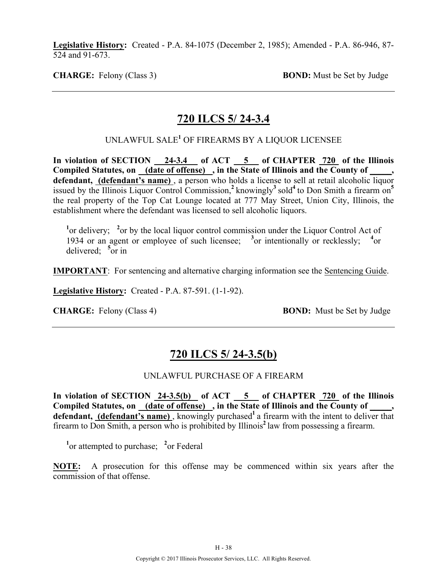**Legislative History:** Created - P.A. 84-1075 (December 2, 1985); Amended - P.A. 86-946, 87- 524 and 91-673.

**CHARGE:** Felony (Class 3) **BOND:** Must be Set by Judge

### **720 ILCS 5/ 24-3.4**

UNLAWFUL SALE**<sup>1</sup>** OF FIREARMS BY A LIQUOR LICENSEE

In violation of SECTION 24-3.4 of ACT 5 of CHAPTER 720 of the Illinois **Compiled Statutes, on (date of offense) , in the State of Illinois and the County of \_\_\_\_\_, defendant, (defendant's name)** , a person who holds a license to sell at retail alcoholic liquor issued by the Illinois Liquor Control Commission,**<sup>2</sup>**knowingly**<sup>3</sup>**sold**<sup>4</sup>**to Don Smith a firearm on**<sup>5</sup>** the real property of the Top Cat Lounge located at 777 May Street, Union City, Illinois, the establishment where the defendant was licensed to sell alcoholic liquors.

<sup>1</sup> or delivery; <sup>2</sup> or by the local liquor control commission under the Liquor Control Act of 1934 or an agent or employee of such licensee; <sup>3</sup> or intentionally or recklessly; <sup>4</sup> or delivered; **<sup>5</sup>** or in

**IMPORTANT**: For sentencing and alternative charging information see the Sentencing Guide.

**Legislative History:** Created - P.A. 87-591. (1-1-92).

**CHARGE:** Felony (Class 4) **BOND:** Must be Set by Judge

### **720 ILCS 5/ 24-3.5(b)**

#### UNLAWFUL PURCHASE OF A FIREARM

In violation of SECTION 24-3.5(b) of ACT 5 of CHAPTER 720 of the Illinois Compiled Statutes, on (date of offense), in the State of Illinois and the County of, defendant, (defendant's name), knowingly purchased<sup>1</sup> a firearm with the intent to deliver that firearm to Don Smith, a person who is prohibited by Illinois**<sup>2</sup>**law from possessing a firearm.

<sup>1</sup><sup>or</sup> attempted to purchase; <sup>2</sup><sup>or</sup> Federal

**NOTE:** A prosecution for this offense may be commenced within six years after the commission of that offense.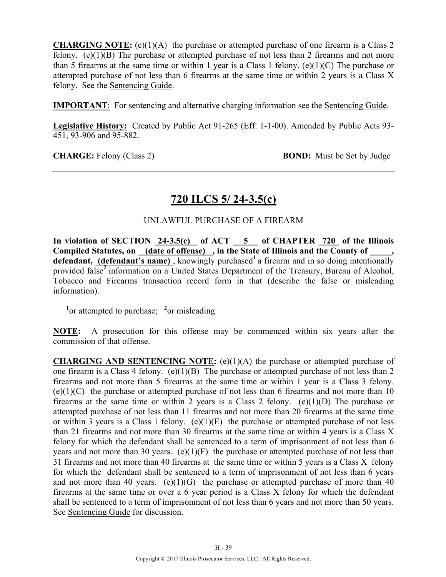**CHARGING NOTE:** (e)(1)(A) the purchase or attempted purchase of one firearm is a Class 2 felony. (e) $(1)(B)$  The purchase or attempted purchase of not less than 2 firearms and not more than 5 firearms at the same time or within 1 year is a Class 1 felony. (e)(1)(C) The purchase or attempted purchase of not less than 6 firearms at the same time or within 2 years is a Class X felony. See the Sentencing Guide.

**IMPORTANT**: For sentencing and alternative charging information see the Sentencing Guide.

**Legislative History:** Created by Public Act 91-265 (Eff: 1-1-00). Amended by Public Acts 93- 451, 93-906 and 95-882.

**CHARGE:** Felony (Class 2) **BOND:** Must be Set by Judge

### **720 ILCS 5/ 24-3.5(c)**

### UNLAWFUL PURCHASE OF A FIREARM

In violation of SECTION 24-3.5(c) of ACT 5 of CHAPTER 720 of the Illinois **Compiled Statutes, on (date of offense) , in the State of Illinois and the County of \_\_\_\_\_,**  defendant, (defendant's name), knowingly purchased<sup>1</sup> a firearm and in so doing intentionally provided false<sup>2</sup> information on a United States Department of the Treasury, Bureau of Alcohol, Tobacco and Firearms transaction record form in that (describe the false or misleading information).

<sup>1</sup><sup>or</sup> attempted to purchase; <sup>2</sup><sup>or</sup> misleading

**NOTE:** A prosecution for this offense may be commenced within six years after the commission of that offense.

**CHARGING AND SENTENCING NOTE:** (e)(1)(A) the purchase or attempted purchase of one firearm is a Class 4 felony. (e)(1)(B) The purchase or attempted purchase of not less than 2 firearms and not more than 5 firearms at the same time or within 1 year is a Class 3 felony.  $(e)(1)(C)$  the purchase or attempted purchase of not less than 6 firearms and not more than 10 firearms at the same time or within 2 years is a Class 2 felony. (e)(1)(D) The purchase or attempted purchase of not less than 11 firearms and not more than 20 firearms at the same time or within 3 years is a Class 1 felony. (e)(1)(E) the purchase or attempted purchase of not less than 21 firearms and not more than 30 firearms at the same time or within 4 years is a Class X felony for which the defendant shall be sentenced to a term of imprisonment of not less than 6 years and not more than 30 years.  $(e)(1)(F)$  the purchase or attempted purchase of not less than 31 firearms and not more than 40 firearms at the same time or within 5 years is a Class X felony for which the defendant shall be sentenced to a term of imprisonment of not less than 6 years and not more than 40 years. (e)(1)(G) the purchase or attempted purchase of more than 40 firearms at the same time or over a 6 year period is a Class X felony for which the defendant shall be sentenced to a term of imprisonment of not less than 6 years and not more than 50 years. See Sentencing Guide for discussion.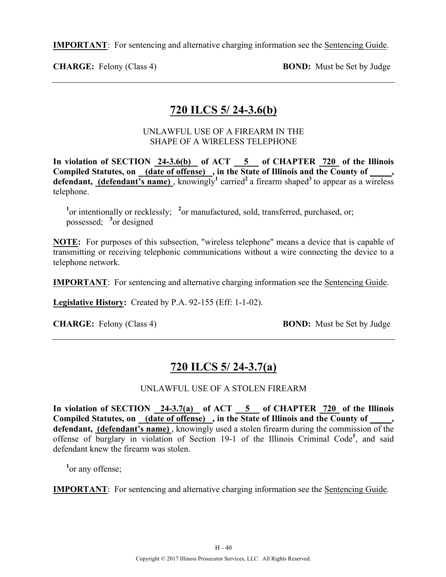**IMPORTANT**: For sentencing and alternative charging information see the Sentencing Guide.

**CHARGE:** Felony (Class 4) **BOND:** Must be Set by Judge

# **720 ILCS 5/ 24-3.6(b)**

### UNLAWFUL USE OF A FIREARM IN THE SHAPE OF A WIRELESS TELEPHONE

In violation of SECTION 24-3.6(b) of ACT 5 of CHAPTER 720 of the Illinois Compiled Statutes, on (date of offense), in the State of Illinois and the County of \_\_\_\_\_, **defendant, (defendant's name)**, knowingly<sup>1</sup> carried<sup>2</sup> a firearm shaped<sup>3</sup> to appear as a wireless telephone.

<sup>1</sup> or intentionally or recklessly; <sup>2</sup> or manufactured, sold, transferred, purchased, or; possessed; **<sup>3</sup>** or designed

**NOTE:** For purposes of this subsection, "wireless telephone" means a device that is capable of transmitting or receiving telephonic communications without a wire connecting the device to a telephone network.

**IMPORTANT**: For sentencing and alternative charging information see the Sentencing Guide.

**Legislative History:** Created by P.A. 92-155 (Eff: 1-1-02).

**CHARGE:** Felony (Class 4) **BOND:** Must be Set by Judge

# **720 ILCS 5/ 24-3.7(a)**

### UNLAWFUL USE OF A STOLEN FIREARM

**In violation of SECTION 24-3.7(a) of ACT 5 of CHAPTER 720 of the Illinois**  Compiled Statutes, on (date of offense), in the State of Illinois and the County of \_\_\_\_, **defendant, (defendant's name)** , knowingly used a stolen firearm during the commission of the offense of burglary in violation of Section 19-1 of the Illinois Criminal Code**<sup>1</sup>** , and said defendant knew the firearm was stolen.

<sup>1</sup><sup>or</sup> any offense;

**IMPORTANT**: For sentencing and alternative charging information see the Sentencing Guide.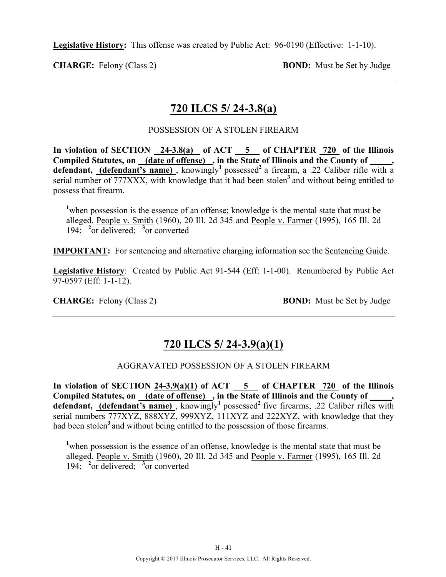**Legislative History:** This offense was created by Public Act: 96-0190 (Effective: 1-1-10).

**CHARGE:** Felony (Class 2) **BOND:** Must be Set by Judge

# **720 ILCS 5/ 24-3.8(a)**

### POSSESSION OF A STOLEN FIREARM

**In violation of SECTION 24-3.8(a) of ACT 5 of CHAPTER 720 of the Illinois Compiled Statutes, on (date of offense) , in the State of Illinois and the County of \_\_\_\_\_,**  defendant, (defendant's name), knowingly<sup>1</sup> possessed<sup>2</sup> a firearm, a .22 Caliber rifle with a serial number of 777XXX, with knowledge that it had been stolen<sup>3</sup> and without being entitled to possess that firearm.

<sup>1</sup>when possession is the essence of an offense; knowledge is the mental state that must be alleged. People v. Smith (1960), 20 Ill. 2d 345 and People v. Farmer (1995), 165 Ill. 2d 194; **<sup>2</sup>** or delivered; **<sup>3</sup>** or converted

**IMPORTANT:** For sentencing and alternative charging information see the Sentencing Guide.

**Legislative History**: Created by Public Act 91-544 (Eff: 1-1-00). Renumbered by Public Act 97-0597 (Eff: 1-1-12).

**CHARGE:** Felony (Class 2) **BOND:** Must be Set by Judge

# **720 ILCS 5/ 24-3.9(a)(1)**

### AGGRAVATED POSSESSION OF A STOLEN FIREARM

**In violation of SECTION 24-3.9(a)(1) of ACT 5 of CHAPTER 720 of the Illinois**  Compiled Statutes, on \_(date of offense) \_, in the State of Illinois and the County of \_ defendant, (defendant's name), knowingly<sup>1</sup> possessed<sup>2</sup> five firearms, .22 Caliber rifles with serial numbers 777XYZ, 888XYZ, 999XYZ, 111XYZ and 222XYZ, with knowledge that they had been stolen<sup>3</sup> and without being entitled to the possession of those firearms.

<sup>1</sup>when possession is the essence of an offense, knowledge is the mental state that must be alleged. People v. Smith (1960), 20 Ill. 2d 345 and People v. Farmer (1995), 165 Ill. 2d 194; **<sup>2</sup>** or delivered; **<sup>3</sup>** or converted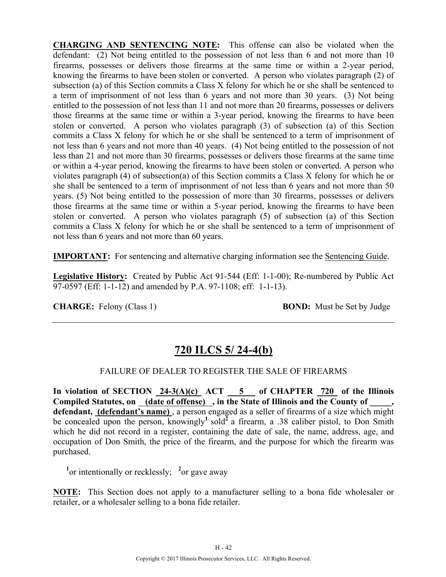**CHARGING AND SENTENCING NOTE:** This offense can also be violated when the defendant: (2) Not being entitled to the possession of not less than 6 and not more than 10 firearms, possesses or delivers those firearms at the same time or within a 2-year period, knowing the firearms to have been stolen or converted. A person who violates paragraph (2) of subsection (a) of this Section commits a Class X felony for which he or she shall be sentenced to a term of imprisonment of not less than 6 years and not more than 30 years. (3) Not being entitled to the possession of not less than 11 and not more than 20 firearms, possesses or delivers those firearms at the same time or within a 3-year period, knowing the firearms to have been stolen or converted. A person who violates paragraph (3) of subsection (a) of this Section commits a Class X felony for which he or she shall be sentenced to a term of imprisonment of not less than 6 years and not more than 40 years. (4) Not being entitled to the possession of not less than 21 and not more than 30 firearms, possesses or delivers those firearms at the same time or within a 4-year period, knowing the firearms to have been stolen or converted. A person who violates paragraph (4) of subsection(a) of this Section commits a Class X felony for which he or she shall be sentenced to a term of imprisonment of not less than 6 years and not more than 50 years. (5) Not being entitled to the possession of more than 30 firearms, possesses or delivers those firearms at the same time or within a 5-year period, knowing the firearms to have been stolen or converted. A person who violates paragraph (5) of subsection (a) of this Section commits a Class X felony for which he or she shall be sentenced to a term of imprisonment of not less than 6 years and not more than 60 years.

**IMPORTANT:** For sentencing and alternative charging information see the Sentencing Guide.

**Legislative History:** Created by Public Act 91-544 (Eff: 1-1-00); Re-numbered by Public Act 97-0597 (Eff: 1-1-12) and amended by P.A. 97-1108; eff: 1-1-13).

**CHARGE:** Felony (Class 1) **BOND:** Must be Set by Judge

# **720 ILCS 5/ 24-4(b)**

### FAILURE OF DEALER TO REGISTER THE SALE OF FIREARMS

In violation of SECTION  $24-3(A)(c)$  ACT  $5$  of CHAPTER  $720$  of the Illinois **Compiled Statutes, on (date of offense) , in the State of Illinois and the County of \_\_\_\_\_, defendant, (defendant's name)** , a person engaged as a seller of firearms of a size which might be concealed upon the person, knowingly<sup>1</sup> sold<sup>2</sup> a firearm, a .38 caliber pistol, to Don Smith which he did not record in a register, containing the date of sale, the name, address, age, and occupation of Don Smith, the price of the firearm, and the purpose for which the firearm was purchased.

<sup>1</sup> or intentionally or recklessly; <sup>2</sup> or gave away

**NOTE:** This Section does not apply to a manufacturer selling to a bona fide wholesaler or retailer, or a wholesaler selling to a bona fide retailer.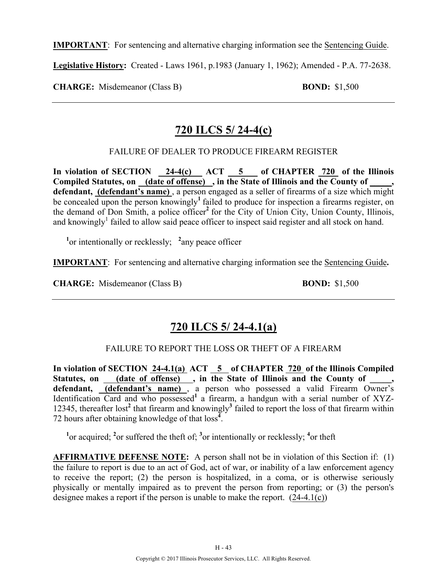**IMPORTANT**: For sentencing and alternative charging information see the Sentencing Guide.

**Legislative History:** Created - Laws 1961, p.1983 (January 1, 1962); Amended - P.A. 77-2638.

**CHARGE:** Misdemeanor (Class B) **BOND:** \$1,500

### **720 ILCS 5/ 24-4(c)**

FAILURE OF DEALER TO PRODUCE FIREARM REGISTER

In violation of SECTION 24-4(c) ACT 5 of CHAPTER 720 of the Illinois **Compiled Statutes, on (date of offense) , in the State of Illinois and the County of \_\_\_\_\_, defendant, (defendant's name)** , a person engaged as a seller of firearms of a size which might be concealed upon the person knowingly<sup>1</sup> failed to produce for inspection a firearms register, on the demand of Don Smith, a police officer<sup>2</sup> for the City of Union City, Union County, Illinois, and knowingly<sup>1</sup> failed to allow said peace officer to inspect said register and all stock on hand.

 **<sup>1</sup>** or intentionally or recklessly; **<sup>2</sup>** any peace officer

**IMPORTANT**: For sentencing and alternative charging information see the Sentencing Guide**.**

**CHARGE:** Misdemeanor (Class B) **BOND:** \$1,500

# **720 ILCS 5/ 24-4.1(a)**

### FAILURE TO REPORT THE LOSS OR THEFT OF A FIREARM

**In violation of SECTION 24-4.1(a) ACT 5 of CHAPTER 720 of the Illinois Compiled**  Statutes, on \_\_\_\_(date of offense) \_\_, in the State of Illinois and the County of defendant, **(defendant's name)**, a person who possessed a valid Firearm Owner's Identification Card and who possessed<sup>1</sup> a firearm, a handgun with a serial number of XYZ-12345, thereafter lost**<sup>2</sup>** that firearm and knowingly**<sup>3</sup>** failed to report the loss of that firearm within 72 hours after obtaining knowledge of that loss**<sup>4</sup>** .

<sup>1</sup><sup>or</sup> acquired; <sup>2</sup><sup>or</sup> suffered the theft of; <sup>3</sup><sup>or</sup> intentionally or recklessly; <sup>4</sup><sup>or</sup> theft

**AFFIRMATIVE DEFENSE NOTE:** A person shall not be in violation of this Section if: (1) the failure to report is due to an act of God, act of war, or inability of a law enforcement agency to receive the report; (2) the person is hospitalized, in a coma, or is otherwise seriously physically or mentally impaired as to prevent the person from reporting; or (3) the person's designee makes a report if the person is unable to make the report. (24-4.1(c))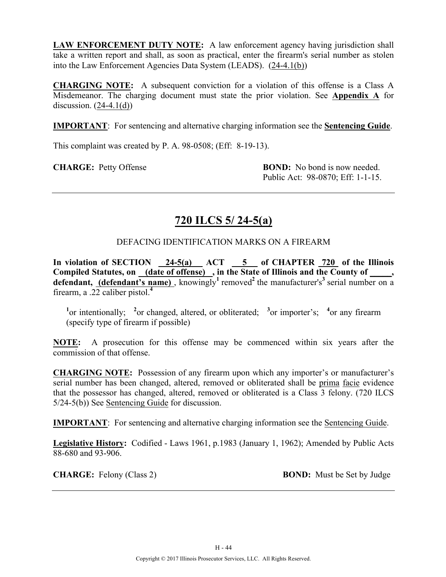**LAW ENFORCEMENT DUTY NOTE:** A law enforcement agency having jurisdiction shall take a written report and shall, as soon as practical, enter the firearm's serial number as stolen into the Law Enforcement Agencies Data System (LEADS). (24-4.1(b))

**CHARGING NOTE:** A subsequent conviction for a violation of this offense is a Class A Misdemeanor. The charging document must state the prior violation. See **Appendix A** for discussion.  $(24-4.1(d))$ 

**IMPORTANT**: For sentencing and alternative charging information see the **Sentencing Guide**.

This complaint was created by P. A. 98-0508; (Eff: 8-19-13).

**CHARGE:** Petty Offense **BOND:** No bond is now needed. Public Act: 98-0870; Eff: 1-1-15.

# **720 ILCS 5/ 24-5(a)**

DEFACING IDENTIFICATION MARKS ON A FIREARM

**In violation of SECTION 24-5(a) ACT 5 of CHAPTER 720 of the Illinois**  Compiled Statutes, on (date of offense), in the State of Illinois and the County of, **defendant, (defendant's name)**, knowingly<sup>1</sup> removed<sup>2</sup> the manufacturer's<sup>3</sup> serial number on a firearm, a .22 caliber pistol.**<sup>4</sup>**

<sup>1</sup><sup>or</sup> intentionally; <sup>2</sup><sup>or</sup> changed, altered, or obliterated; <sup>3</sup><sup>or</sup> importer's; <sup>4</sup><sup>or</sup> any firearm (specify type of firearm if possible)

**NOTE:** A prosecution for this offense may be commenced within six years after the commission of that offense.

**CHARGING NOTE:** Possession of any firearm upon which any importer's or manufacturer's serial number has been changed, altered, removed or obliterated shall be prima facie evidence that the possessor has changed, altered, removed or obliterated is a Class 3 felony. (720 ILCS 5/24-5(b)) See Sentencing Guide for discussion.

**IMPORTANT**: For sentencing and alternative charging information see the Sentencing Guide.

**Legislative History:** Codified - Laws 1961, p.1983 (January 1, 1962); Amended by Public Acts 88-680 and 93-906.

**CHARGE:** Felony (Class 2) **BOND:** Must be Set by Judge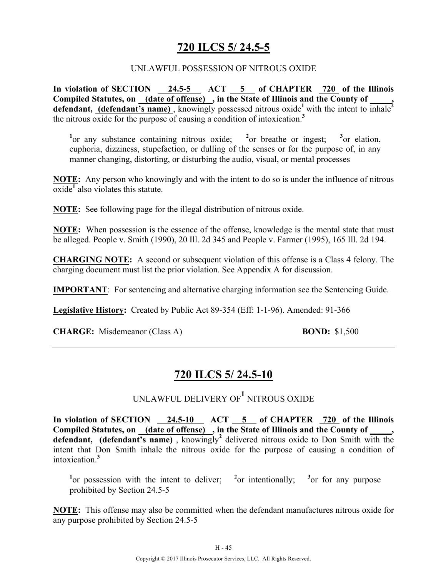# **720 ILCS 5/ 24.5-5**

#### UNLAWFUL POSSESSION OF NITROUS OXIDE

In violation of SECTION 24.5-5 ACT 5 of CHAPTER 720 of the Illinois Compiled Statutes, on <u>(date of offense)</u>, in the State of Illinois and the County of \_\_\_\_, defendant, (defendant's name), knowingly possessed nitrous oxide<sup>1</sup> with the intent to inhale<sup>2</sup> the nitrous oxide for the purpose of causing a condition of intoxication.**<sup>3</sup>**

<sup>1</sup> or any substance containing nitrous oxide; <sup>2</sup> or breathe or ingest; <sup>3</sup> or elation, euphoria, dizziness, stupefaction, or dulling of the senses or for the purpose of, in any manner changing, distorting, or disturbing the audio, visual, or mental processes

**NOTE:** Any person who knowingly and with the intent to do so is under the influence of nitrous oxide**<sup>1</sup>** also violates this statute.

**NOTE:** See following page for the illegal distribution of nitrous oxide.

**NOTE:** When possession is the essence of the offense, knowledge is the mental state that must be alleged. People v. Smith (1990), 20 Ill. 2d 345 and People v. Farmer (1995), 165 Ill. 2d 194.

**CHARGING NOTE:** A second or subsequent violation of this offense is a Class 4 felony. The charging document must list the prior violation. See Appendix A for discussion.

**IMPORTANT**: For sentencing and alternative charging information see the Sentencing Guide.

**Legislative History:** Created by Public Act 89-354 (Eff: 1-1-96). Amended: 91-366

**CHARGE:** Misdemeanor (Class A) **BOND:** \$1,500

# **720 ILCS 5/ 24.5-10**

UNLAWFUL DELIVERY OF**<sup>1</sup>** NITROUS OXIDE

In violation of SECTION 24.5-10 ACT 5 of CHAPTER 720 of the Illinois **Compiled Statutes, on (date of offense) , in the State of Illinois and the County of \_\_\_\_\_,**  defendant, **(defendant's name)**, knowingly<sup>2</sup> delivered nitrous oxide to Don Smith with the intent that Don Smith inhale the nitrous oxide for the purpose of causing a condition of intoxication.**<sup>3</sup>**

<sup>1</sup><sup>or</sup> possession with the intent to deliver; <sup>2</sup><sup>or</sup> intentionally; <sup>3</sup><sup>or</sup> for any purpose prohibited by Section 24.5-5

**NOTE:** This offense may also be committed when the defendant manufactures nitrous oxide for any purpose prohibited by Section 24.5-5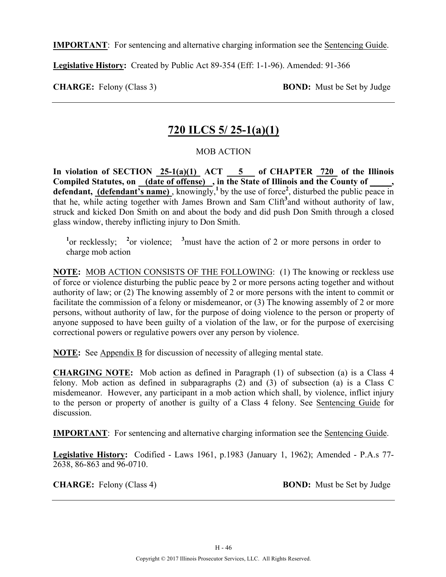**IMPORTANT**: For sentencing and alternative charging information see the Sentencing Guide.

**Legislative History:** Created by Public Act 89-354 (Eff: 1-1-96). Amended: 91-366

**CHARGE:** Felony (Class 3) **BOND:** Must be Set by Judge

### **720 ILCS 5/ 25-1(a)(1)**

### MOB ACTION

In violation of SECTION  $25-1(a)(1)$  ACT  $5$  of CHAPTER 720 of the Illinois Compiled Statutes, on <u>(date of offense)</u>, in the State of Illinois and the County of defendant, (defendant's name), knowingly,<sup>1</sup> by the use of force<sup>2</sup>, disturbed the public peace in that he, while acting together with James Brown and Sam Clift<sup>3</sup> and without authority of law, struck and kicked Don Smith on and about the body and did push Don Smith through a closed glass window, thereby inflicting injury to Don Smith.

<sup>1</sup><sup>or recklessly; <sup>2</sup><sup>or</sup> violence; <sup>3</sup> must have the action of 2 or more persons in order to</sup> charge mob action

**NOTE:** MOB ACTION CONSISTS OF THE FOLLOWING: (1) The knowing or reckless use of force or violence disturbing the public peace by 2 or more persons acting together and without authority of law; or (2) The knowing assembly of 2 or more persons with the intent to commit or facilitate the commission of a felony or misdemeanor, or (3) The knowing assembly of 2 or more persons, without authority of law, for the purpose of doing violence to the person or property of anyone supposed to have been guilty of a violation of the law, or for the purpose of exercising correctional powers or regulative powers over any person by violence.

**NOTE:** See Appendix B for discussion of necessity of alleging mental state.

**CHARGING NOTE:** Mob action as defined in Paragraph (1) of subsection (a) is a Class 4 felony. Mob action as defined in subparagraphs (2) and (3) of subsection (a) is a Class C misdemeanor. However, any participant in a mob action which shall, by violence, inflict injury to the person or property of another is guilty of a Class 4 felony. See Sentencing Guide for discussion.

**IMPORTANT**: For sentencing and alternative charging information see the Sentencing Guide.

**Legislative History:** Codified - Laws 1961, p.1983 (January 1, 1962); Amended - P.A.s 77- 2638, 86-863 and 96-0710.

**CHARGE:** Felony (Class 4) **BOND:** Must be Set by Judge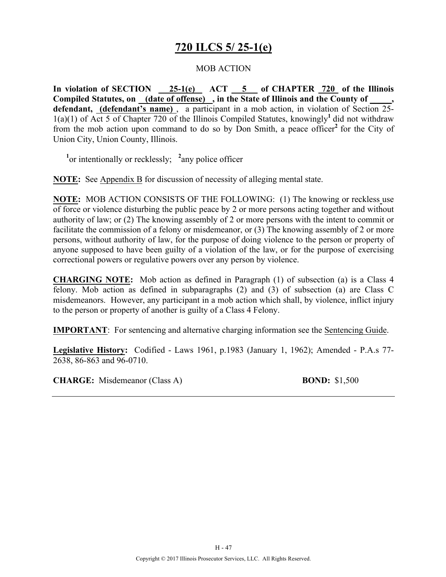# **720 ILCS 5/ 25-1(e)**

#### MOB ACTION

In violation of SECTION 25-1(e) ACT 5 of CHAPTER 720 of the Illinois **Compiled Statutes, on (date of offense) , in the State of Illinois and the County of \_\_\_\_\_, defendant, (defendant's name)** , a participant in a mob action, in violation of Section 25-  $1(a)(1)$  of Act 5 of Chapter 720 of the Illinois Compiled Statutes, knowingly<sup>1</sup> did not withdraw from the mob action upon command to do so by Don Smith, a peace officer**<sup>2</sup>**for the City of Union City, Union County, Illinois.

<sup>1</sup> or intentionally or recklessly; <sup>2</sup> any police officer

**NOTE:** See Appendix B for discussion of necessity of alleging mental state.

**NOTE:** MOB ACTION CONSISTS OF THE FOLLOWING: (1) The knowing or reckless use of force or violence disturbing the public peace by 2 or more persons acting together and without authority of law; or (2) The knowing assembly of 2 or more persons with the intent to commit or facilitate the commission of a felony or misdemeanor, or (3) The knowing assembly of 2 or more persons, without authority of law, for the purpose of doing violence to the person or property of anyone supposed to have been guilty of a violation of the law, or for the purpose of exercising correctional powers or regulative powers over any person by violence.

**CHARGING NOTE:** Mob action as defined in Paragraph (1) of subsection (a) is a Class 4 felony. Mob action as defined in subparagraphs (2) and (3) of subsection (a) are Class C misdemeanors. However, any participant in a mob action which shall, by violence, inflict injury to the person or property of another is guilty of a Class 4 Felony.

**IMPORTANT**: For sentencing and alternative charging information see the Sentencing Guide.

**Legislative History:** Codified - Laws 1961, p.1983 (January 1, 1962); Amended - P.A.s 77- 2638, 86-863 and 96-0710.

**CHARGE:** Misdemeanor (Class A) **BOND:** \$1,500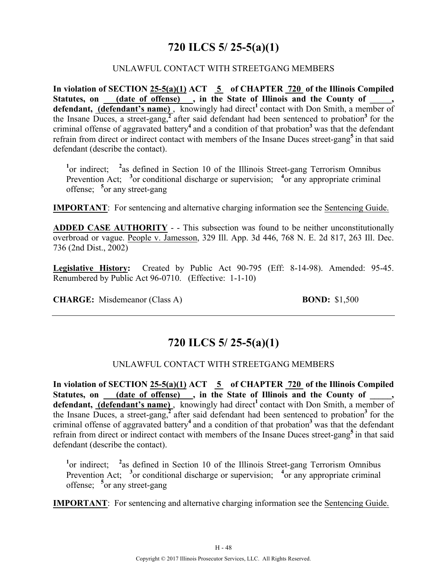# **720 ILCS 5/ 25-5(a)(1)**

### UNLAWFUL CONTACT WITH STREETGANG MEMBERS

**In violation of SECTION 25-5(a)(1) ACT 5 of CHAPTER 720 of the Illinois Compiled**  Statutes, on (date of offense), in the State of Illinois and the County of \_\_\_\_, defendant, (defendant's name), knowingly had direct<sup>1</sup> contact with Don Smith, a member of the Insane Duces, a street-gang,**<sup>2</sup>**after said defendant had been sentenced to probation**<sup>3</sup>**for the criminal offense of aggravated battery**<sup>4</sup>** and a condition of that probation**<sup>3</sup>**was that the defendant refrain from direct or indirect contact with members of the Insane Duces street-gang**<sup>5</sup>**in that said defendant (describe the contact).

<sup>1</sup> or indirect; <sup>2</sup> as defined in Section 10 of the Illinois Street-gang Terrorism Omnibus Prevention Act; <sup>3</sup> or conditional discharge or supervision; <sup>4</sup> or any appropriate criminal offense; **<sup>5</sup>** or any street-gang

**IMPORTANT**: For sentencing and alternative charging information see the Sentencing Guide.

**ADDED CASE AUTHORITY** - - This subsection was found to be neither unconstitutionally overbroad or vague. People v. Jamesson, 329 Ill. App. 3d 446, 768 N. E. 2d 817, 263 Ill. Dec. 736 (2nd Dist., 2002)

**Legislative History:** Created by Public Act 90-795 (Eff: 8-14-98). Amended: 95-45. Renumbered by Public Act 96-0710. (Effective: 1-1-10)

**CHARGE:** Misdemeanor (Class A) **BOND:** \$1,500

### **720 ILCS 5/ 25-5(a)(1)**

### UNLAWFUL CONTACT WITH STREETGANG MEMBERS

**In violation of SECTION 25-5(a)(1) ACT 5 of CHAPTER 720 of the Illinois Compiled**  Statutes, on <u>(date of offense)</u>, in the State of Illinois and the County of, defendant, **(defendant's name)**, knowingly had direct<sup>1</sup> contact with Don Smith, a member of the Insane Duces, a street-gang,<sup>2</sup> after said defendant had been sentenced to probation<sup>3</sup> for the criminal offense of aggravated battery**<sup>4</sup>**and a condition of that probation**<sup>3</sup>**was that the defendant refrain from direct or indirect contact with members of the Insane Duces street-gang**<sup>5</sup>**in that said defendant (describe the contact).

<sup>1</sup> or indirect; <sup>2</sup> as defined in Section 10 of the Illinois Street-gang Terrorism Omnibus Prevention Act; <sup>3</sup> or conditional discharge or supervision; <sup>4</sup> or any appropriate criminal offense; **<sup>5</sup>** or any street-gang

**IMPORTANT**: For sentencing and alternative charging information see the Sentencing Guide.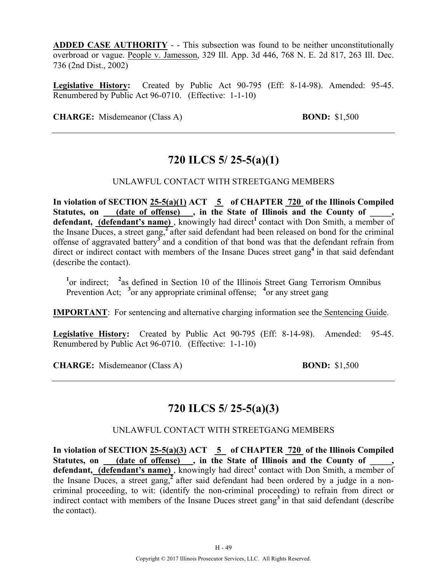**ADDED CASE AUTHORITY** - - This subsection was found to be neither unconstitutionally overbroad or vague. People v. Jamesson, 329 Ill. App. 3d 446, 768 N. E. 2d 817, 263 Ill. Dec. 736 (2nd Dist., 2002)

**Legislative History:** Created by Public Act 90-795 (Eff: 8-14-98). Amended: 95-45. Renumbered by Public Act 96-0710. (Effective: 1-1-10)

**CHARGE:** Misdemeanor (Class A) **BOND:** \$1,500

# **720 ILCS 5/ 25-5(a)(1)**

### UNLAWFUL CONTACT WITH STREETGANG MEMBERS

**In violation of SECTION 25-5(a)(1) ACT 5 of CHAPTER 720 of the Illinois Compiled**  Statutes, on <u>(date of offense)</u>, in the State of Illinois and the County of \_\_\_\_, defendant, **(defendant's name)**, knowingly had direct<sup>1</sup> contact with Don Smith, a member of the Insane Duces, a street gang,**<sup>2</sup>**after said defendant had been released on bond for the criminal offense of aggravated battery**<sup>3</sup>**and a condition of that bond was that the defendant refrain from direct or indirect contact with members of the Insane Duces street gang<sup>4</sup> in that said defendant (describe the contact).

<sup>1</sup> or indirect; <sup>2</sup> as defined in Section 10 of the Illinois Street Gang Terrorism Omnibus Prevention Act; <sup>3</sup> or any appropriate criminal offense; <sup>4</sup> or any street gang

**IMPORTANT**: For sentencing and alternative charging information see the Sentencing Guide.

**Legislative History:** Created by Public Act 90-795 (Eff: 8-14-98). Amended: 95-45. Renumbered by Public Act 96-0710. (Effective: 1-1-10)

**CHARGE:** Misdemeanor (Class A) **BOND:** \$1,500

### **720 ILCS 5/ 25-5(a)(3)**

### UNLAWFUL CONTACT WITH STREETGANG MEMBERS

**In violation of SECTION 25-5(a)(3) ACT 5 of CHAPTER 720 of the Illinois Compiled**  Statutes, on <u>(date of offense)</u>, in the State of Illinois and the County of \_\_\_\_, defendant, (defendant's name), knowingly had direct<sup>1</sup> contact with Don Smith, a member of the Insane Duces, a street gang,**<sup>2</sup>**after said defendant had been ordered by a judge in a noncriminal proceeding, to wit: (identify the non-criminal proceeding) to refrain from direct or indirect contact with members of the Insane Duces street gang**<sup>3</sup>**in that said defendant (describe the contact).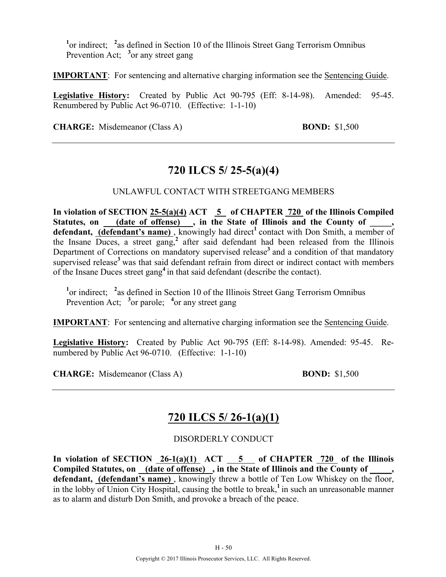<sup>1</sup> or indirect; <sup>2</sup> as defined in Section 10 of the Illinois Street Gang Terrorism Omnibus Prevention Act; <sup>3</sup> or any street gang

**IMPORTANT**: For sentencing and alternative charging information see the Sentencing Guide.

**Legislative History:** Created by Public Act 90-795 (Eff: 8-14-98). Amended: 95-45. Renumbered by Public Act 96-0710. (Effective: 1-1-10)

**CHARGE:** Misdemeanor (Class A) **BOND:** \$1,500

# **720 ILCS 5/ 25-5(a)(4)**

### UNLAWFUL CONTACT WITH STREETGANG MEMBERS

**In violation of SECTION 25-5(a)(4) ACT 5 of CHAPTER 720 of the Illinois Compiled**  Statutes, on \_\_\_\_(date of offense) \_\_, in the State of Illinois and the County of **defendant, (defendant's name)**, knowingly had direct<sup>1</sup> contact with Don Smith, a member of the Insane Duces, a street gang,**<sup>2</sup>** after said defendant had been released from the Illinois Department of Corrections on mandatory supervised release**<sup>3</sup>**and a condition of that mandatory supervised release<sup>3</sup> was that said defendant refrain from direct or indirect contact with members of the Insane Duces street gang**<sup>4</sup>**in that said defendant (describe the contact).

<sup>1</sup> or indirect; <sup>2</sup> as defined in Section 10 of the Illinois Street Gang Terrorism Omnibus Prevention Act; <sup>3</sup> or parole; <sup>4</sup> or any street gang

**IMPORTANT**: For sentencing and alternative charging information see the Sentencing Guide.

**Legislative History:** Created by Public Act 90-795 (Eff: 8-14-98). Amended: 95-45. Renumbered by Public Act 96-0710. (Effective: 1-1-10)

**CHARGE:** Misdemeanor (Class A) **BOND:** \$1,500

# **720 ILCS 5/ 26-1(a)(1)**

### DISORDERLY CONDUCT

**In violation of SECTION 26-1(a)(1) ACT 5 of CHAPTER 720 of the Illinois Compiled Statutes, on (date of offense) , in the State of Illinois and the County of \_\_\_\_\_,**  defendant, (defendant's name), knowingly threw a bottle of Ten Low Whiskey on the floor, in the lobby of Union City Hospital, causing the bottle to break,**<sup>1</sup>**in such an unreasonable manner as to alarm and disturb Don Smith, and provoke a breach of the peace.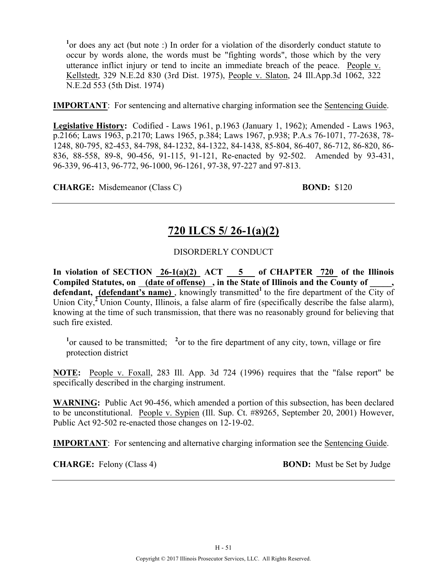<sup>1</sup> or does any act (but note :) In order for a violation of the disorderly conduct statute to occur by words alone, the words must be "fighting words", those which by the very utterance inflict injury or tend to incite an immediate breach of the peace. People v. Kellstedt, 329 N.E.2d 830 (3rd Dist. 1975), People v. Slaton, 24 Ill.App.3d 1062, 322 N.E.2d 553 (5th Dist. 1974)

**IMPORTANT**: For sentencing and alternative charging information see the Sentencing Guide.

**Legislative History:** Codified - Laws 1961, p.1963 (January 1, 1962); Amended - Laws 1963, p.2166; Laws 1963, p.2170; Laws 1965, p.384; Laws 1967, p.938; P.A.s 76-1071, 77-2638, 78- 1248, 80-795, 82-453, 84-798, 84-1232, 84-1322, 84-1438, 85-804, 86-407, 86-712, 86-820, 86- 836, 88-558, 89-8, 90-456, 91-115, 91-121, Re-enacted by 92-502. Amended by 93-431, 96-339, 96-413, 96-772, 96-1000, 96-1261, 97-38, 97-227 and 97-813.

**CHARGE:** Misdemeanor (Class C) **BOND:** \$120

# **720 ILCS 5/ 26-1(a)(2)**

### DISORDERLY CONDUCT

In violation of SECTION  $26-1(a)(2)$  ACT  $5$  of CHAPTER 720 of the Illinois Compiled Statutes, on (date of offense), in the State of Illinois and the County of defendant, (defendant's name), knowingly transmitted<sup>1</sup> to the fire department of the City of Union City,<sup>2</sup> Union County, Illinois, a false alarm of fire (specifically describe the false alarm), knowing at the time of such transmission, that there was no reasonably ground for believing that such fire existed.

<sup>1</sup> or caused to be transmitted; <sup>2</sup> or to the fire department of any city, town, village or fire protection district

**NOTE:** People v. Foxall, 283 Ill. App. 3d 724 (1996) requires that the "false report" be specifically described in the charging instrument.

**WARNING:** Public Act 90-456, which amended a portion of this subsection, has been declared to be unconstitutional. People v. Sypien (Ill. Sup. Ct. #89265, September 20, 2001) However, Public Act 92-502 re-enacted those changes on 12-19-02.

**IMPORTANT**: For sentencing and alternative charging information see the Sentencing Guide.

**CHARGE:** Felony (Class 4) **BOND:** Must be Set by Judge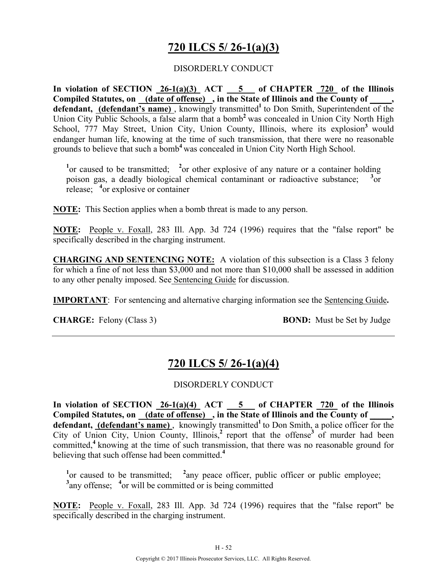# **720 ILCS 5/ 26-1(a)(3)**

### DISORDERLY CONDUCT

In violation of SECTION  $26-1(a)(3)$  ACT  $5$  of CHAPTER  $720$  of the Illinois Compiled Statutes, on (date of offense), in the State of Illinois and the County of defendant, (defendant's name), knowingly transmitted<sup>1</sup> to Don Smith, Superintendent of the Union City Public Schools, a false alarm that a bomb**<sup>2</sup>**was concealed in Union City North High School, 777 May Street, Union City, Union County, Illinois, where its explosion<sup>3</sup> would endanger human life, knowing at the time of such transmission, that there were no reasonable grounds to believe that such a bomb**<sup>4</sup>**was concealed in Union City North High School.

<sup>1</sup> or caused to be transmitted; <sup>2</sup> or other explosive of any nature or a container holding poison gas, a deadly biological chemical contaminant or radioactive substance; **<sup>3</sup>**  $3_{\alpha r}$ release; **<sup>4</sup>** or explosive or container

**NOTE:** This Section applies when a bomb threat is made to any person.

**NOTE:** People v. Foxall, 283 Ill. App. 3d 724 (1996) requires that the "false report" be specifically described in the charging instrument.

**CHARGING AND SENTENCING NOTE:** A violation of this subsection is a Class 3 felony for which a fine of not less than \$3,000 and not more than \$10,000 shall be assessed in addition to any other penalty imposed. See Sentencing Guide for discussion.

**IMPORTANT**: For sentencing and alternative charging information see the Sentencing Guide**.**

**CHARGE:** Felony (Class 3) **BOND:** Must be Set by Judge

# **720 ILCS 5/ 26-1(a)(4)**

### DISORDERLY CONDUCT

**In violation of SECTION 26-1(a)(4) ACT 5 of CHAPTER 720 of the Illinois**  Compiled Statutes, on (date of offense), in the State of Illinois and the County of, defendant, (defendant's name), knowingly transmitted<sup>1</sup> to Don Smith, a police officer for the City of Union City, Union County, Illinois, $^2$  report that the offense<sup>3</sup> of murder had been committed,**<sup>4</sup>**knowing at the time of such transmission, that there was no reasonable ground for believing that such offense had been committed.**<sup>4</sup>**

<sup>1</sup> or caused to be transmitted; <sup>2</sup> any peace officer, public officer or public employee; <sup>3</sup> any offense; <sup>4</sup> or will be committed or is being committed

**NOTE:** People v. Foxall, 283 Ill. App. 3d 724 (1996) requires that the "false report" be specifically described in the charging instrument.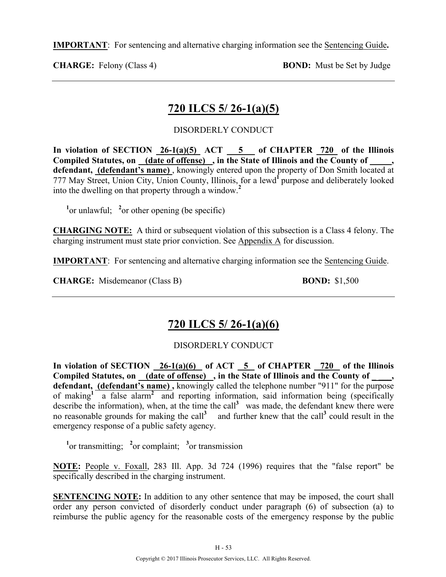**IMPORTANT**: For sentencing and alternative charging information see the Sentencing Guide**.**

**CHARGE:** Felony (Class 4) **BOND:** Must be Set by Judge

# **720 ILCS 5/ 26-1(a)(5)**

### DISORDERLY CONDUCT

In violation of SECTION  $26-1(a)(5)$  ACT  $-5$  of CHAPTER  $720$  of the Illinois **Compiled Statutes, on (date of offense) , in the State of Illinois and the County of \_\_\_\_\_, defendant, (defendant's name)** , knowingly entered upon the property of Don Smith located at 777 May Street, Union City, Union County, Illinois, for a lewd<sup>1</sup> purpose and deliberately looked into the dwelling on that property through a window.**<sup>2</sup>**

 $\frac{1}{2}$  or unlawful;  $\frac{2}{2}$  or other opening (be specific)

**CHARGING NOTE:** A third or subsequent violation of this subsection is a Class 4 felony. The charging instrument must state prior conviction. See Appendix A for discussion.

**IMPORTANT**: For sentencing and alternative charging information see the Sentencing Guide.

**CHARGE:** Misdemeanor (Class B) **BOND:** \$1,500

# **720 ILCS 5/ 26-1(a)(6)**

### DISORDERLY CONDUCT

In violation of SECTION 26-1(a)(6) of ACT 5 of CHAPTER 720 of the Illinois **Compiled Statutes, on (date of offense) , in the State of Illinois and the County of \_ \_\_\_,**  defendant, (defendant's name), knowingly called the telephone number "911" for the purpose of making<sup>1</sup> a false alarm<sup>2</sup> and reporting information, said information being (specifically describe the information), when, at the time the call<sup>3</sup> was made, the defendant knew there were no reasonable grounds for making the call<sup>3</sup> and further knew that the call<sup>3</sup> could result in the emergency response of a public safety agency.

<sup>1</sup><sup>or</sup> transmitting; <sup>2</sup><sup>or</sup> complaint; <sup>3</sup><sup>or</sup> transmission

**NOTE:** People v. Foxall, 283 Ill. App. 3d 724 (1996) requires that the "false report" be specifically described in the charging instrument.

**SENTENCING NOTE:** In addition to any other sentence that may be imposed, the court shall order any person convicted of disorderly conduct under paragraph (6) of subsection (a) to reimburse the public agency for the reasonable costs of the emergency response by the public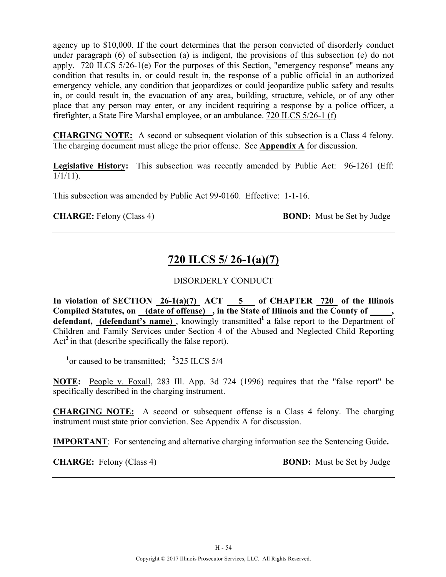agency up to \$10,000. If the court determines that the person convicted of disorderly conduct under paragraph (6) of subsection (a) is indigent, the provisions of this subsection (e) do not apply. 720 ILCS 5/26-1(e) For the purposes of this Section, "emergency response" means any condition that results in, or could result in, the response of a public official in an authorized emergency vehicle, any condition that jeopardizes or could jeopardize public safety and results in, or could result in, the evacuation of any area, building, structure, vehicle, or of any other place that any person may enter, or any incident requiring a response by a police officer, a firefighter, a State Fire Marshal employee, or an ambulance. 720 ILCS 5/26-1 (f)

**CHARGING NOTE:** A second or subsequent violation of this subsection is a Class 4 felony. The charging document must allege the prior offense. See **Appendix A** for discussion.

**Legislative History:** This subsection was recently amended by Public Act: 96-1261 (Eff:  $1/1/11$ ).

This subsection was amended by Public Act 99-0160. Effective: 1-1-16.

**CHARGE:** Felony (Class 4) **BOND:** Must be Set by Judge

# **720 ILCS 5/ 26-1(a)(7)**

### DISORDERLY CONDUCT

**In violation of SECTION 26-1(a)(7) ACT 5 of CHAPTER 720 of the Illinois**  Compiled Statutes, on (date of offense), in the State of Illinois and the County of, defendant, (defendant's name), knowingly transmitted<sup>1</sup> a false report to the Department of Children and Family Services under Section 4 of the Abused and Neglected Child Reporting Act<sup>2</sup> in that (describe specifically the false report).

<sup>1</sup> or caused to be transmitted; <sup>2</sup>325 ILCS 5/4

**NOTE:** People v. Foxall, 283 Ill. App. 3d 724 (1996) requires that the "false report" be specifically described in the charging instrument.

**CHARGING NOTE:** A second or subsequent offense is a Class 4 felony. The charging instrument must state prior conviction. See Appendix A for discussion.

**IMPORTANT**: For sentencing and alternative charging information see the Sentencing Guide**.**

**CHARGE:** Felony (Class 4) **BOND:** Must be Set by Judge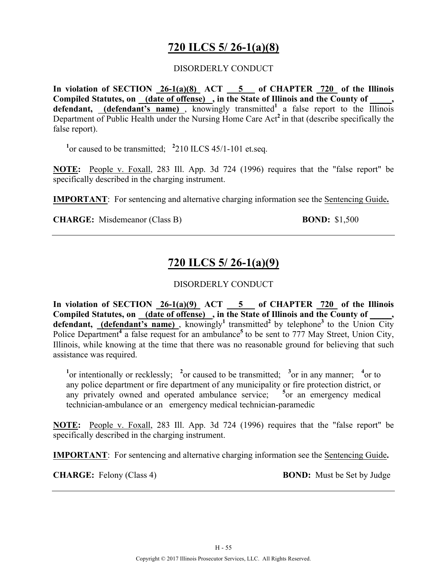# **720 ILCS 5/ 26-1(a)(8)**

### DISORDERLY CONDUCT

In violation of SECTION  $26-1(a)(8)$  ACT  $5$  of CHAPTER  $720$  of the Illinois Compiled Statutes, on (date of offense), in the State of Illinois and the County of **defendant,** (defendant's name), knowingly transmitted<sup>1</sup> a false report to the Illinois Department of Public Health under the Nursing Home Care Act**<sup>2</sup>**in that (describe specifically the false report).

<sup>1</sup> or caused to be transmitted; <sup>2</sup>210 ILCS 45/1-101 et.seq.

**NOTE:** People v. Foxall, 283 Ill. App. 3d 724 (1996) requires that the "false report" be specifically described in the charging instrument.

**IMPORTANT**: For sentencing and alternative charging information see the Sentencing Guide**.**

**CHARGE:** Misdemeanor (Class B) **BOND:** \$1,500

# **720 ILCS 5/ 26-1(a)(9)**

### DISORDERLY CONDUCT

**In violation of SECTION 26-1(a)(9) ACT 5 of CHAPTER 720 of the Illinois**  Compiled Statutes, on (date of offense), in the State of Illinois and the County of  $\blacksquare$ **defendant,** (defendant's name), knowingly<sup>1</sup> transmitted<sup>2</sup> by telephone<sup>3</sup> to the Union City Police Department<sup>4</sup> a false request for an ambulance<sup>5</sup> to be sent to 777 May Street, Union City, Illinois, while knowing at the time that there was no reasonable ground for believing that such assistance was required.

<sup>1</sup> $\alpha$  intentionally or recklessly; <sup>2</sup> $\alpha$  caused to be transmitted; <sup>3</sup> $\alpha$  in any manner; <sup>4</sup> $\alpha$ r to any police department or fire department of any municipality or fire protection district, or any privately owned and operated ambulance service; <sup>5</sup> or an emergency medical technician-ambulance or an emergency medical technician-paramedic

**NOTE:** People v. Foxall, 283 Ill. App. 3d 724 (1996) requires that the "false report" be specifically described in the charging instrument.

**IMPORTANT**: For sentencing and alternative charging information see the Sentencing Guide**.**

**CHARGE:** Felony (Class 4) **BOND:** Must be Set by Judge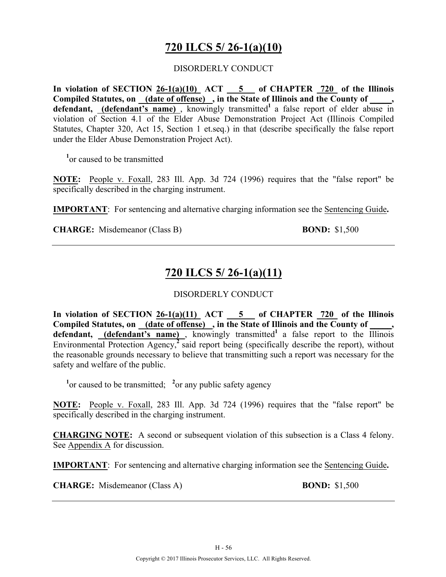# **720 ILCS 5/ 26-1(a)(10)**

#### DISORDERLY CONDUCT

**In violation of SECTION 26-1(a)(10) ACT 5 of CHAPTER 720 of the Illinois**  Compiled Statutes, on (date of offense), in the State of Illinois and the County of, **defendant, (defendant's name)** , knowingly transmitted**<sup>1</sup>**a false report of elder abuse in violation of Section 4.1 of the Elder Abuse Demonstration Project Act (Illinois Compiled Statutes, Chapter 320, Act 15, Section 1 et.seq.) in that (describe specifically the false report under the Elder Abuse Demonstration Project Act).

**1** or caused to be transmitted

**NOTE:** People v. Foxall, 283 Ill. App. 3d 724 (1996) requires that the "false report" be specifically described in the charging instrument.

**IMPORTANT**: For sentencing and alternative charging information see the Sentencing Guide**.**

**CHARGE:** Misdemeanor (Class B) **BOND:** \$1,500

# **720 ILCS 5/ 26-1(a)(11)**

### DISORDERLY CONDUCT

**In violation of SECTION 26-1(a)(11) ACT 5 of CHAPTER 720 of the Illinois Compiled Statutes, on (date of offense) , in the State of Illinois and the County of \_\_\_\_\_,**  defendant, **(defendant's name)**, knowingly transmitted<sup>1</sup> a false report to the Illinois Environmental Protection Agency<sup>2</sup> said report being (specifically describe the report), without the reasonable grounds necessary to believe that transmitting such a report was necessary for the safety and welfare of the public.

<sup>1</sup><sup>or</sup> caused to be transmitted; <sup>2</sup><sup>or</sup> any public safety agency

**NOTE:** People v. Foxall, 283 Ill. App. 3d 724 (1996) requires that the "false report" be specifically described in the charging instrument.

**CHARGING NOTE:** A second or subsequent violation of this subsection is a Class 4 felony. See Appendix A for discussion.

**IMPORTANT**: For sentencing and alternative charging information see the Sentencing Guide**.**

**CHARGE:** Misdemeanor (Class A) **BOND:** \$1,500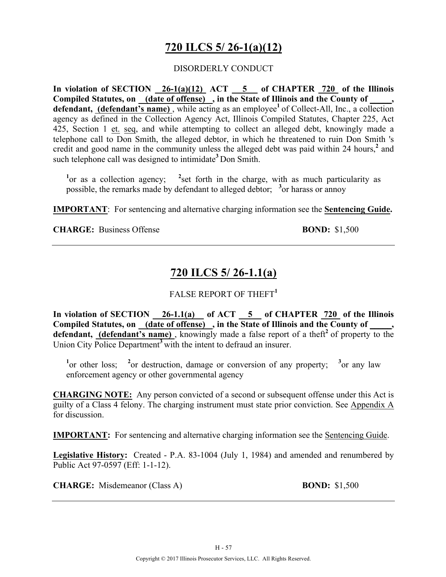# **720 ILCS 5/ 26-1(a)(12)**

#### DISORDERLY CONDUCT

**In violation of SECTION 26-1(a)(12) ACT 5 of CHAPTER 720 of the Illinois**  Compiled Statutes, on (date of offense), in the State of Illinois and the County of **defendant, (defendant's name)**, while acting as an employee<sup>1</sup> of Collect-All, Inc., a collection agency as defined in the Collection Agency Act, Illinois Compiled Statutes, Chapter 225, Act 425, Section 1 et. seq, and while attempting to collect an alleged debt, knowingly made a telephone call to Don Smith, the alleged debtor, in which he threatened to ruin Don Smith 's credit and good name in the community unless the alleged debt was paid within 24 hours,**<sup>2</sup>** and such telephone call was designed to intimidate**<sup>3</sup>**Don Smith.

<sup>1</sup> or as a collection agency; <sup>2</sup> set forth in the charge, with as much particularity as possible, the remarks made by defendant to alleged debtor; <sup>3</sup> or harass or annoy

**IMPORTANT**: For sentencing and alternative charging information see the **Sentencing Guide.**

**CHARGE:** Business Offense **BOND:** \$1,500

# **720 ILCS 5/ 26-1.1(a)**

### FALSE REPORT OF THEFT**<sup>1</sup>**

In violation of SECTION 26-1.1(a) of ACT 5 of CHAPTER 720 of the Illinois **Compiled Statutes, on (date of offense) , in the State of Illinois and the County of \_\_\_\_\_,**  defendant, (defendant's name), knowingly made a false report of a theft<sup>2</sup> of property to the Union City Police Department**<sup>3</sup>**with the intent to defraud an insurer.

<sup>1</sup> or other loss; <sup>2</sup> or destruction, damage or conversion of any property; <sup>3</sup> or any law enforcement agency or other governmental agency

**CHARGING NOTE:** Any person convicted of a second or subsequent offense under this Act is guilty of a Class 4 felony. The charging instrument must state prior conviction. See Appendix A for discussion.

**IMPORTANT:** For sentencing and alternative charging information see the Sentencing Guide.

**Legislative History:** Created - P.A. 83-1004 (July 1, 1984) and amended and renumbered by Public Act 97-0597 (Eff: 1-1-12).

**CHARGE:** Misdemeanor (Class A) **BOND:** \$1,500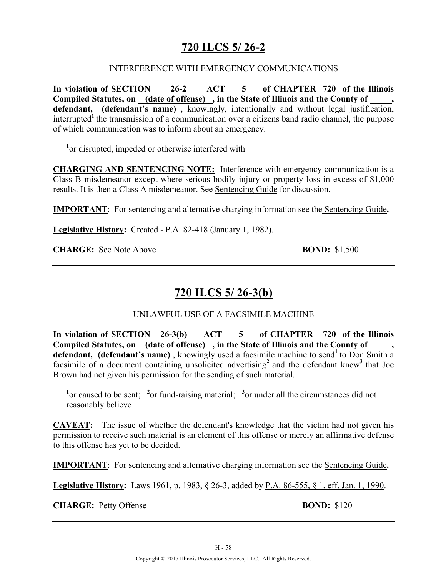# **720 ILCS 5/ 26-2**

### INTERFERENCE WITH EMERGENCY COMMUNICATIONS

In violation of SECTION 26-2 ACT 5 of CHAPTER 720 of the Illinois Compiled Statutes, on **(date of offense)**, in the State of Illinois and the County of defendant, (defendant's name), knowingly, intentionally and without legal justification, interrupted<sup>1</sup> the transmission of a communication over a citizens band radio channel, the purpose of which communication was to inform about an emergency.

**1** or disrupted, impeded or otherwise interfered with

**CHARGING AND SENTENCING NOTE:** Interference with emergency communication is a Class B misdemeanor except where serious bodily injury or property loss in excess of \$1,000 results. It is then a Class A misdemeanor. See Sentencing Guide for discussion.

**IMPORTANT**: For sentencing and alternative charging information see the Sentencing Guide**.**

**Legislative History:** Created - P.A. 82-418 (January 1, 1982).

**CHARGE:** See Note Above **BOND:** \$1,500

# **720 ILCS 5/ 26-3(b)**

### UNLAWFUL USE OF A FACSIMILE MACHINE

In violation of SECTION 26-3(b) ACT 5 of CHAPTER 720 of the Illinois **Compiled Statutes, on (date of offense) , in the State of Illinois and the County of \_\_\_\_\_,**  defendant, (defendant's name), knowingly used a facsimile machine to send<sup>1</sup> to Don Smith a facsimile of a document containing unsolicited advertising<sup>2</sup> and the defendant knew<sup>3</sup> that Joe Brown had not given his permission for the sending of such material.

<sup>1</sup> or caused to be sent; <sup>2</sup> or fund-raising material; <sup>3</sup> or under all the circumstances did not reasonably believe

**CAVEAT:** The issue of whether the defendant's knowledge that the victim had not given his permission to receive such material is an element of this offense or merely an affirmative defense to this offense has yet to be decided.

**IMPORTANT**: For sentencing and alternative charging information see the Sentencing Guide**.**

**Legislative History:** Laws 1961, p. 1983, § 26-3, added by P.A. 86-555, § 1, eff. Jan. 1, 1990.

**CHARGE:** Petty Offense **BOND:** \$120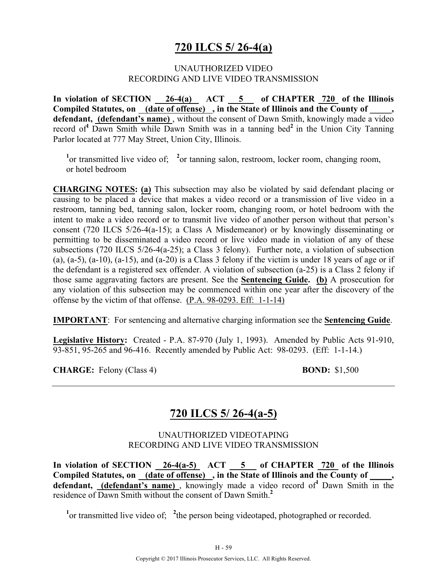### **720 ILCS 5/ 26-4(a)**

#### UNAUTHORIZED VIDEO RECORDING AND LIVE VIDEO TRANSMISSION

In violation of SECTION 26-4(a) ACT 5 of CHAPTER 720 of the Illinois Compiled Statutes, on (date of offense), in the State of Illinois and the County of  $\blacksquare$ defendant, *(defendant's name)*, without the consent of Dawn Smith, knowingly made a video record of**<sup>1</sup>**Dawn Smith while Dawn Smith was in a tanning bed**<sup>2</sup>**in the Union City Tanning Parlor located at 777 May Street, Union City, Illinois.

<sup>1</sup> or transmitted live video of; <sup>2</sup> or tanning salon, restroom, locker room, changing room, or hotel bedroom

**CHARGING NOTES: (a)** This subsection may also be violated by said defendant placing or causing to be placed a device that makes a video record or a transmission of live video in a restroom, tanning bed, tanning salon, locker room, changing room, or hotel bedroom with the intent to make a video record or to transmit live video of another person without that person's consent (720 ILCS 5/26-4(a-15); a Class A Misdemeanor) or by knowingly disseminating or permitting to be disseminated a video record or live video made in violation of any of these subsections (720 ILCS 5/26-4(a-25); a Class 3 felony). Further note, a violation of subsection (a),  $(a-5)$ ,  $(a-10)$ ,  $(a-15)$ , and  $(a-20)$  is a Class 3 felony if the victim is under 18 years of age or if the defendant is a registered sex offender. A violation of subsection (a-25) is a Class 2 felony if those same aggravating factors are present. See the **Sentencing Guide. (b)** A prosecution for any violation of this subsection may be commenced within one year after the discovery of the offense by the victim of that offense. (P.A. 98-0293. Eff: 1-1-14)

**IMPORTANT**: For sentencing and alternative charging information see the **Sentencing Guide**.

**Legislative History:** Created - P.A. 87-970 (July 1, 1993). Amended by Public Acts 91-910, 93-851, 95-265 and 96-416. Recently amended by Public Act: 98-0293. (Eff: 1-1-14.)

**CHARGE:** Felony (Class 4) **BOND:** \$1,500

# **720 ILCS 5/ 26-4(a-5)**

### UNAUTHORIZED VIDEOTAPING RECORDING AND LIVE VIDEO TRANSMISSION

In violation of SECTION  $\frac{26-4(a-5)}{26}$  ACT  $\frac{5}{20}$  of CHAPTER  $\frac{720}{20}$  of the Illinois Compiled Statutes, on (date of offense), in the State of Illinois and the County of defendant, (defendant's name), knowingly made a video record of<sup>1</sup> Dawn Smith in the residence of Dawn Smith without the consent of Dawn Smith.**<sup>2</sup>**

<sup>1</sup> or transmitted live video of; <sup>2</sup> the person being videotaped, photographed or recorded.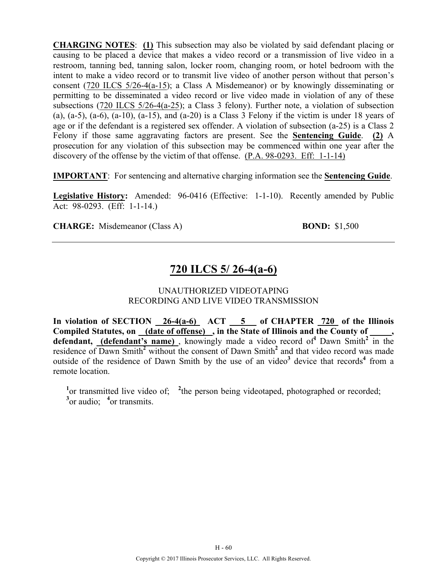**CHARGING NOTES**: **(1)** This subsection may also be violated by said defendant placing or causing to be placed a device that makes a video record or a transmission of live video in a restroom, tanning bed, tanning salon, locker room, changing room, or hotel bedroom with the intent to make a video record or to transmit live video of another person without that person's consent (720 ILCS 5/26-4(a-15); a Class A Misdemeanor) or by knowingly disseminating or permitting to be disseminated a video record or live video made in violation of any of these subsections (720 ILCS 5/26-4(a-25); a Class 3 felony). Further note, a violation of subsection (a),  $(a-5)$ ,  $(a-6)$ ,  $(a-10)$ ,  $(a-15)$ , and  $(a-20)$  is a Class 3 Felony if the victim is under 18 years of age or if the defendant is a registered sex offender. A violation of subsection (a-25) is a Class 2 Felony if those same aggravating factors are present. See the **Sentencing Guide**. **(2)** A prosecution for any violation of this subsection may be commenced within one year after the discovery of the offense by the victim of that offense. (P.A. 98-0293. Eff: 1-1-14)

**IMPORTANT**: For sentencing and alternative charging information see the **Sentencing Guide**.

**Legislative History:** Amended: 96-0416 (Effective: 1-1-10). Recently amended by Public Act: 98-0293. (Eff: 1-1-14.)

**CHARGE:** Misdemeanor (Class A) **BOND:** \$1,500

# **720 ILCS 5/ 26-4(a-6)**

#### UNAUTHORIZED VIDEOTAPING RECORDING AND LIVE VIDEO TRANSMISSION

In violation of SECTION  $\frac{26-4(a-6)}{2}$  ACT  $\frac{5}{2}$  of CHAPTER  $\frac{720}{2}$  of the Illinois **Compiled Statutes, on (date of offense) , in the State of Illinois and the County of \_\_\_\_\_,**  defendant, (defendant's name), knowingly made a video record of<sup>1</sup> Dawn Smith<sup>2</sup> in the residence of Dawn Smith**<sup>2</sup>** without the consent of Dawn Smith**<sup>2</sup>** and that video record was made outside of the residence of Dawn Smith by the use of an video<sup>3</sup> device that records<sup>4</sup> from a remote location.

<sup>1</sup> or transmitted live video of; <sup>2</sup> the person being videotaped, photographed or recorded; <sup>3</sup> or audio; <sup>4</sup> or transmits.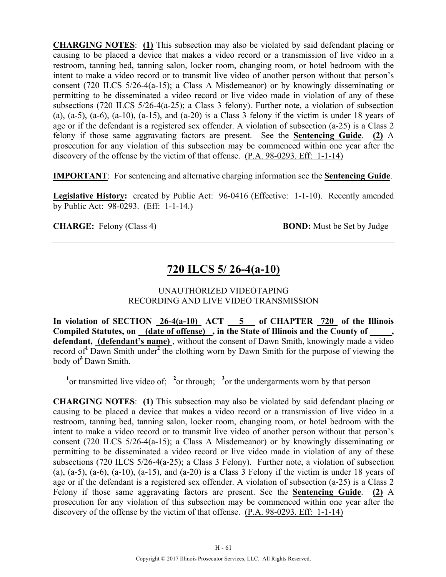**CHARGING NOTES**: **(1)** This subsection may also be violated by said defendant placing or causing to be placed a device that makes a video record or a transmission of live video in a restroom, tanning bed, tanning salon, locker room, changing room, or hotel bedroom with the intent to make a video record or to transmit live video of another person without that person's consent (720 ILCS 5/26-4(a-15); a Class A Misdemeanor) or by knowingly disseminating or permitting to be disseminated a video record or live video made in violation of any of these subsections (720 ILCS 5/26-4(a-25); a Class 3 felony). Further note, a violation of subsection (a),  $(a-5)$ ,  $(a-6)$ ,  $(a-10)$ ,  $(a-15)$ , and  $(a-20)$  is a Class 3 felony if the victim is under 18 years of age or if the defendant is a registered sex offender. A violation of subsection (a-25) is a Class 2 felony if those same aggravating factors are present. See the **Sentencing Guide**. **(2)** A prosecution for any violation of this subsection may be commenced within one year after the discovery of the offense by the victim of that offense. (P.A. 98-0293. Eff: 1-1-14)

**IMPORTANT**: For sentencing and alternative charging information see the **Sentencing Guide**.

**Legislative History:** created by Public Act: 96-0416 (Effective: 1-1-10). Recently amended by Public Act: 98-0293. (Eff: 1-1-14.)

**CHARGE:** Felony (Class 4) **BOND:** Must be Set by Judge

# **720 ILCS 5/ 26-4(a-10)**

#### UNAUTHORIZED VIDEOTAPING RECORDING AND LIVE VIDEO TRANSMISSION

In violation of SECTION  $26-4(a-10)$  ACT  $5$  of CHAPTER  $720$  of the Illinois Compiled Statutes, on (date of offense), in the State of Illinois and the County of **defendant, (defendant's name)** , without the consent of Dawn Smith, knowingly made a video record of**<sup>1</sup>**Dawn Smith under**<sup>2</sup>**the clothing worn by Dawn Smith for the purpose of viewing the body of**<sup>3</sup>**Dawn Smith.

<sup>1</sup> or transmitted live video of; <sup>2</sup> or through; <sup>3</sup> or the undergarments worn by that person

**CHARGING NOTES**: **(1)** This subsection may also be violated by said defendant placing or causing to be placed a device that makes a video record or a transmission of live video in a restroom, tanning bed, tanning salon, locker room, changing room, or hotel bedroom with the intent to make a video record or to transmit live video of another person without that person's consent (720 ILCS 5/26-4(a-15); a Class A Misdemeanor) or by knowingly disseminating or permitting to be disseminated a video record or live video made in violation of any of these subsections (720 ILCS 5/26-4(a-25); a Class 3 Felony). Further note, a violation of subsection  $(a)$ ,  $(a-5)$ ,  $(a-6)$ ,  $(a-10)$ ,  $(a-15)$ , and  $(a-20)$  is a Class 3 Felony if the victim is under 18 years of age or if the defendant is a registered sex offender. A violation of subsection (a-25) is a Class 2 Felony if those same aggravating factors are present. See the **Sentencing Guide**. **(2)** A prosecution for any violation of this subsection may be commenced within one year after the discovery of the offense by the victim of that offense. (P.A. 98-0293. Eff: 1-1-14)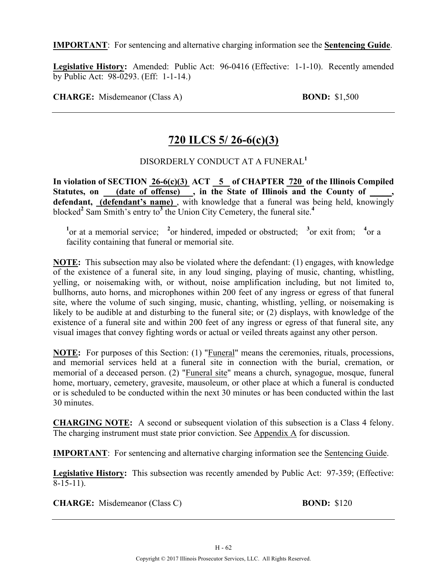**IMPORTANT**: For sentencing and alternative charging information see the **Sentencing Guide**.

**Legislative History:** Amended: Public Act: 96-0416 (Effective: 1-1-10). Recently amended by Public Act: 98-0293. (Eff: 1-1-14.)

**CHARGE:** Misdemeanor (Class A) **BOND:** \$1,500

# **720 ILCS 5/ 26-6(c)(3)**

### DISORDERLY CONDUCT AT A FUNERAL**<sup>1</sup>**

**In violation of SECTION 26-6(c)(3) ACT 5 of CHAPTER 720 of the Illinois Compiled**  Statutes, on **(date of offense)**, in the State of Illinois and the County of defendant, (defendant's name), with knowledge that a funeral was being held, knowingly blocked**<sup>2</sup>** Sam Smith's entry to**<sup>3</sup>** the Union City Cemetery, the funeral site.**<sup>4</sup>**

<sup>1</sup><sup>or</sup> at a memorial service; <sup>2</sup><sub>or</sub> hindered, impeded or obstructed; <sup>3</sup><sub>or</sub> exit from; <sup>4</sup><sub>or</sub> a facility containing that funeral or memorial site.

**NOTE:** This subsection may also be violated where the defendant: (1) engages, with knowledge of the existence of a funeral site, in any loud singing, playing of music, chanting, whistling, yelling, or noisemaking with, or without, noise amplification including, but not limited to, bullhorns, auto horns, and microphones within 200 feet of any ingress or egress of that funeral site, where the volume of such singing, music, chanting, whistling, yelling, or noisemaking is likely to be audible at and disturbing to the funeral site; or (2) displays, with knowledge of the existence of a funeral site and within 200 feet of any ingress or egress of that funeral site, any visual images that convey fighting words or actual or veiled threats against any other person.

**NOTE:** For purposes of this Section: (1) "Funeral" means the ceremonies, rituals, processions, and memorial services held at a funeral site in connection with the burial, cremation, or memorial of a deceased person. (2) "Funeral site" means a church, synagogue, mosque, funeral home, mortuary, cemetery, gravesite, mausoleum, or other place at which a funeral is conducted or is scheduled to be conducted within the next 30 minutes or has been conducted within the last 30 minutes.

**CHARGING NOTE:** A second or subsequent violation of this subsection is a Class 4 felony. The charging instrument must state prior conviction. See Appendix A for discussion.

**IMPORTANT**: For sentencing and alternative charging information see the Sentencing Guide.

**Legislative History:** This subsection was recently amended by Public Act: 97-359; (Effective: 8-15-11).

**CHARGE:** Misdemeanor (Class C) **BOND:** \$120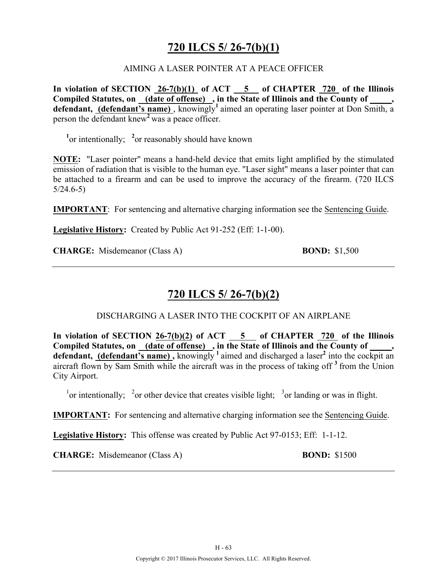# **720 ILCS 5/ 26-7(b)(1)**

#### AIMING A LASER POINTER AT A PEACE OFFICER

**In violation of SECTION 26-7(b)(1) of ACT 5 of CHAPTER 720 of the Illinois Compiled Statutes, on (date of offense) , in the State of Illinois and the County of \_\_\_\_\_, defendant, (defendant's name)** , knowingly**<sup>1</sup>**aimed an operating laser pointer at Don Smith, a person the defendant knew**<sup>2</sup>**was a peace officer.

<sup>1</sup><sub>or</sub> intentionally; <sup>2</sup><sub>or</sub> reasonably should have known

**NOTE:** "Laser pointer" means a hand-held device that emits light amplified by the stimulated emission of radiation that is visible to the human eye. "Laser sight" means a laser pointer that can be attached to a firearm and can be used to improve the accuracy of the firearm. (720 ILCS 5/24.6-5)

**IMPORTANT**: For sentencing and alternative charging information see the Sentencing Guide.

**Legislative History:** Created by Public Act 91-252 (Eff: 1-1-00).

**CHARGE:** Misdemeanor (Class A) **BOND:** \$1,500

### **720 ILCS 5/ 26-7(b)(2)**

#### DISCHARGING A LASER INTO THE COCKPIT OF AN AIRPLANE

In violation of SECTION 26-7(b)(2) of  $ACT$  5 of CHAPTER  $720$  of the Illinois Compiled Statutes, on (date of offense), in the State of Illinois and the County of **defendant, (defendant's name) ,** knowingly **<sup>1</sup>**aimed and discharged a laser**<sup>2</sup>** into the cockpit an aircraft flown by Sam Smith while the aircraft was in the process of taking off **<sup>3</sup>**from the Union City Airport.

<sup>1</sup> or intentionally; <sup>2</sup> or other device that creates visible light; <sup>3</sup> or landing or was in flight.

**IMPORTANT:** For sentencing and alternative charging information see the Sentencing Guide.

**Legislative History:** This offense was created by Public Act 97-0153; Eff: 1-1-12.

**CHARGE:** Misdemeanor (Class A) **BOND:** \$1500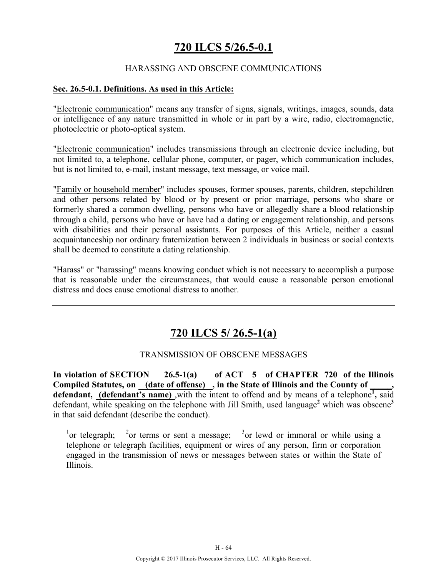# **720 ILCS 5/26.5-0.1**

### HARASSING AND OBSCENE COMMUNICATIONS

#### **Sec. 26.5-0.1. Definitions. As used in this Article:**

"Electronic communication" means any transfer of signs, signals, writings, images, sounds, data or intelligence of any nature transmitted in whole or in part by a wire, radio, electromagnetic, photoelectric or photo-optical system.

"Electronic communication" includes transmissions through an electronic device including, but not limited to, a telephone, cellular phone, computer, or pager, which communication includes, but is not limited to, e-mail, instant message, text message, or voice mail.

"Family or household member" includes spouses, former spouses, parents, children, stepchildren and other persons related by blood or by present or prior marriage, persons who share or formerly shared a common dwelling, persons who have or allegedly share a blood relationship through a child, persons who have or have had a dating or engagement relationship, and persons with disabilities and their personal assistants. For purposes of this Article, neither a casual acquaintanceship nor ordinary fraternization between 2 individuals in business or social contexts shall be deemed to constitute a dating relationship.

"Harass" or "harassing" means knowing conduct which is not necessary to accomplish a purpose that is reasonable under the circumstances, that would cause a reasonable person emotional distress and does cause emotional distress to another.

# **720 ILCS 5/ 26.5-1(a)**

### TRANSMISSION OF OBSCENE MESSAGES

In violation of SECTION  $\_\_2$  26.5-1(a) of ACT  $\_\_5$  of CHAPTER  $\_\_2$  of the Illinois Compiled Statutes, on (date of offense), in the State of Illinois and the County of defendant, (defendant's name), with the intent to offend and by means of a telephone<sup>1</sup>, said defendant, while speaking on the telephone with Jill Smith, used language<sup>2</sup> which was obscene<sup>3</sup> in that said defendant (describe the conduct).

 $\frac{1}{2}$  or telegraph;  $\frac{2}{2}$ or terms or sent a message;  $3$  or lewd or immoral or while using a telephone or telegraph facilities, equipment or wires of any person, firm or corporation engaged in the transmission of news or messages between states or within the State of Illinois.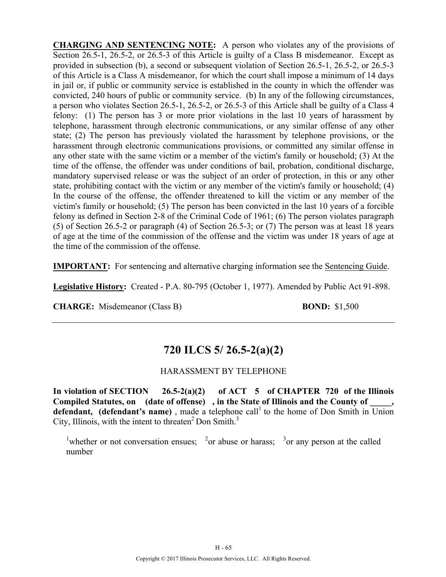**CHARGING AND SENTENCING NOTE:** A person who violates any of the provisions of Section 26.5-1, 26.5-2, or 26.5-3 of this Article is guilty of a Class B misdemeanor. Except as provided in subsection (b), a second or subsequent violation of Section 26.5-1, 26.5-2, or 26.5-3 of this Article is a Class A misdemeanor, for which the court shall impose a minimum of 14 days in jail or, if public or community service is established in the county in which the offender was convicted, 240 hours of public or community service. (b) In any of the following circumstances, a person who violates Section 26.5-1, 26.5-2, or 26.5-3 of this Article shall be guilty of a Class 4 felony: (1) The person has 3 or more prior violations in the last 10 years of harassment by telephone, harassment through electronic communications, or any similar offense of any other state; (2) The person has previously violated the harassment by telephone provisions, or the harassment through electronic communications provisions, or committed any similar offense in any other state with the same victim or a member of the victim's family or household; (3) At the time of the offense, the offender was under conditions of bail, probation, conditional discharge, mandatory supervised release or was the subject of an order of protection, in this or any other state, prohibiting contact with the victim or any member of the victim's family or household; (4) In the course of the offense, the offender threatened to kill the victim or any member of the victim's family or household; (5) The person has been convicted in the last 10 years of a forcible felony as defined in Section 2-8 of the Criminal Code of 1961; (6) The person violates paragraph (5) of Section 26.5-2 or paragraph (4) of Section 26.5-3; or (7) The person was at least 18 years of age at the time of the commission of the offense and the victim was under 18 years of age at the time of the commission of the offense.

**IMPORTANT:** For sentencing and alternative charging information see the Sentencing Guide.

**Legislative History:** Created - P.A. 80-795 (October 1, 1977). Amended by Public Act 91-898.

**CHARGE:** Misdemeanor (Class B) **BOND:** \$1,500

# **720 ILCS 5/ 26.5-2(a)(2)**

### HARASSMENT BY TELEPHONE

**In violation of SECTION 26.5-2(a)(2) of ACT 5 of CHAPTER 720 of the Illinois Compiled Statutes, on (date of offense) , in the State of Illinois and the County of \_\_\_\_\_, defendant, (defendant's name)**, made a telephone call<sup>1</sup> to the home of Don Smith in  $\overline{\text{Union}}$ City, Illinois, with the intent to threaten<sup>2</sup> Don Smith.<sup>3</sup>

<sup>1</sup>whether or not conversation ensues; <sup>2</sup>or abuse or harass; <sup>3</sup>or any person at the called number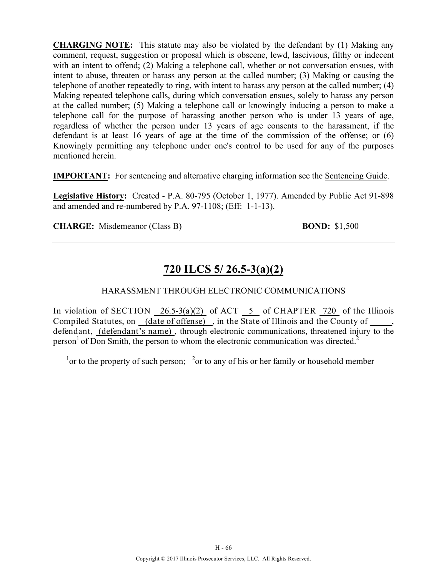**CHARGING NOTE:** This statute may also be violated by the defendant by (1) Making any comment, request, suggestion or proposal which is obscene, lewd, lascivious, filthy or indecent with an intent to offend; (2) Making a telephone call, whether or not conversation ensues, with intent to abuse, threaten or harass any person at the called number; (3) Making or causing the telephone of another repeatedly to ring, with intent to harass any person at the called number; (4) Making repeated telephone calls, during which conversation ensues, solely to harass any person at the called number; (5) Making a telephone call or knowingly inducing a person to make a telephone call for the purpose of harassing another person who is under 13 years of age, regardless of whether the person under 13 years of age consents to the harassment, if the defendant is at least 16 years of age at the time of the commission of the offense; or (6) Knowingly permitting any telephone under one's control to be used for any of the purposes mentioned herein.

**IMPORTANT:** For sentencing and alternative charging information see the Sentencing Guide.

**Legislative History:** Created - P.A. 80-795 (October 1, 1977). Amended by Public Act 91-898 and amended and re-numbered by P.A. 97-1108; (Eff: 1-1-13).

**CHARGE:** Misdemeanor (Class B) **BOND:** \$1,500

# **720 ILCS 5/ 26.5-3(a)(2)**

### HARASSMENT THROUGH ELECTRONIC COMMUNICATIONS

In violation of SECTION  $\frac{26.5-3(a)(2)}{2}$  of ACT  $\frac{5}{2}$  of CHAPTER  $\frac{720}{2}$  of the Illinois Compiled Statutes, on (date of offense), in the State of Illinois and the County of defendant, (defendant's name) , through electronic communications, threatened injury to the person<sup>1</sup> of Don Smith, the person to whom the electronic communication was directed.<sup>2</sup>

 $\frac{1}{1}$  or to the property of such person;  $\frac{2}{1}$  or to any of his or her family or household member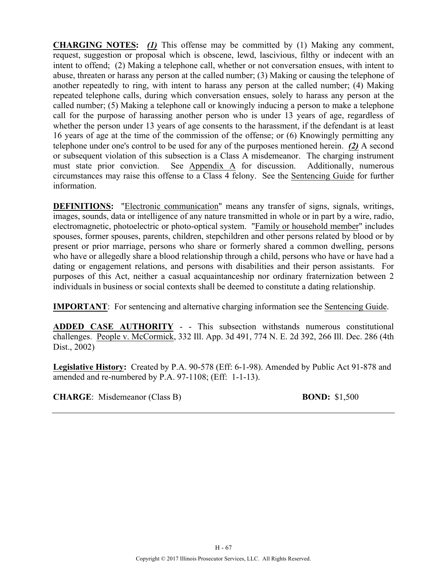**CHARGING NOTES:** *(1)* This offense may be committed by (1) Making any comment, request, suggestion or proposal which is obscene, lewd, lascivious, filthy or indecent with an intent to offend; (2) Making a telephone call, whether or not conversation ensues, with intent to abuse, threaten or harass any person at the called number; (3) Making or causing the telephone of another repeatedly to ring, with intent to harass any person at the called number; (4) Making repeated telephone calls, during which conversation ensues, solely to harass any person at the called number; (5) Making a telephone call or knowingly inducing a person to make a telephone call for the purpose of harassing another person who is under 13 years of age, regardless of whether the person under 13 years of age consents to the harassment, if the defendant is at least 16 years of age at the time of the commission of the offense; or (6) Knowingly permitting any telephone under one's control to be used for any of the purposes mentioned herein. *(2)* A second or subsequent violation of this subsection is a Class A misdemeanor. The charging instrument must state prior conviction. See Appendix A for discussion. Additionally, numerous circumstances may raise this offense to a Class 4 felony. See the Sentencing Guide for further information.

**DEFINITIONS:** "Electronic communication" means any transfer of signs, signals, writings, images, sounds, data or intelligence of any nature transmitted in whole or in part by a wire, radio, electromagnetic, photoelectric or photo-optical system. "Family or household member" includes spouses, former spouses, parents, children, stepchildren and other persons related by blood or by present or prior marriage, persons who share or formerly shared a common dwelling, persons who have or allegedly share a blood relationship through a child, persons who have or have had a dating or engagement relations, and persons with disabilities and their person assistants. For purposes of this Act, neither a casual acquaintanceship nor ordinary fraternization between 2 individuals in business or social contexts shall be deemed to constitute a dating relationship.

**IMPORTANT**: For sentencing and alternative charging information see the Sentencing Guide.

**ADDED CASE AUTHORITY** - - This subsection withstands numerous constitutional challenges. People v. McCormick, 332 Ill. App. 3d 491, 774 N. E. 2d 392, 266 Ill. Dec. 286 (4th Dist., 2002)

**Legislative History:** Created by P.A. 90-578 (Eff: 6-1-98). Amended by Public Act 91-878 and amended and re-numbered by P.A. 97-1108; (Eff: 1-1-13).

**CHARGE**: Misdemeanor (Class B) **BOND:** \$1,500